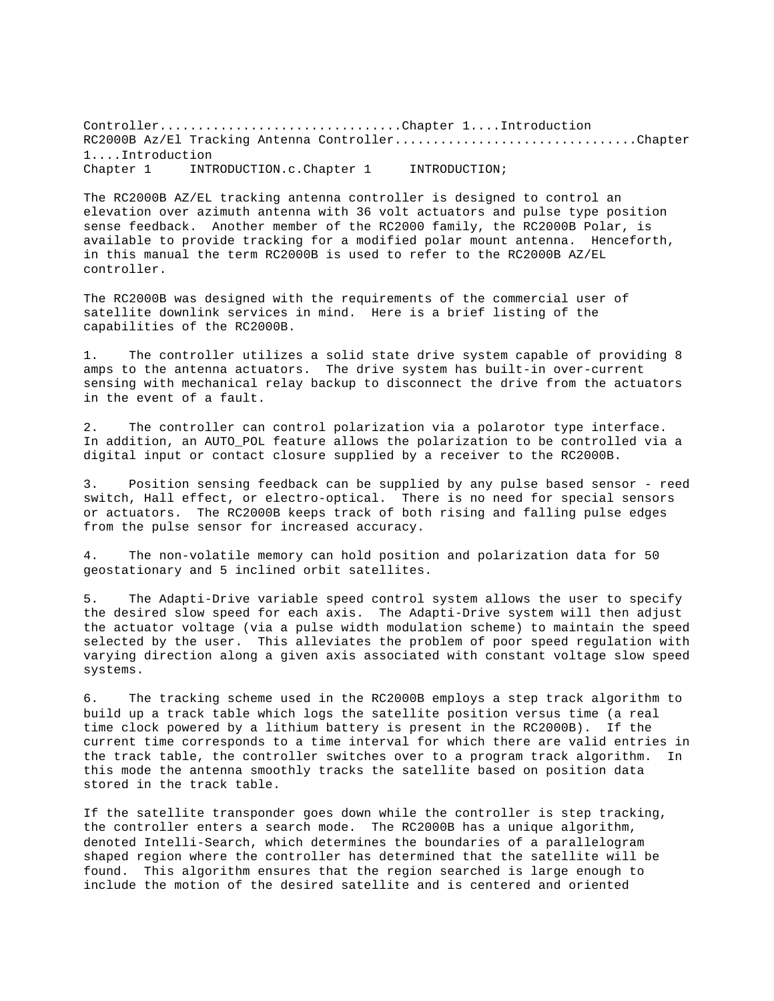Controller................................Chapter 1....Introduction RC2000B Az/El Tracking Antenna Controller................................Chapter 1....Introduction Chapter 1 INTRODUCTION.c.Chapter 1 INTRODUCTION;

The RC2000B AZ/EL tracking antenna controller is designed to control an elevation over azimuth antenna with 36 volt actuators and pulse type position sense feedback. Another member of the RC2000 family, the RC2000B Polar, is available to provide tracking for a modified polar mount antenna. Henceforth, in this manual the term RC2000B is used to refer to the RC2000B AZ/EL controller.

The RC2000B was designed with the requirements of the commercial user of satellite downlink services in mind. Here is a brief listing of the capabilities of the RC2000B.

1. The controller utilizes a solid state drive system capable of providing 8 amps to the antenna actuators. The drive system has built-in over-current sensing with mechanical relay backup to disconnect the drive from the actuators in the event of a fault.

2. The controller can control polarization via a polarotor type interface. In addition, an AUTO\_POL feature allows the polarization to be controlled via a digital input or contact closure supplied by a receiver to the RC2000B.

3. Position sensing feedback can be supplied by any pulse based sensor - reed switch, Hall effect, or electro-optical. There is no need for special sensors or actuators. The RC2000B keeps track of both rising and falling pulse edges from the pulse sensor for increased accuracy.

4. The non-volatile memory can hold position and polarization data for 50 geostationary and 5 inclined orbit satellites.

5. The Adapti-Drive variable speed control system allows the user to specify the desired slow speed for each axis. The Adapti-Drive system will then adjust the actuator voltage (via a pulse width modulation scheme) to maintain the speed selected by the user. This alleviates the problem of poor speed regulation with varying direction along a given axis associated with constant voltage slow speed systems.

6. The tracking scheme used in the RC2000B employs a step track algorithm to build up a track table which logs the satellite position versus time (a real time clock powered by a lithium battery is present in the RC2000B). If the current time corresponds to a time interval for which there are valid entries in the track table, the controller switches over to a program track algorithm. In this mode the antenna smoothly tracks the satellite based on position data stored in the track table.

If the satellite transponder goes down while the controller is step tracking, the controller enters a search mode. The RC2000B has a unique algorithm, denoted Intelli-Search, which determines the boundaries of a parallelogram shaped region where the controller has determined that the satellite will be found. This algorithm ensures that the region searched is large enough to include the motion of the desired satellite and is centered and oriented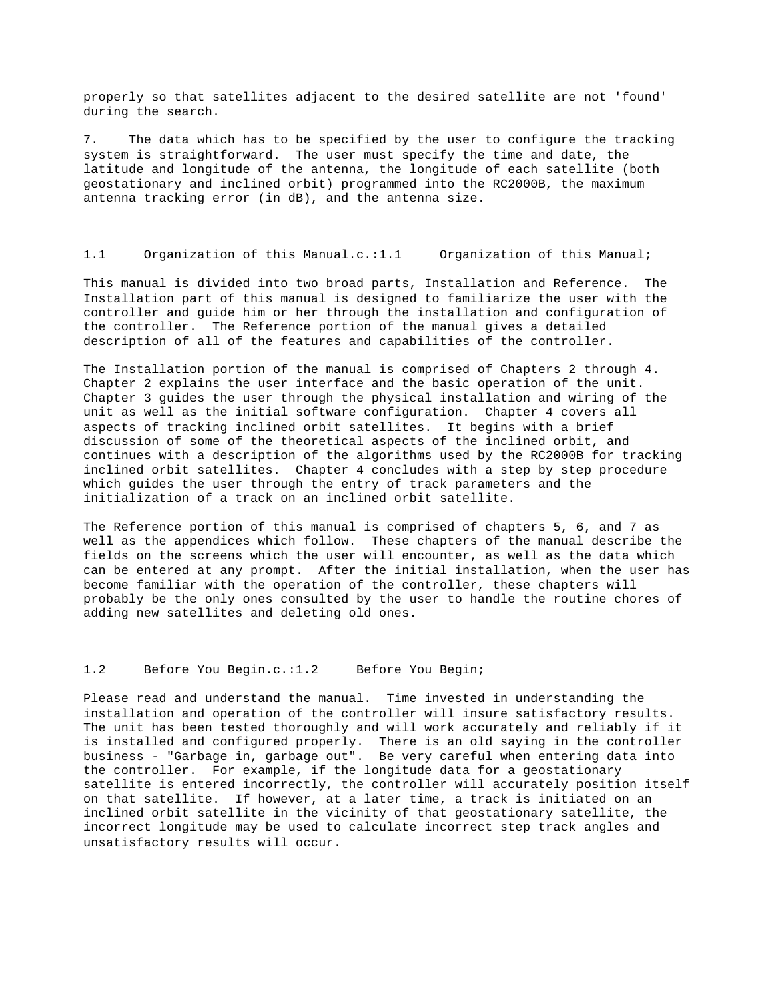properly so that satellites adjacent to the desired satellite are not 'found' during the search.

7. The data which has to be specified by the user to configure the tracking system is straightforward. The user must specify the time and date, the latitude and longitude of the antenna, the longitude of each satellite (both geostationary and inclined orbit) programmed into the RC2000B, the maximum antenna tracking error (in dB), and the antenna size.

# 1.1 Organization of this Manual.c.:1.1 Organization of this Manual;

This manual is divided into two broad parts, Installation and Reference. The Installation part of this manual is designed to familiarize the user with the controller and guide him or her through the installation and configuration of the controller. The Reference portion of the manual gives a detailed description of all of the features and capabilities of the controller.

The Installation portion of the manual is comprised of Chapters 2 through 4. Chapter 2 explains the user interface and the basic operation of the unit. Chapter 3 guides the user through the physical installation and wiring of the unit as well as the initial software configuration. Chapter 4 covers all aspects of tracking inclined orbit satellites. It begins with a brief discussion of some of the theoretical aspects of the inclined orbit, and continues with a description of the algorithms used by the RC2000B for tracking inclined orbit satellites. Chapter 4 concludes with a step by step procedure which guides the user through the entry of track parameters and the initialization of a track on an inclined orbit satellite.

The Reference portion of this manual is comprised of chapters 5, 6, and 7 as well as the appendices which follow. These chapters of the manual describe the fields on the screens which the user will encounter, as well as the data which can be entered at any prompt. After the initial installation, when the user has become familiar with the operation of the controller, these chapters will probably be the only ones consulted by the user to handle the routine chores of adding new satellites and deleting old ones.

#### 1.2 Before You Begin.c.:1.2 Before You Begin;

Please read and understand the manual. Time invested in understanding the installation and operation of the controller will insure satisfactory results. The unit has been tested thoroughly and will work accurately and reliably if it is installed and configured properly. There is an old saying in the controller business - "Garbage in, garbage out". Be very careful when entering data into the controller. For example, if the longitude data for a geostationary satellite is entered incorrectly, the controller will accurately position itself on that satellite. If however, at a later time, a track is initiated on an inclined orbit satellite in the vicinity of that geostationary satellite, the incorrect longitude may be used to calculate incorrect step track angles and unsatisfactory results will occur.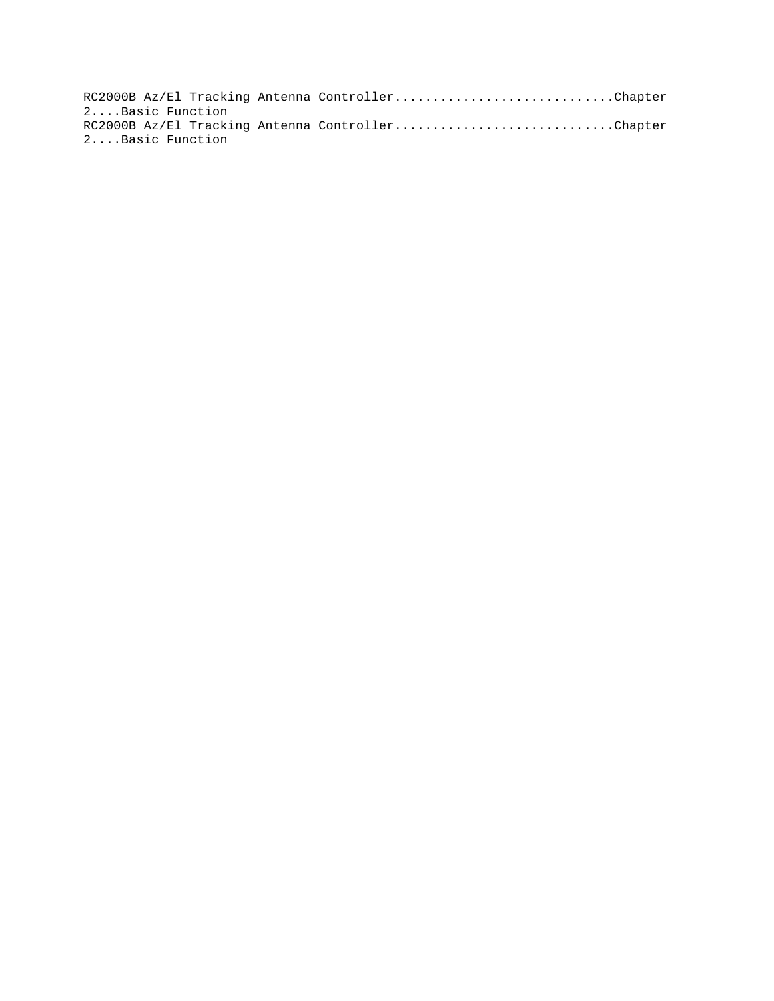RC2000B Az/El Tracking Antenna Controller.............................Chapter 2....Basic Function RC2000B Az/El Tracking Antenna Controller..............................Chapter 2....Basic Function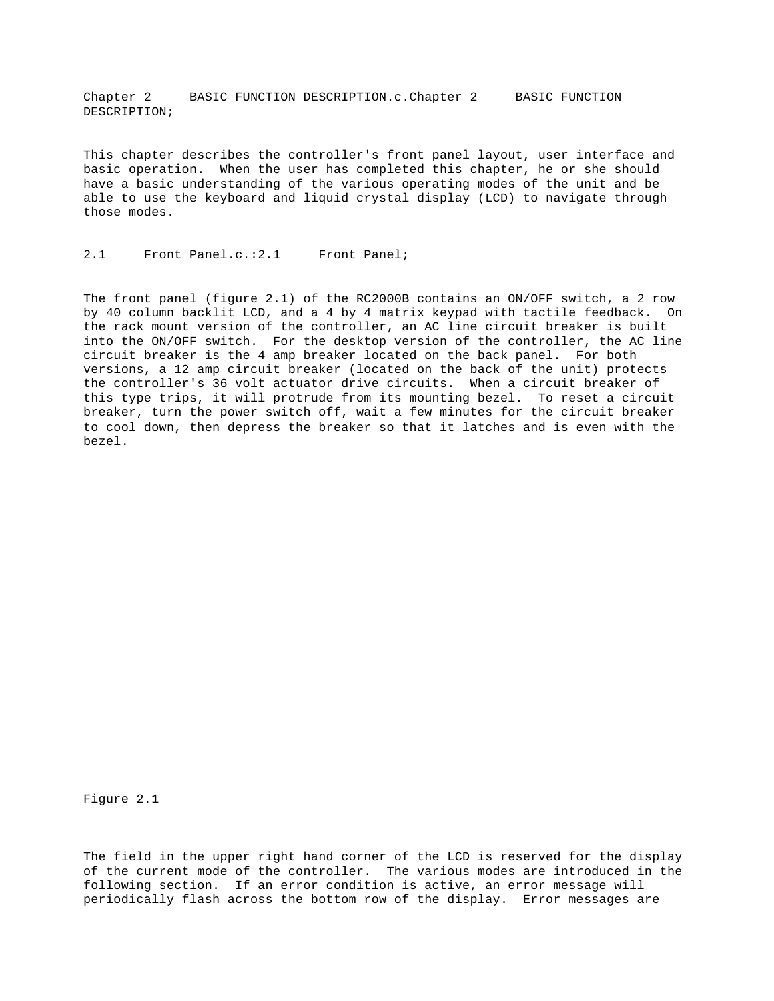Chapter 2 BASIC FUNCTION DESCRIPTION.c.Chapter 2 BASIC FUNCTION DESCRIPTION;

This chapter describes the controller's front panel layout, user interface and basic operation. When the user has completed this chapter, he or she should have a basic understanding of the various operating modes of the unit and be able to use the keyboard and liquid crystal display (LCD) to navigate through those modes.

#### 2.1 Front Panel.c.:2.1 Front Panel;

The front panel (figure 2.1) of the RC2000B contains an ON/OFF switch, a 2 row by 40 column backlit LCD, and a 4 by 4 matrix keypad with tactile feedback. On the rack mount version of the controller, an AC line circuit breaker is built into the ON/OFF switch. For the desktop version of the controller, the AC line circuit breaker is the 4 amp breaker located on the back panel. For both versions, a 12 amp circuit breaker (located on the back of the unit) protects the controller's 36 volt actuator drive circuits. When a circuit breaker of this type trips, it will protrude from its mounting bezel. To reset a circuit breaker, turn the power switch off, wait a few minutes for the circuit breaker to cool down, then depress the breaker so that it latches and is even with the bezel.

Figure 2.1

The field in the upper right hand corner of the LCD is reserved for the display of the current mode of the controller. The various modes are introduced in the following section. If an error condition is active, an error message will periodically flash across the bottom row of the display. Error messages are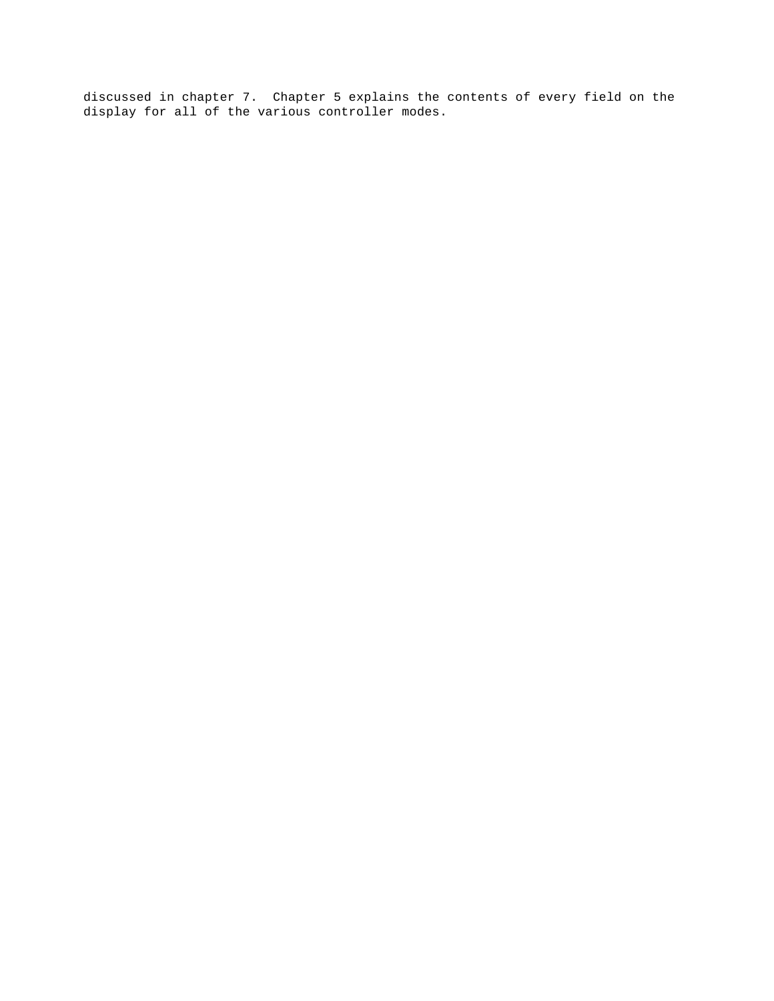discussed in chapter 7. Chapter 5 explains the contents of every field on the display for all of the various controller modes.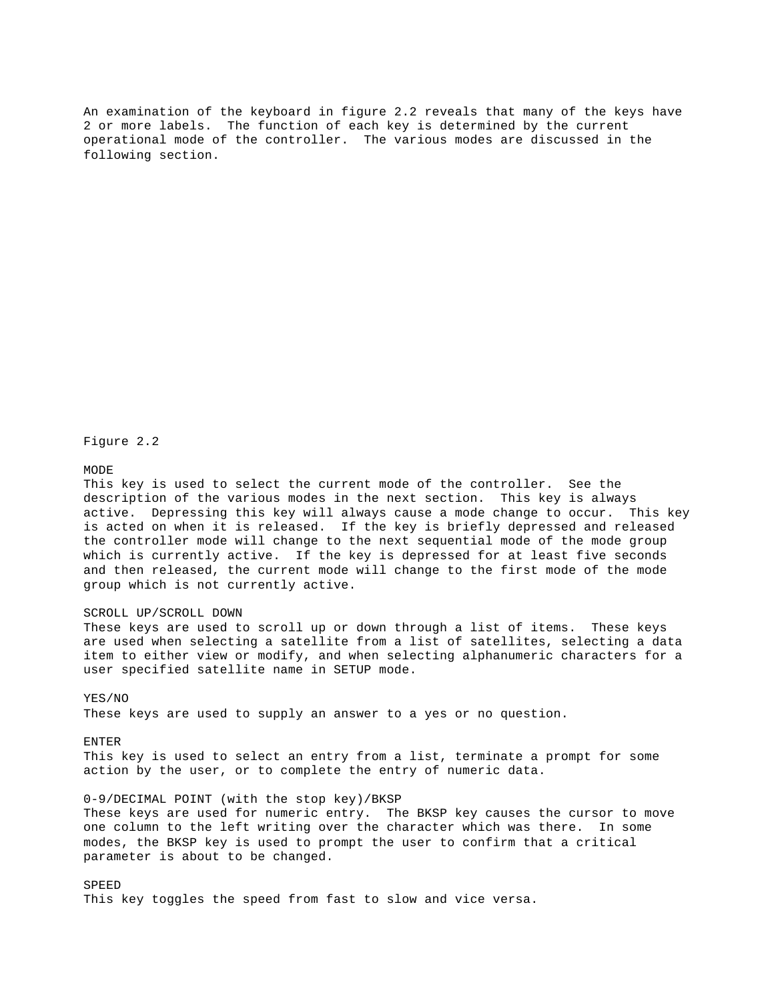An examination of the keyboard in figure 2.2 reveals that many of the keys have 2 or more labels. The function of each key is determined by the current operational mode of the controller. The various modes are discussed in the following section.

Figure 2.2

#### MODE

This key is used to select the current mode of the controller. See the description of the various modes in the next section. This key is always active. Depressing this key will always cause a mode change to occur. This key is acted on when it is released. If the key is briefly depressed and released the controller mode will change to the next sequential mode of the mode group which is currently active. If the key is depressed for at least five seconds and then released, the current mode will change to the first mode of the mode group which is not currently active.

#### SCROLL UP/SCROLL DOWN

These keys are used to scroll up or down through a list of items. These keys are used when selecting a satellite from a list of satellites, selecting a data item to either view or modify, and when selecting alphanumeric characters for a user specified satellite name in SETUP mode.

YES/NO These keys are used to supply an answer to a yes or no question.

ENTER This key is used to select an entry from a list, terminate a prompt for some action by the user, or to complete the entry of numeric data.

0-9/DECIMAL POINT (with the stop key)/BKSP

These keys are used for numeric entry. The BKSP key causes the cursor to move one column to the left writing over the character which was there. In some modes, the BKSP key is used to prompt the user to confirm that a critical parameter is about to be changed.

SPEED This key toggles the speed from fast to slow and vice versa.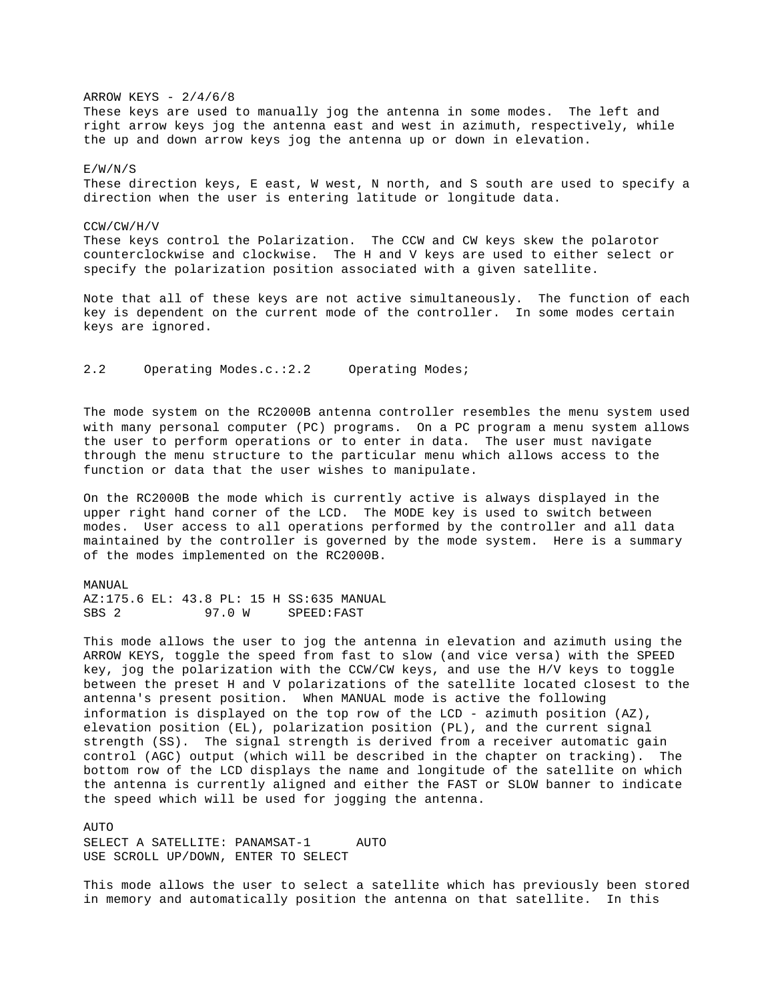ARROW KEYS - 2/4/6/8 These keys are used to manually jog the antenna in some modes. The left and right arrow keys jog the antenna east and west in azimuth, respectively, while the up and down arrow keys jog the antenna up or down in elevation.

E/W/N/S

These direction keys, E east, W west, N north, and S south are used to specify a direction when the user is entering latitude or longitude data.

# CCW/CW/H/V These keys control the Polarization. The CCW and CW keys skew the polarotor counterclockwise and clockwise. The H and V keys are used to either select or specify the polarization position associated with a given satellite.

Note that all of these keys are not active simultaneously. The function of each key is dependent on the current mode of the controller. In some modes certain keys are ignored.

2.2 Operating Modes.c.:2.2 Operating Modes;

The mode system on the RC2000B antenna controller resembles the menu system used with many personal computer (PC) programs. On a PC program a menu system allows the user to perform operations or to enter in data. The user must navigate through the menu structure to the particular menu which allows access to the function or data that the user wishes to manipulate.

On the RC2000B the mode which is currently active is always displayed in the upper right hand corner of the LCD. The MODE key is used to switch between modes. User access to all operations performed by the controller and all data maintained by the controller is governed by the mode system. Here is a summary of the modes implemented on the RC2000B.

MANIJAT, AZ:175.6 EL: 43.8 PL: 15 H SS:635 MANUAL SBS 2 97.0 W SPEED:FAST

This mode allows the user to jog the antenna in elevation and azimuth using the ARROW KEYS, toggle the speed from fast to slow (and vice versa) with the SPEED key, jog the polarization with the CCW/CW keys, and use the H/V keys to toggle between the preset H and V polarizations of the satellite located closest to the antenna's present position. When MANUAL mode is active the following information is displayed on the top row of the LCD - azimuth position (AZ), elevation position (EL), polarization position (PL), and the current signal strength (SS). The signal strength is derived from a receiver automatic gain control (AGC) output (which will be described in the chapter on tracking). The bottom row of the LCD displays the name and longitude of the satellite on which the antenna is currently aligned and either the FAST or SLOW banner to indicate the speed which will be used for jogging the antenna.

AUTO SELECT A SATELLITE: PANAMSAT-1 AUTO USE SCROLL UP/DOWN, ENTER TO SELECT

This mode allows the user to select a satellite which has previously been stored in memory and automatically position the antenna on that satellite. In this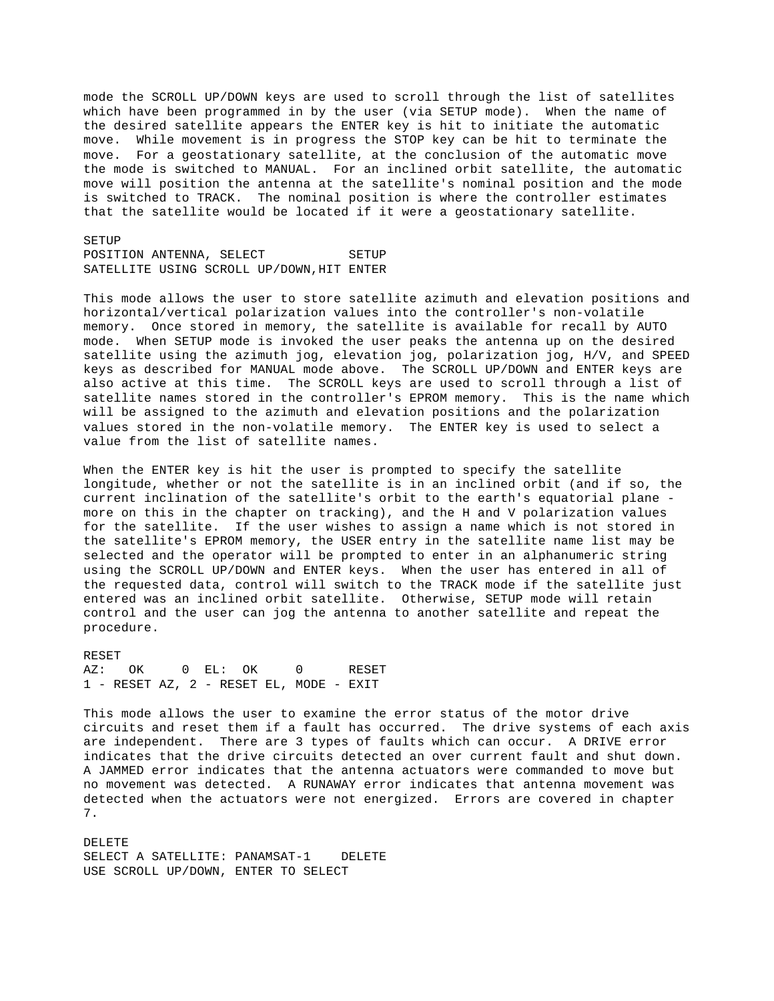mode the SCROLL UP/DOWN keys are used to scroll through the list of satellites which have been programmed in by the user (via SETUP mode). When the name of the desired satellite appears the ENTER key is hit to initiate the automatic move. While movement is in progress the STOP key can be hit to terminate the move. For a geostationary satellite, at the conclusion of the automatic move the mode is switched to MANUAL. For an inclined orbit satellite, the automatic move will position the antenna at the satellite's nominal position and the mode is switched to TRACK. The nominal position is where the controller estimates that the satellite would be located if it were a geostationary satellite.

SETUP POSITION ANTENNA, SELECT SETUP SATELLITE USING SCROLL UP/DOWN,HIT ENTER

This mode allows the user to store satellite azimuth and elevation positions and horizontal/vertical polarization values into the controller's non-volatile memory. Once stored in memory, the satellite is available for recall by AUTO mode. When SETUP mode is invoked the user peaks the antenna up on the desired satellite using the azimuth jog, elevation jog, polarization jog, H/V, and SPEED keys as described for MANUAL mode above. The SCROLL UP/DOWN and ENTER keys are also active at this time. The SCROLL keys are used to scroll through a list of satellite names stored in the controller's EPROM memory. This is the name which will be assigned to the azimuth and elevation positions and the polarization values stored in the non-volatile memory. The ENTER key is used to select a value from the list of satellite names.

When the ENTER key is hit the user is prompted to specify the satellite longitude, whether or not the satellite is in an inclined orbit (and if so, the current inclination of the satellite's orbit to the earth's equatorial plane more on this in the chapter on tracking), and the H and V polarization values for the satellite. If the user wishes to assign a name which is not stored in the satellite's EPROM memory, the USER entry in the satellite name list may be selected and the operator will be prompted to enter in an alphanumeric string using the SCROLL UP/DOWN and ENTER keys. When the user has entered in all of the requested data, control will switch to the TRACK mode if the satellite just entered was an inclined orbit satellite. Otherwise, SETUP mode will retain control and the user can jog the antenna to another satellite and repeat the procedure.

RESET AZ: OK 0 EL: OK 0 RESET 1 - RESET AZ, 2 - RESET EL, MODE - EXIT

This mode allows the user to examine the error status of the motor drive circuits and reset them if a fault has occurred. The drive systems of each axis are independent. There are 3 types of faults which can occur. A DRIVE error indicates that the drive circuits detected an over current fault and shut down. A JAMMED error indicates that the antenna actuators were commanded to move but no movement was detected. A RUNAWAY error indicates that antenna movement was detected when the actuators were not energized. Errors are covered in chapter 7.

DELETE SELECT A SATELLITE: PANAMSAT-1 DELETE USE SCROLL UP/DOWN, ENTER TO SELECT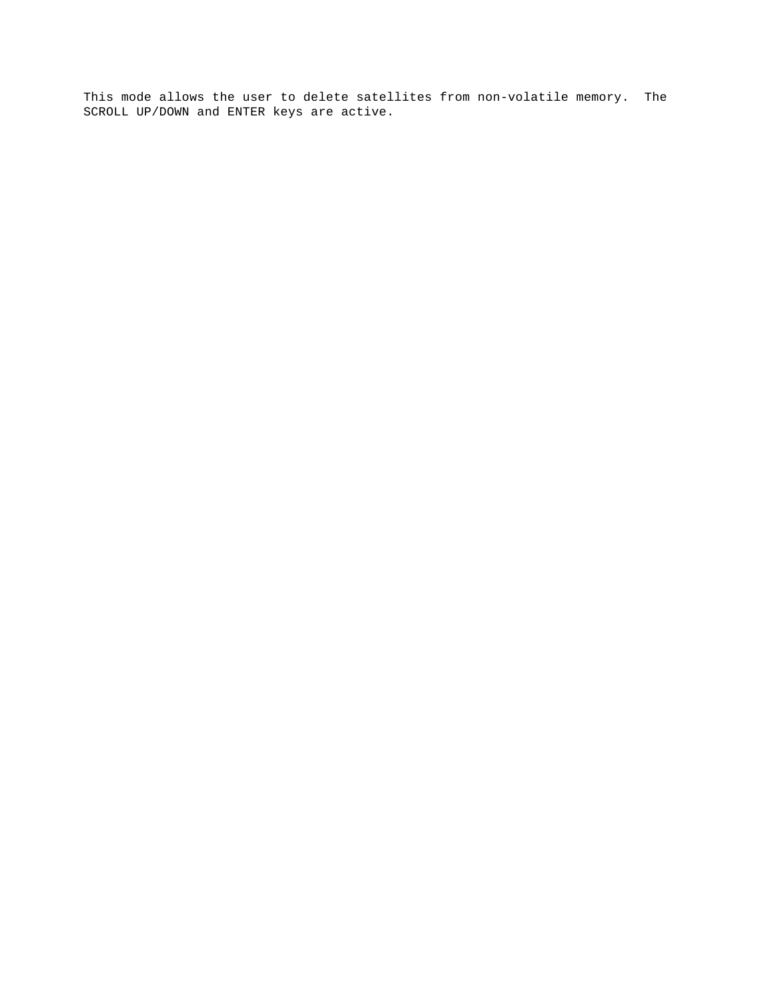This mode allows the user to delete satellites from non-volatile memory. The SCROLL UP/DOWN and ENTER keys are active.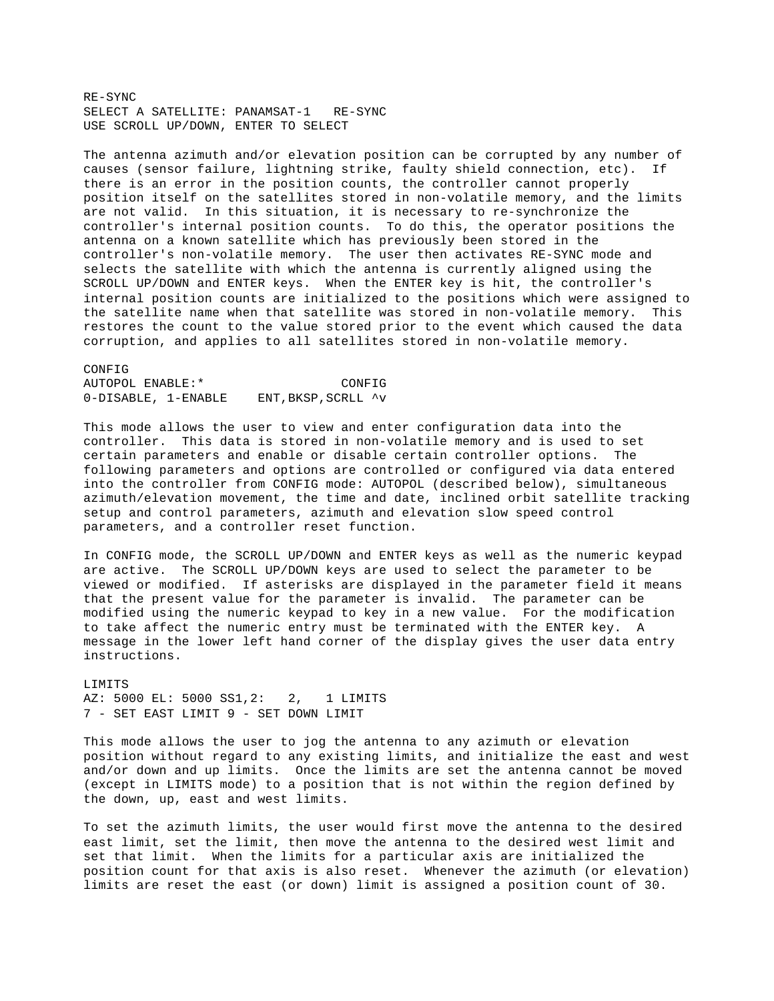RE-SYNC SELECT A SATELLITE: PANAMSAT-1 RE-SYNC USE SCROLL UP/DOWN, ENTER TO SELECT

The antenna azimuth and/or elevation position can be corrupted by any number of causes (sensor failure, lightning strike, faulty shield connection, etc). If there is an error in the position counts, the controller cannot properly position itself on the satellites stored in non-volatile memory, and the limits are not valid. In this situation, it is necessary to re-synchronize the controller's internal position counts. To do this, the operator positions the antenna on a known satellite which has previously been stored in the controller's non-volatile memory. The user then activates RE-SYNC mode and selects the satellite with which the antenna is currently aligned using the SCROLL UP/DOWN and ENTER keys. When the ENTER key is hit, the controller's internal position counts are initialized to the positions which were assigned to the satellite name when that satellite was stored in non-volatile memory. This restores the count to the value stored prior to the event which caused the data corruption, and applies to all satellites stored in non-volatile memory.

CONFIG AUTOPOL ENABLE:\* CONFIG 0-DISABLE, 1-ENABLE ENT,BKSP,SCRLL ^v

This mode allows the user to view and enter configuration data into the controller. This data is stored in non-volatile memory and is used to set certain parameters and enable or disable certain controller options. The following parameters and options are controlled or configured via data entered into the controller from CONFIG mode: AUTOPOL (described below), simultaneous azimuth/elevation movement, the time and date, inclined orbit satellite tracking setup and control parameters, azimuth and elevation slow speed control parameters, and a controller reset function.

In CONFIG mode, the SCROLL UP/DOWN and ENTER keys as well as the numeric keypad are active. The SCROLL UP/DOWN keys are used to select the parameter to be viewed or modified. If asterisks are displayed in the parameter field it means that the present value for the parameter is invalid. The parameter can be modified using the numeric keypad to key in a new value. For the modification to take affect the numeric entry must be terminated with the ENTER key. A message in the lower left hand corner of the display gives the user data entry instructions.

LIMITS AZ: 5000 EL: 5000 SS1,2: 2, 1 LIMITS 7 - SET EAST LIMIT 9 - SET DOWN LIMIT

This mode allows the user to jog the antenna to any azimuth or elevation position without regard to any existing limits, and initialize the east and west and/or down and up limits. Once the limits are set the antenna cannot be moved (except in LIMITS mode) to a position that is not within the region defined by the down, up, east and west limits.

To set the azimuth limits, the user would first move the antenna to the desired east limit, set the limit, then move the antenna to the desired west limit and set that limit. When the limits for a particular axis are initialized the position count for that axis is also reset. Whenever the azimuth (or elevation) limits are reset the east (or down) limit is assigned a position count of 30.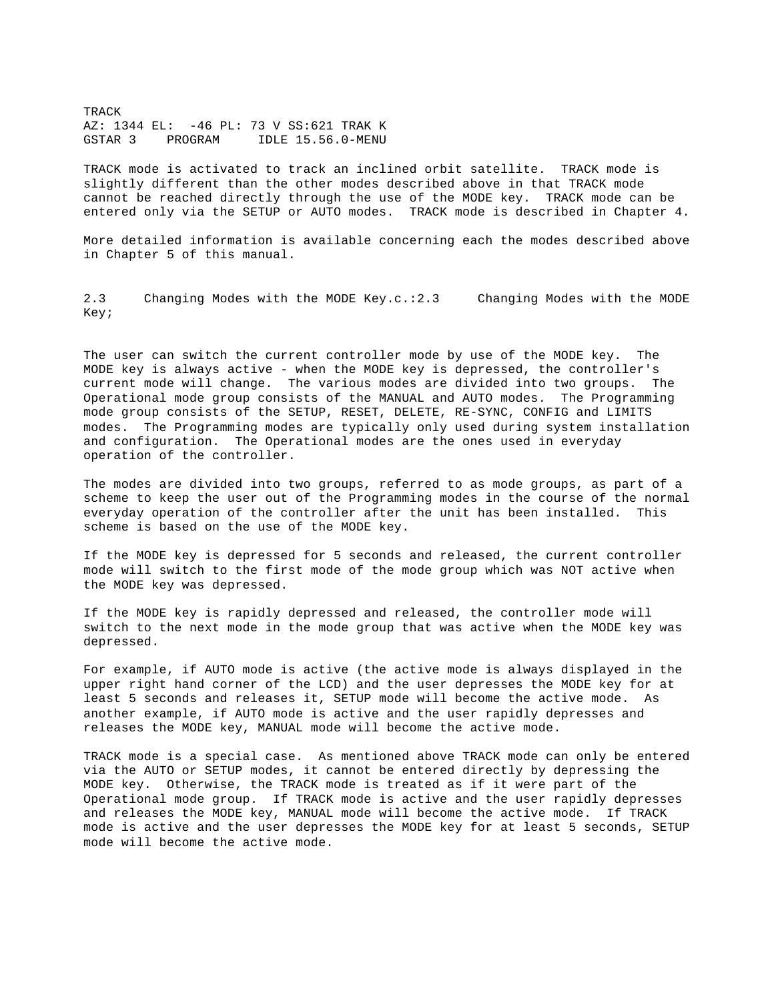TRACK AZ: 1344 EL: -46 PL: 73 V SS:621 TRAK K GSTAR 3 PROGRAM IDLE 15.56.0-MENU

TRACK mode is activated to track an inclined orbit satellite. TRACK mode is slightly different than the other modes described above in that TRACK mode cannot be reached directly through the use of the MODE key. TRACK mode can be entered only via the SETUP or AUTO modes. TRACK mode is described in Chapter 4.

More detailed information is available concerning each the modes described above in Chapter 5 of this manual.

2.3 Changing Modes with the MODE Key.c.:2.3 Changing Modes with the MODE Key;

The user can switch the current controller mode by use of the MODE key. The MODE key is always active - when the MODE key is depressed, the controller's current mode will change. The various modes are divided into two groups. The Operational mode group consists of the MANUAL and AUTO modes. The Programming mode group consists of the SETUP, RESET, DELETE, RE-SYNC, CONFIG and LIMITS modes. The Programming modes are typically only used during system installation and configuration. The Operational modes are the ones used in everyday operation of the controller.

The modes are divided into two groups, referred to as mode groups, as part of a scheme to keep the user out of the Programming modes in the course of the normal everyday operation of the controller after the unit has been installed. This scheme is based on the use of the MODE key.

If the MODE key is depressed for 5 seconds and released, the current controller mode will switch to the first mode of the mode group which was NOT active when the MODE key was depressed.

If the MODE key is rapidly depressed and released, the controller mode will switch to the next mode in the mode group that was active when the MODE key was depressed.

For example, if AUTO mode is active (the active mode is always displayed in the upper right hand corner of the LCD) and the user depresses the MODE key for at least 5 seconds and releases it, SETUP mode will become the active mode. As another example, if AUTO mode is active and the user rapidly depresses and releases the MODE key, MANUAL mode will become the active mode.

TRACK mode is a special case. As mentioned above TRACK mode can only be entered via the AUTO or SETUP modes, it cannot be entered directly by depressing the MODE key. Otherwise, the TRACK mode is treated as if it were part of the Operational mode group. If TRACK mode is active and the user rapidly depresses and releases the MODE key, MANUAL mode will become the active mode. If TRACK mode is active and the user depresses the MODE key for at least 5 seconds, SETUP mode will become the active mode.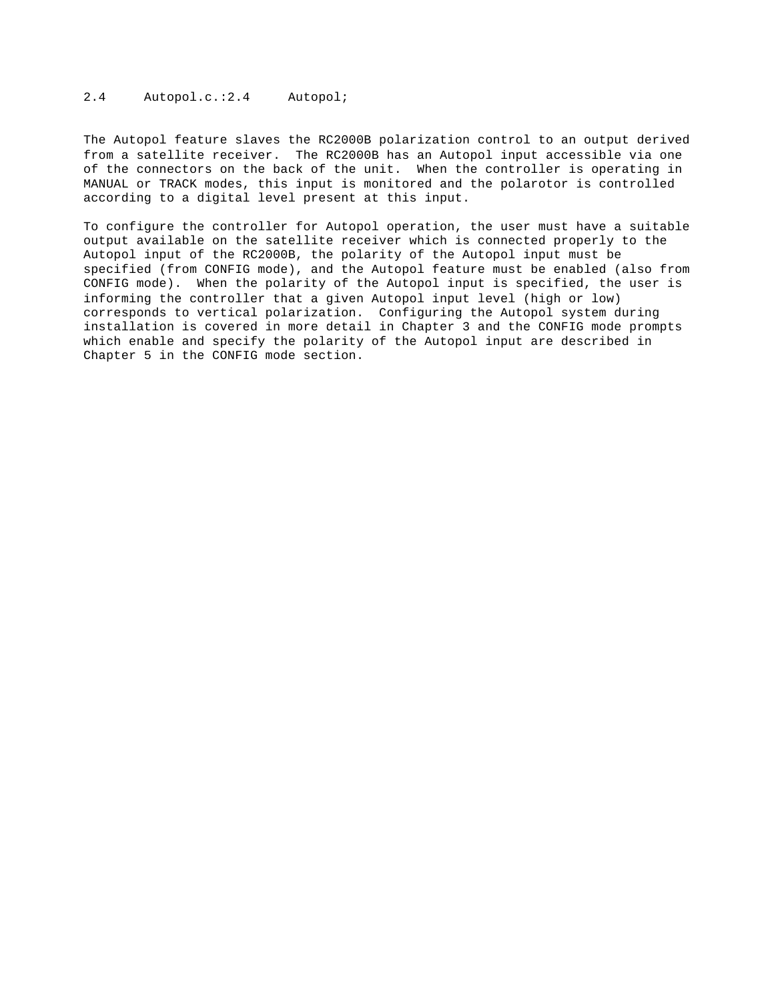# 2.4 Autopol.c.:2.4 Autopol;

The Autopol feature slaves the RC2000B polarization control to an output derived from a satellite receiver. The RC2000B has an Autopol input accessible via one of the connectors on the back of the unit. When the controller is operating in MANUAL or TRACK modes, this input is monitored and the polarotor is controlled according to a digital level present at this input.

To configure the controller for Autopol operation, the user must have a suitable output available on the satellite receiver which is connected properly to the Autopol input of the RC2000B, the polarity of the Autopol input must be specified (from CONFIG mode), and the Autopol feature must be enabled (also from CONFIG mode). When the polarity of the Autopol input is specified, the user is informing the controller that a given Autopol input level (high or low) corresponds to vertical polarization. Configuring the Autopol system during installation is covered in more detail in Chapter 3 and the CONFIG mode prompts which enable and specify the polarity of the Autopol input are described in Chapter 5 in the CONFIG mode section.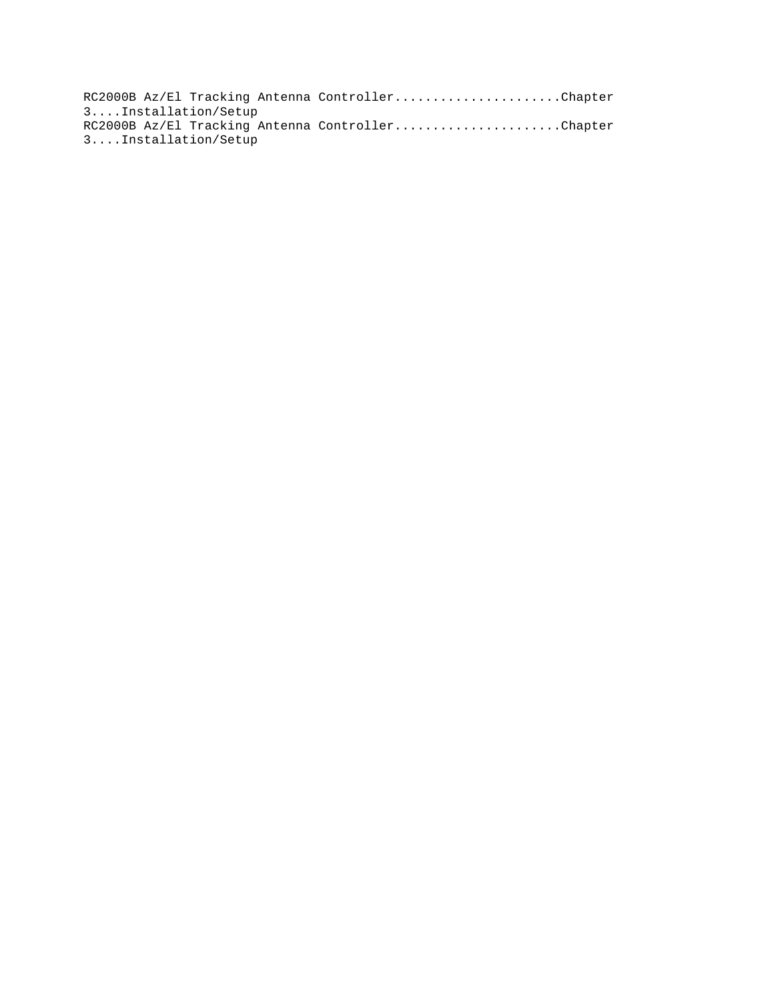RC2000B Az/El Tracking Antenna Controller.......................Chapter 3....Installation/Setup RC2000B Az/El Tracking Antenna Controller.......................Chapter 3....Installation/Setup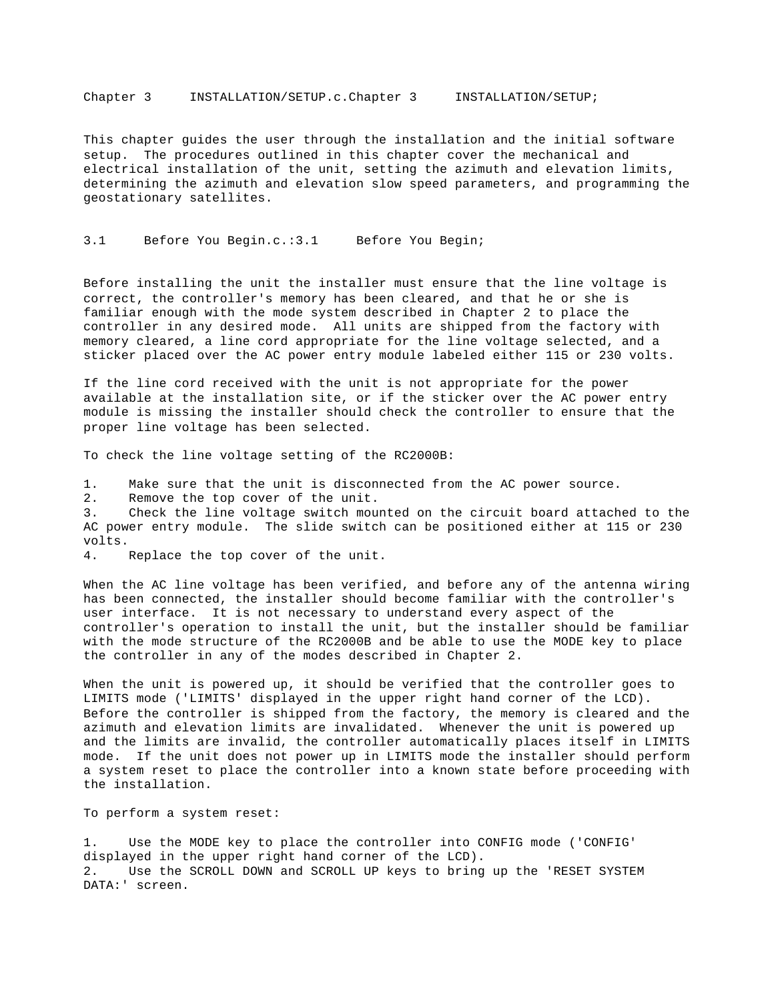## Chapter 3 INSTALLATION/SETUP.c.Chapter 3 INSTALLATION/SETUP;

This chapter guides the user through the installation and the initial software setup. The procedures outlined in this chapter cover the mechanical and electrical installation of the unit, setting the azimuth and elevation limits, determining the azimuth and elevation slow speed parameters, and programming the geostationary satellites.

#### 3.1 Before You Begin.c.:3.1 Before You Begin;

Before installing the unit the installer must ensure that the line voltage is correct, the controller's memory has been cleared, and that he or she is familiar enough with the mode system described in Chapter 2 to place the controller in any desired mode. All units are shipped from the factory with memory cleared, a line cord appropriate for the line voltage selected, and a sticker placed over the AC power entry module labeled either 115 or 230 volts.

If the line cord received with the unit is not appropriate for the power available at the installation site, or if the sticker over the AC power entry module is missing the installer should check the controller to ensure that the proper line voltage has been selected.

To check the line voltage setting of the RC2000B:

1. Make sure that the unit is disconnected from the AC power source.

2. Remove the top cover of the unit.

3. Check the line voltage switch mounted on the circuit board attached to the AC power entry module. The slide switch can be positioned either at 115 or 230 volts.

4. Replace the top cover of the unit.

When the AC line voltage has been verified, and before any of the antenna wiring has been connected, the installer should become familiar with the controller's user interface. It is not necessary to understand every aspect of the controller's operation to install the unit, but the installer should be familiar with the mode structure of the RC2000B and be able to use the MODE key to place the controller in any of the modes described in Chapter 2.

When the unit is powered up, it should be verified that the controller goes to LIMITS mode ('LIMITS' displayed in the upper right hand corner of the LCD). Before the controller is shipped from the factory, the memory is cleared and the azimuth and elevation limits are invalidated. Whenever the unit is powered up and the limits are invalid, the controller automatically places itself in LIMITS mode. If the unit does not power up in LIMITS mode the installer should perform a system reset to place the controller into a known state before proceeding with the installation.

To perform a system reset:

1. Use the MODE key to place the controller into CONFIG mode ('CONFIG' displayed in the upper right hand corner of the LCD). 2. Use the SCROLL DOWN and SCROLL UP keys to bring up the 'RESET SYSTEM DATA:' screen.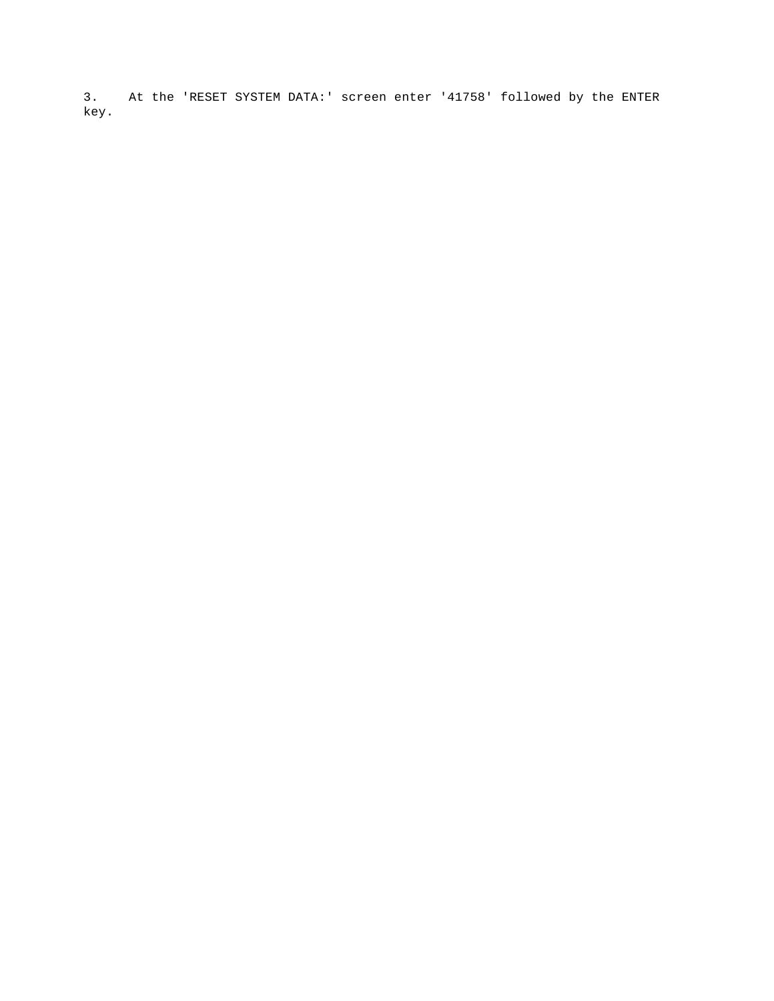3. At the 'RESET SYSTEM DATA:' screen enter '41758' followed by the ENTER key.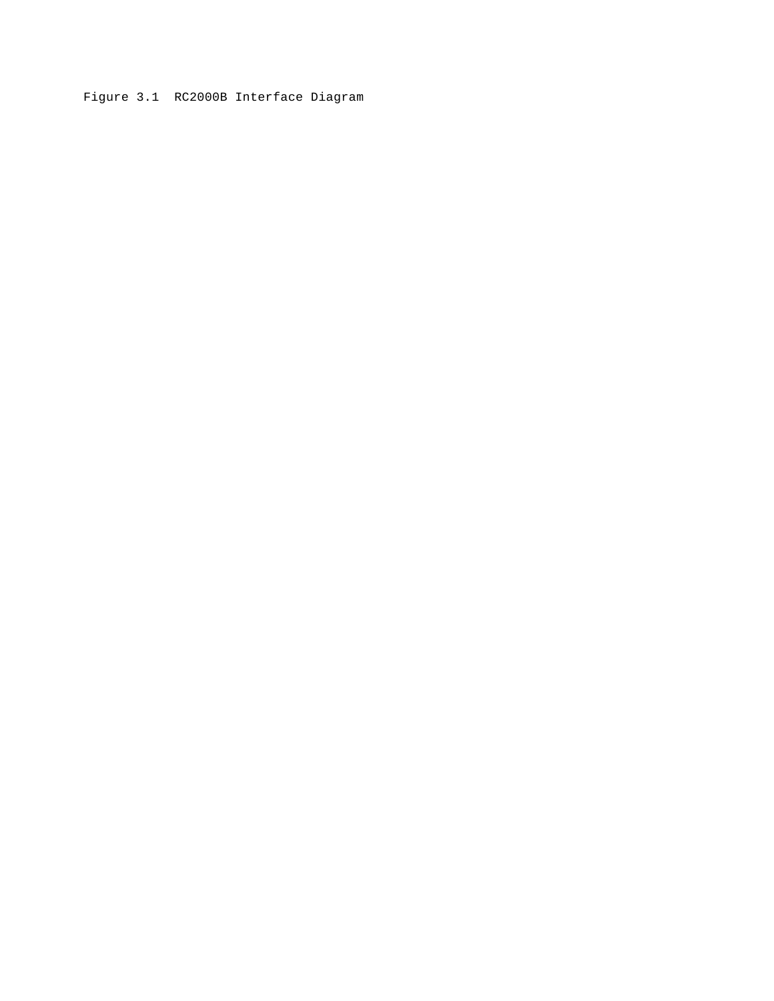Figure 3.1 RC2000B Interface Diagram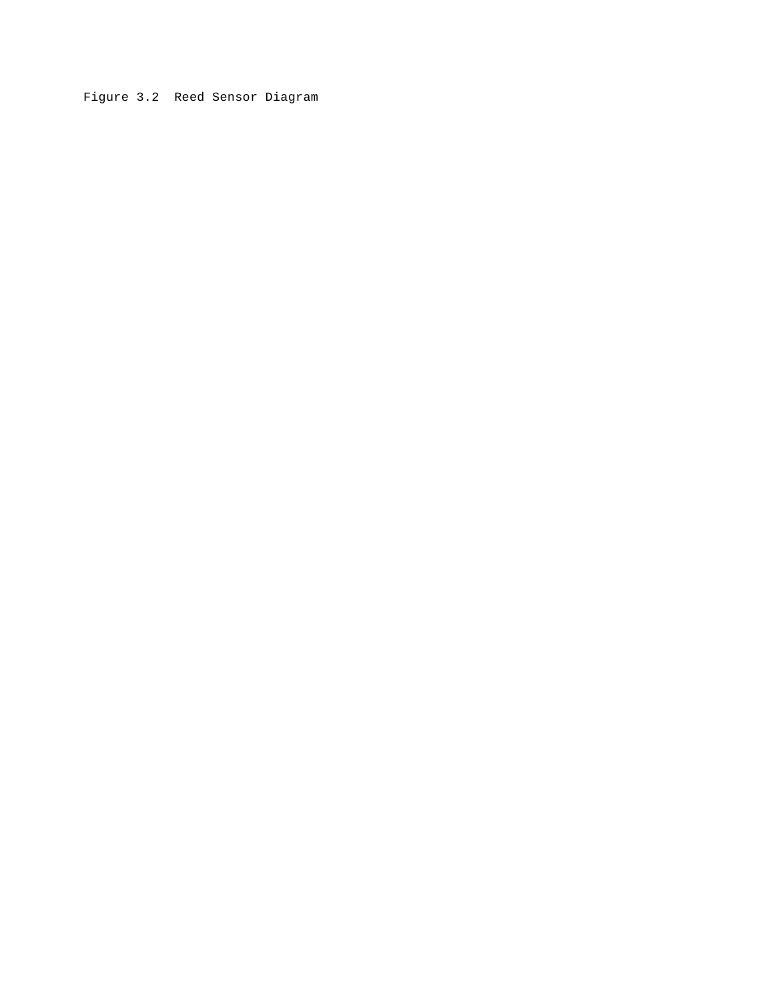Figure 3.2 Reed Sensor Diagram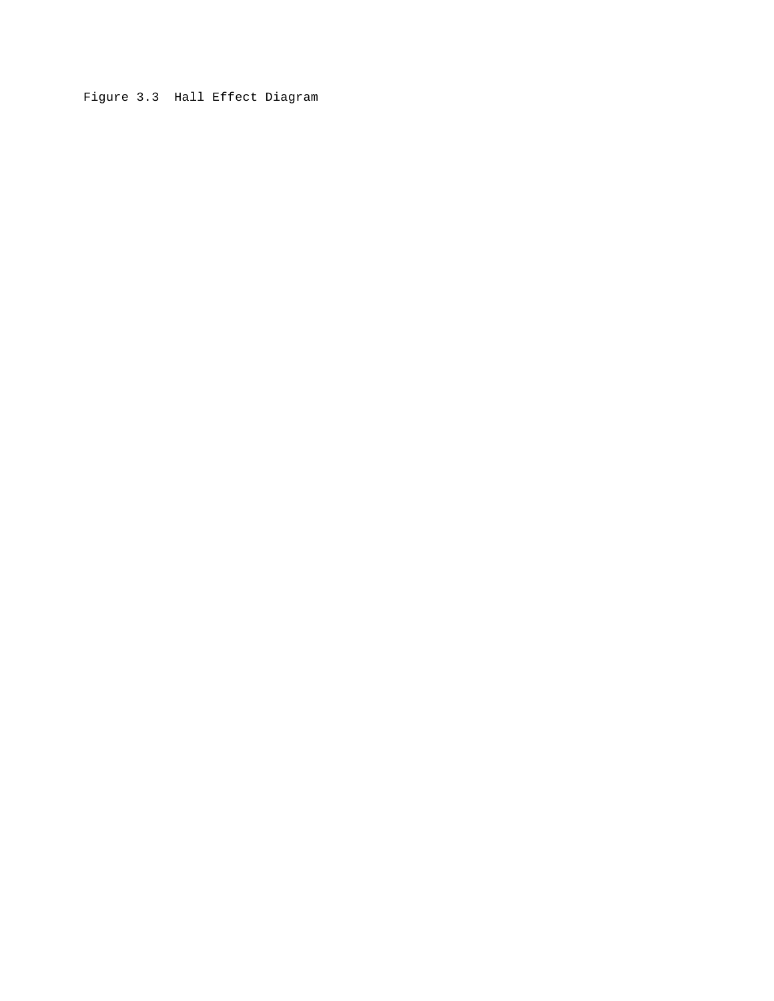Figure 3.3 Hall Effect Diagram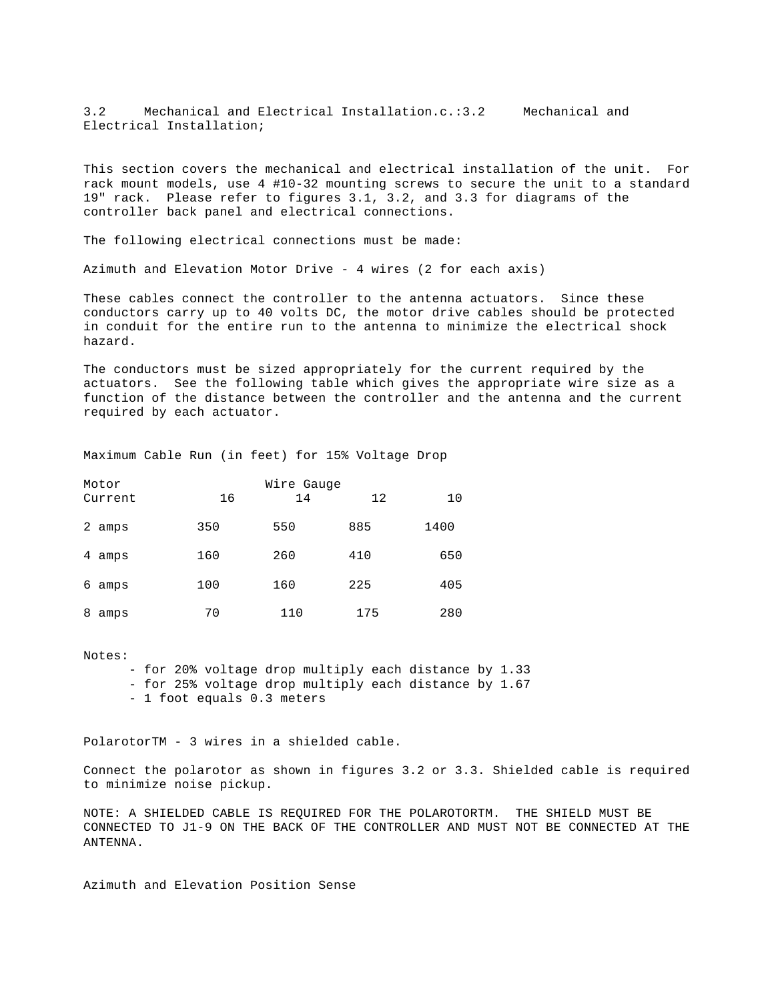3.2 Mechanical and Electrical Installation.c.:3.2 Mechanical and Electrical Installation;

This section covers the mechanical and electrical installation of the unit. For rack mount models, use 4 #10-32 mounting screws to secure the unit to a standard 19" rack. Please refer to figures 3.1, 3.2, and 3.3 for diagrams of the controller back panel and electrical connections.

The following electrical connections must be made:

Azimuth and Elevation Motor Drive - 4 wires (2 for each axis)

These cables connect the controller to the antenna actuators. Since these conductors carry up to 40 volts DC, the motor drive cables should be protected in conduit for the entire run to the antenna to minimize the electrical shock hazard.

The conductors must be sized appropriately for the current required by the actuators. See the following table which gives the appropriate wire size as a function of the distance between the controller and the antenna and the current required by each actuator.

| Motor     | 16  | 10  |     |      |
|-----------|-----|-----|-----|------|
| Current   |     | 14  | 12  |      |
| 2<br>amps | 350 | 550 | 885 | 1400 |
| 4<br>amps | 160 | 260 | 410 | 650  |
| 6<br>amps | 100 | 160 | 225 | 405  |
| 8<br>amps | 70  | 110 | 175 | 280  |

Maximum Cable Run (in feet) for 15% Voltage Drop

Notes:

- for 20% voltage drop multiply each distance by 1.33 - for 25% voltage drop multiply each distance by 1.67 - 1 foot equals 0.3 meters

PolarotorTM - 3 wires in a shielded cable.

Connect the polarotor as shown in figures 3.2 or 3.3. Shielded cable is required to minimize noise pickup.

NOTE: A SHIELDED CABLE IS REQUIRED FOR THE POLAROTORTM. THE SHIELD MUST BE CONNECTED TO J1-9 ON THE BACK OF THE CONTROLLER AND MUST NOT BE CONNECTED AT THE ANTENNA.

Azimuth and Elevation Position Sense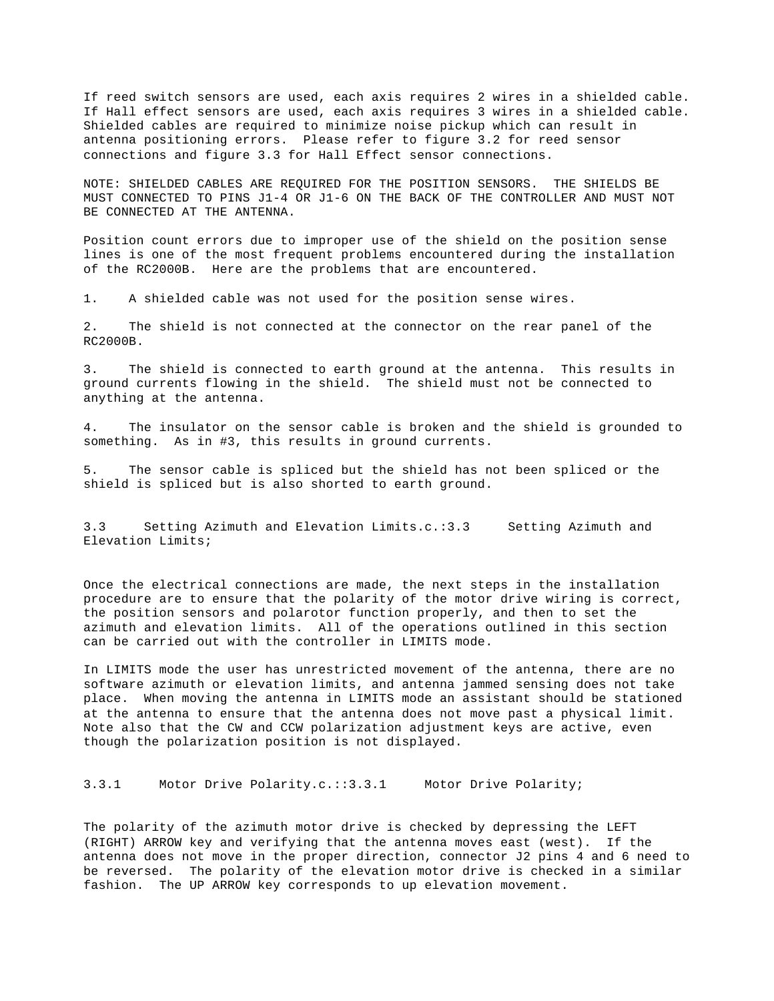If reed switch sensors are used, each axis requires 2 wires in a shielded cable. If Hall effect sensors are used, each axis requires 3 wires in a shielded cable. Shielded cables are required to minimize noise pickup which can result in antenna positioning errors. Please refer to figure 3.2 for reed sensor connections and figure 3.3 for Hall Effect sensor connections.

NOTE: SHIELDED CABLES ARE REQUIRED FOR THE POSITION SENSORS. THE SHIELDS BE MUST CONNECTED TO PINS J1-4 OR J1-6 ON THE BACK OF THE CONTROLLER AND MUST NOT BE CONNECTED AT THE ANTENNA.

Position count errors due to improper use of the shield on the position sense lines is one of the most frequent problems encountered during the installation of the RC2000B. Here are the problems that are encountered.

1. A shielded cable was not used for the position sense wires.

2. The shield is not connected at the connector on the rear panel of the RC2000B.

3. The shield is connected to earth ground at the antenna. This results in ground currents flowing in the shield. The shield must not be connected to anything at the antenna.

4. The insulator on the sensor cable is broken and the shield is grounded to something. As in #3, this results in ground currents.

5. The sensor cable is spliced but the shield has not been spliced or the shield is spliced but is also shorted to earth ground.

3.3 Setting Azimuth and Elevation Limits.c.:3.3 Setting Azimuth and Elevation Limits;

Once the electrical connections are made, the next steps in the installation procedure are to ensure that the polarity of the motor drive wiring is correct, the position sensors and polarotor function properly, and then to set the azimuth and elevation limits. All of the operations outlined in this section can be carried out with the controller in LIMITS mode.

In LIMITS mode the user has unrestricted movement of the antenna, there are no software azimuth or elevation limits, and antenna jammed sensing does not take place. When moving the antenna in LIMITS mode an assistant should be stationed at the antenna to ensure that the antenna does not move past a physical limit. Note also that the CW and CCW polarization adjustment keys are active, even though the polarization position is not displayed.

3.3.1 Motor Drive Polarity.c.::3.3.1 Motor Drive Polarity;

The polarity of the azimuth motor drive is checked by depressing the LEFT (RIGHT) ARROW key and verifying that the antenna moves east (west). If the antenna does not move in the proper direction, connector J2 pins 4 and 6 need to be reversed. The polarity of the elevation motor drive is checked in a similar fashion. The UP ARROW key corresponds to up elevation movement.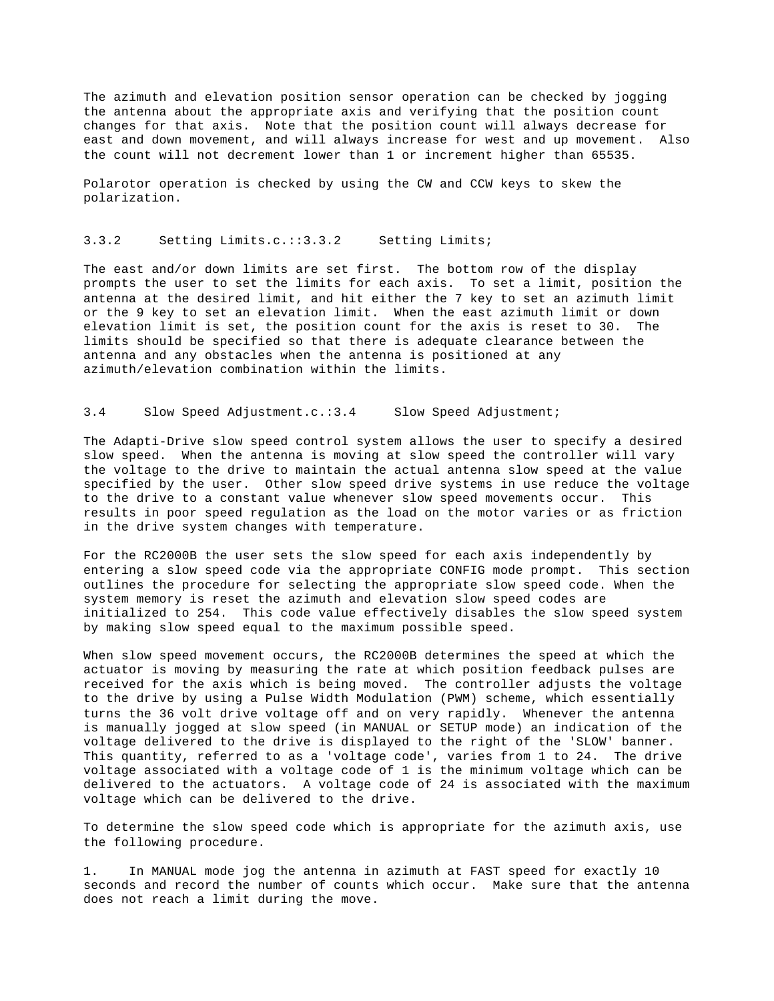The azimuth and elevation position sensor operation can be checked by jogging the antenna about the appropriate axis and verifying that the position count changes for that axis. Note that the position count will always decrease for east and down movement, and will always increase for west and up movement. Also the count will not decrement lower than 1 or increment higher than 65535.

Polarotor operation is checked by using the CW and CCW keys to skew the polarization.

#### 3.3.2 Setting Limits.c.::3.3.2 Setting Limits;

The east and/or down limits are set first. The bottom row of the display prompts the user to set the limits for each axis. To set a limit, position the antenna at the desired limit, and hit either the 7 key to set an azimuth limit or the 9 key to set an elevation limit. When the east azimuth limit or down elevation limit is set, the position count for the axis is reset to 30. The limits should be specified so that there is adequate clearance between the antenna and any obstacles when the antenna is positioned at any azimuth/elevation combination within the limits.

## 3.4 Slow Speed Adjustment.c.:3.4 Slow Speed Adjustment;

The Adapti-Drive slow speed control system allows the user to specify a desired slow speed. When the antenna is moving at slow speed the controller will vary the voltage to the drive to maintain the actual antenna slow speed at the value specified by the user. Other slow speed drive systems in use reduce the voltage to the drive to a constant value whenever slow speed movements occur. This results in poor speed regulation as the load on the motor varies or as friction in the drive system changes with temperature.

For the RC2000B the user sets the slow speed for each axis independently by entering a slow speed code via the appropriate CONFIG mode prompt. This section outlines the procedure for selecting the appropriate slow speed code. When the system memory is reset the azimuth and elevation slow speed codes are initialized to 254. This code value effectively disables the slow speed system by making slow speed equal to the maximum possible speed.

When slow speed movement occurs, the RC2000B determines the speed at which the actuator is moving by measuring the rate at which position feedback pulses are received for the axis which is being moved. The controller adjusts the voltage to the drive by using a Pulse Width Modulation (PWM) scheme, which essentially turns the 36 volt drive voltage off and on very rapidly. Whenever the antenna is manually jogged at slow speed (in MANUAL or SETUP mode) an indication of the voltage delivered to the drive is displayed to the right of the 'SLOW' banner. This quantity, referred to as a 'voltage code', varies from 1 to 24. The drive voltage associated with a voltage code of 1 is the minimum voltage which can be delivered to the actuators. A voltage code of 24 is associated with the maximum voltage which can be delivered to the drive.

To determine the slow speed code which is appropriate for the azimuth axis, use the following procedure.

1. In MANUAL mode jog the antenna in azimuth at FAST speed for exactly 10 seconds and record the number of counts which occur. Make sure that the antenna does not reach a limit during the move.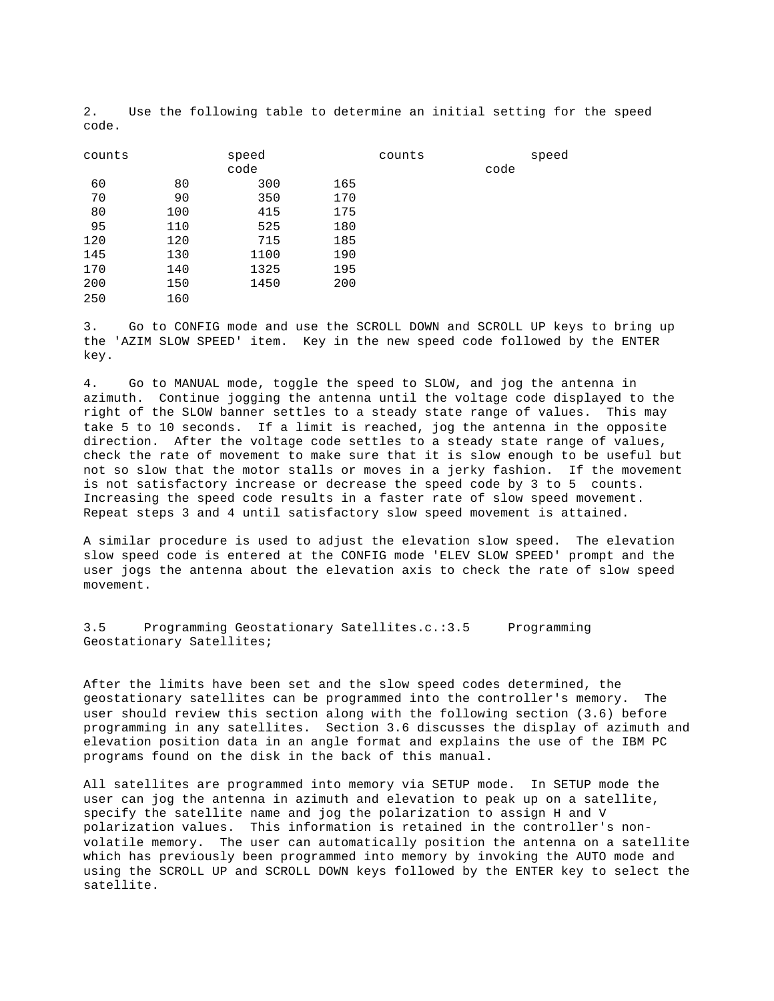2. Use the following table to determine an initial setting for the speed code.

| counts |     | speed |     | counts |      | speed |
|--------|-----|-------|-----|--------|------|-------|
|        |     | code  |     |        | code |       |
| 60     | 80  | 300   | 165 |        |      |       |
| 70     | 90  | 350   | 170 |        |      |       |
| 80     | 100 | 415   | 175 |        |      |       |
| 95     | 110 | 525   | 180 |        |      |       |
| 120    | 120 | 715   | 185 |        |      |       |
| 145    | 130 | 1100  | 190 |        |      |       |
| 170    | 140 | 1325  | 195 |        |      |       |
| 200    | 150 | 1450  | 200 |        |      |       |
| 250    | 160 |       |     |        |      |       |

3. Go to CONFIG mode and use the SCROLL DOWN and SCROLL UP keys to bring up the 'AZIM SLOW SPEED' item. Key in the new speed code followed by the ENTER key.

4. Go to MANUAL mode, toggle the speed to SLOW, and jog the antenna in azimuth. Continue jogging the antenna until the voltage code displayed to the right of the SLOW banner settles to a steady state range of values. This may take 5 to 10 seconds. If a limit is reached, jog the antenna in the opposite direction. After the voltage code settles to a steady state range of values, check the rate of movement to make sure that it is slow enough to be useful but not so slow that the motor stalls or moves in a jerky fashion. If the movement is not satisfactory increase or decrease the speed code by 3 to 5 counts. Increasing the speed code results in a faster rate of slow speed movement. Repeat steps 3 and 4 until satisfactory slow speed movement is attained.

A similar procedure is used to adjust the elevation slow speed. The elevation slow speed code is entered at the CONFIG mode 'ELEV SLOW SPEED' prompt and the user jogs the antenna about the elevation axis to check the rate of slow speed movement.

3.5 Programming Geostationary Satellites.c.:3.5 Programming Geostationary Satellites;

After the limits have been set and the slow speed codes determined, the geostationary satellites can be programmed into the controller's memory. The user should review this section along with the following section (3.6) before programming in any satellites. Section 3.6 discusses the display of azimuth and elevation position data in an angle format and explains the use of the IBM PC programs found on the disk in the back of this manual.

All satellites are programmed into memory via SETUP mode. In SETUP mode the user can jog the antenna in azimuth and elevation to peak up on a satellite, specify the satellite name and jog the polarization to assign H and V polarization values. This information is retained in the controller's nonvolatile memory. The user can automatically position the antenna on a satellite which has previously been programmed into memory by invoking the AUTO mode and using the SCROLL UP and SCROLL DOWN keys followed by the ENTER key to select the satellite.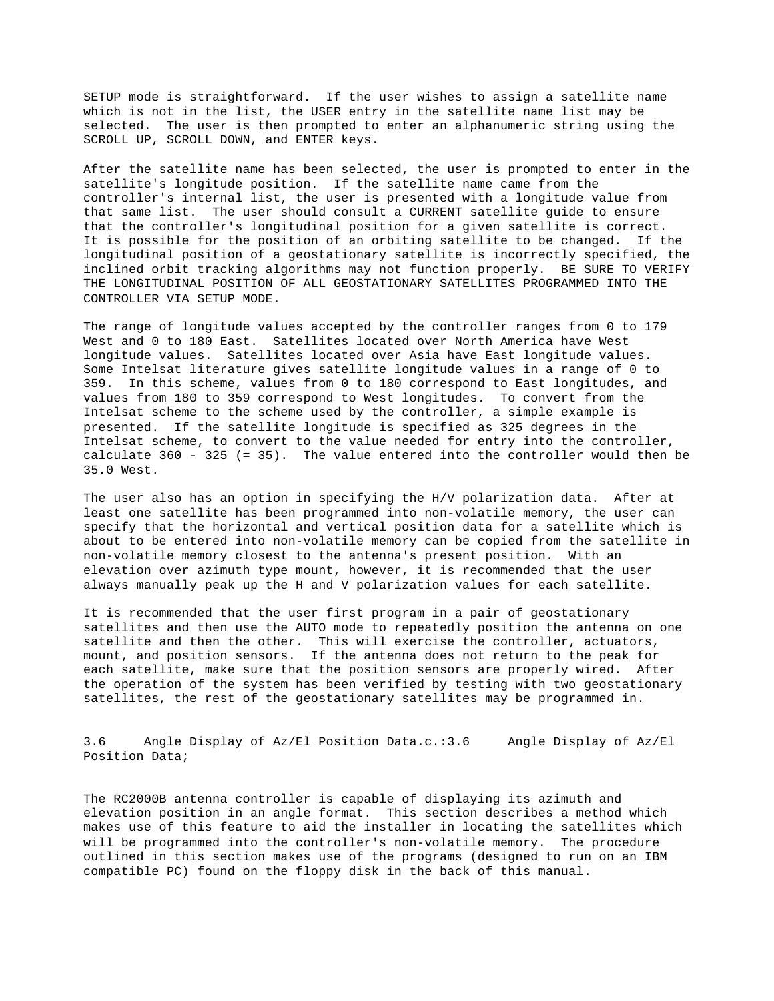SETUP mode is straightforward. If the user wishes to assign a satellite name which is not in the list, the USER entry in the satellite name list may be selected. The user is then prompted to enter an alphanumeric string using the SCROLL UP, SCROLL DOWN, and ENTER keys.

After the satellite name has been selected, the user is prompted to enter in the satellite's longitude position. If the satellite name came from the controller's internal list, the user is presented with a longitude value from that same list. The user should consult a CURRENT satellite guide to ensure that the controller's longitudinal position for a given satellite is correct. It is possible for the position of an orbiting satellite to be changed. If the longitudinal position of a geostationary satellite is incorrectly specified, the inclined orbit tracking algorithms may not function properly. BE SURE TO VERIFY THE LONGITUDINAL POSITION OF ALL GEOSTATIONARY SATELLITES PROGRAMMED INTO THE CONTROLLER VIA SETUP MODE.

The range of longitude values accepted by the controller ranges from 0 to 179 West and 0 to 180 East. Satellites located over North America have West longitude values. Satellites located over Asia have East longitude values. Some Intelsat literature gives satellite longitude values in a range of 0 to 359. In this scheme, values from 0 to 180 correspond to East longitudes, and values from 180 to 359 correspond to West longitudes. To convert from the Intelsat scheme to the scheme used by the controller, a simple example is presented. If the satellite longitude is specified as 325 degrees in the Intelsat scheme, to convert to the value needed for entry into the controller, calculate 360 - 325 (= 35). The value entered into the controller would then be 35.0 West.

The user also has an option in specifying the H/V polarization data. After at least one satellite has been programmed into non-volatile memory, the user can specify that the horizontal and vertical position data for a satellite which is about to be entered into non-volatile memory can be copied from the satellite in non-volatile memory closest to the antenna's present position. With an elevation over azimuth type mount, however, it is recommended that the user always manually peak up the H and V polarization values for each satellite.

It is recommended that the user first program in a pair of geostationary satellites and then use the AUTO mode to repeatedly position the antenna on one satellite and then the other. This will exercise the controller, actuators, mount, and position sensors. If the antenna does not return to the peak for each satellite, make sure that the position sensors are properly wired. After the operation of the system has been verified by testing with two geostationary satellites, the rest of the geostationary satellites may be programmed in.

3.6 Angle Display of Az/El Position Data.c.:3.6 Angle Display of Az/El Position Data;

The RC2000B antenna controller is capable of displaying its azimuth and elevation position in an angle format. This section describes a method which makes use of this feature to aid the installer in locating the satellites which will be programmed into the controller's non-volatile memory. The procedure outlined in this section makes use of the programs (designed to run on an IBM compatible PC) found on the floppy disk in the back of this manual.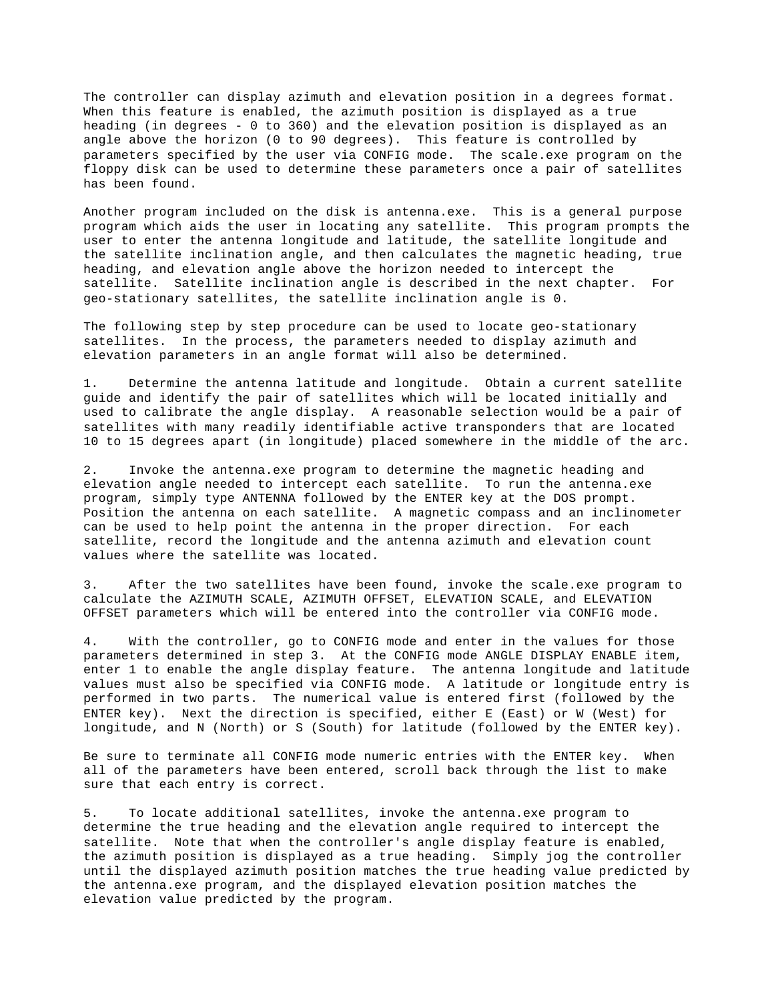The controller can display azimuth and elevation position in a degrees format. When this feature is enabled, the azimuth position is displayed as a true heading (in degrees - 0 to 360) and the elevation position is displayed as an angle above the horizon (0 to 90 degrees). This feature is controlled by parameters specified by the user via CONFIG mode. The scale.exe program on the floppy disk can be used to determine these parameters once a pair of satellites has been found.

Another program included on the disk is antenna.exe. This is a general purpose program which aids the user in locating any satellite. This program prompts the user to enter the antenna longitude and latitude, the satellite longitude and the satellite inclination angle, and then calculates the magnetic heading, true heading, and elevation angle above the horizon needed to intercept the satellite. Satellite inclination angle is described in the next chapter. For geo-stationary satellites, the satellite inclination angle is 0.

The following step by step procedure can be used to locate geo-stationary satellites. In the process, the parameters needed to display azimuth and elevation parameters in an angle format will also be determined.

1. Determine the antenna latitude and longitude. Obtain a current satellite guide and identify the pair of satellites which will be located initially and used to calibrate the angle display. A reasonable selection would be a pair of satellites with many readily identifiable active transponders that are located 10 to 15 degrees apart (in longitude) placed somewhere in the middle of the arc.

2. Invoke the antenna.exe program to determine the magnetic heading and elevation angle needed to intercept each satellite. To run the antenna.exe program, simply type ANTENNA followed by the ENTER key at the DOS prompt. Position the antenna on each satellite. A magnetic compass and an inclinometer can be used to help point the antenna in the proper direction. For each satellite, record the longitude and the antenna azimuth and elevation count values where the satellite was located.

3. After the two satellites have been found, invoke the scale.exe program to calculate the AZIMUTH SCALE, AZIMUTH OFFSET, ELEVATION SCALE, and ELEVATION OFFSET parameters which will be entered into the controller via CONFIG mode.

4. With the controller, go to CONFIG mode and enter in the values for those parameters determined in step 3. At the CONFIG mode ANGLE DISPLAY ENABLE item, enter 1 to enable the angle display feature. The antenna longitude and latitude values must also be specified via CONFIG mode. A latitude or longitude entry is performed in two parts. The numerical value is entered first (followed by the ENTER key). Next the direction is specified, either E (East) or W (West) for longitude, and N (North) or S (South) for latitude (followed by the ENTER key).

Be sure to terminate all CONFIG mode numeric entries with the ENTER key. When all of the parameters have been entered, scroll back through the list to make sure that each entry is correct.

5. To locate additional satellites, invoke the antenna.exe program to determine the true heading and the elevation angle required to intercept the satellite. Note that when the controller's angle display feature is enabled, the azimuth position is displayed as a true heading. Simply jog the controller until the displayed azimuth position matches the true heading value predicted by the antenna.exe program, and the displayed elevation position matches the elevation value predicted by the program.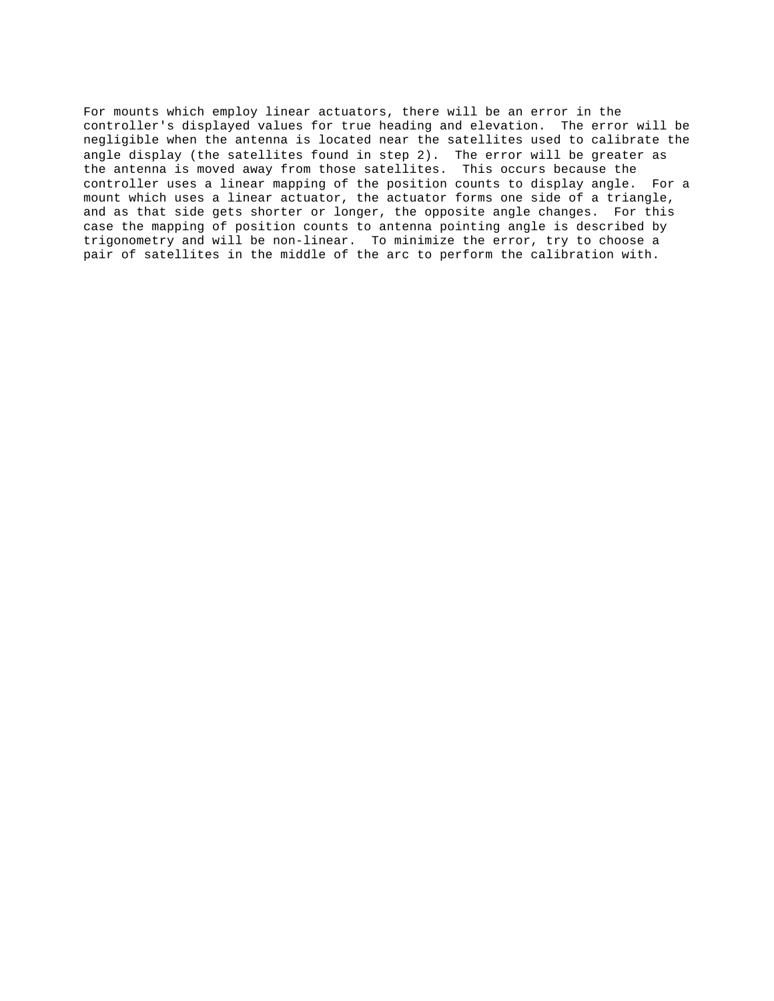For mounts which employ linear actuators, there will be an error in the controller's displayed values for true heading and elevation. The error will be negligible when the antenna is located near the satellites used to calibrate the angle display (the satellites found in step 2). The error will be greater as the antenna is moved away from those satellites. This occurs because the controller uses a linear mapping of the position counts to display angle. For a mount which uses a linear actuator, the actuator forms one side of a triangle, and as that side gets shorter or longer, the opposite angle changes. For this case the mapping of position counts to antenna pointing angle is described by trigonometry and will be non-linear. To minimize the error, try to choose a pair of satellites in the middle of the arc to perform the calibration with.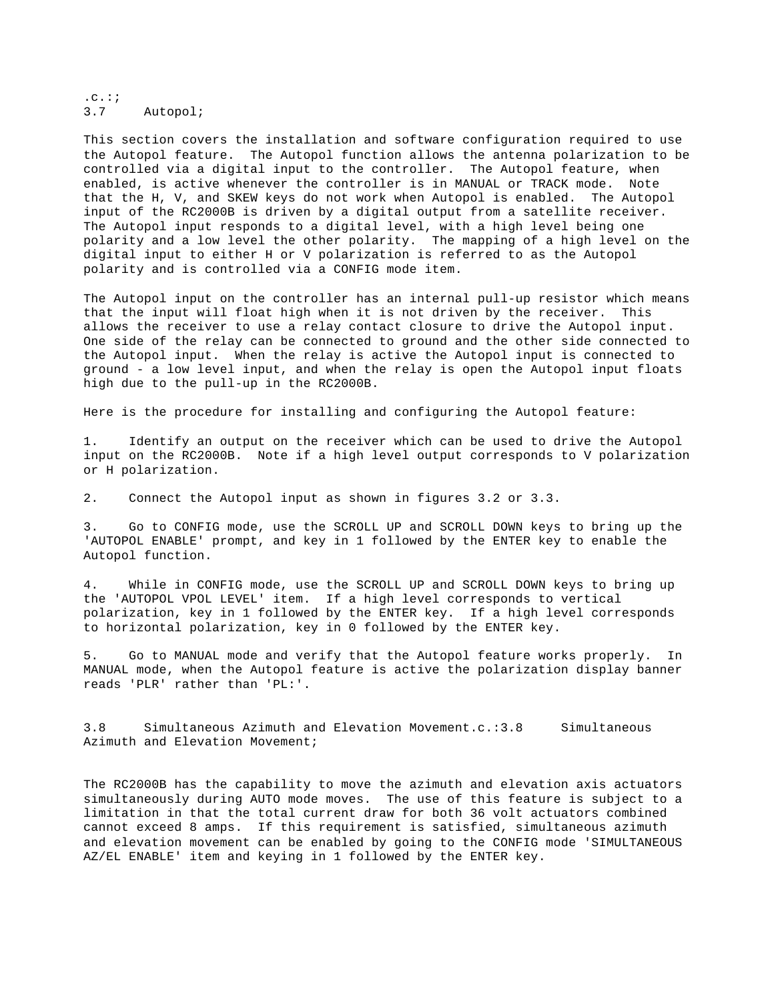$\frac{1}{3}$ .7 Autopol;

This section covers the installation and software configuration required to use the Autopol feature. The Autopol function allows the antenna polarization to be controlled via a digital input to the controller. The Autopol feature, when enabled, is active whenever the controller is in MANUAL or TRACK mode. Note that the H, V, and SKEW keys do not work when Autopol is enabled. The Autopol input of the RC2000B is driven by a digital output from a satellite receiver. The Autopol input responds to a digital level, with a high level being one polarity and a low level the other polarity. The mapping of a high level on the digital input to either H or V polarization is referred to as the Autopol polarity and is controlled via a CONFIG mode item.

The Autopol input on the controller has an internal pull-up resistor which means that the input will float high when it is not driven by the receiver. This allows the receiver to use a relay contact closure to drive the Autopol input. One side of the relay can be connected to ground and the other side connected to the Autopol input. When the relay is active the Autopol input is connected to ground - a low level input, and when the relay is open the Autopol input floats high due to the pull-up in the RC2000B.

Here is the procedure for installing and configuring the Autopol feature:

1. Identify an output on the receiver which can be used to drive the Autopol input on the RC2000B. Note if a high level output corresponds to V polarization or H polarization.

2. Connect the Autopol input as shown in figures 3.2 or 3.3.

3. Go to CONFIG mode, use the SCROLL UP and SCROLL DOWN keys to bring up the 'AUTOPOL ENABLE' prompt, and key in 1 followed by the ENTER key to enable the Autopol function.

4. While in CONFIG mode, use the SCROLL UP and SCROLL DOWN keys to bring up the 'AUTOPOL VPOL LEVEL' item. If a high level corresponds to vertical polarization, key in 1 followed by the ENTER key. If a high level corresponds to horizontal polarization, key in 0 followed by the ENTER key.

5. Go to MANUAL mode and verify that the Autopol feature works properly. In MANUAL mode, when the Autopol feature is active the polarization display banner reads 'PLR' rather than 'PL:'.

3.8 Simultaneous Azimuth and Elevation Movement.c.:3.8 Simultaneous Azimuth and Elevation Movement;

The RC2000B has the capability to move the azimuth and elevation axis actuators simultaneously during AUTO mode moves. The use of this feature is subject to a limitation in that the total current draw for both 36 volt actuators combined cannot exceed 8 amps. If this requirement is satisfied, simultaneous azimuth and elevation movement can be enabled by going to the CONFIG mode 'SIMULTANEOUS AZ/EL ENABLE' item and keying in 1 followed by the ENTER key.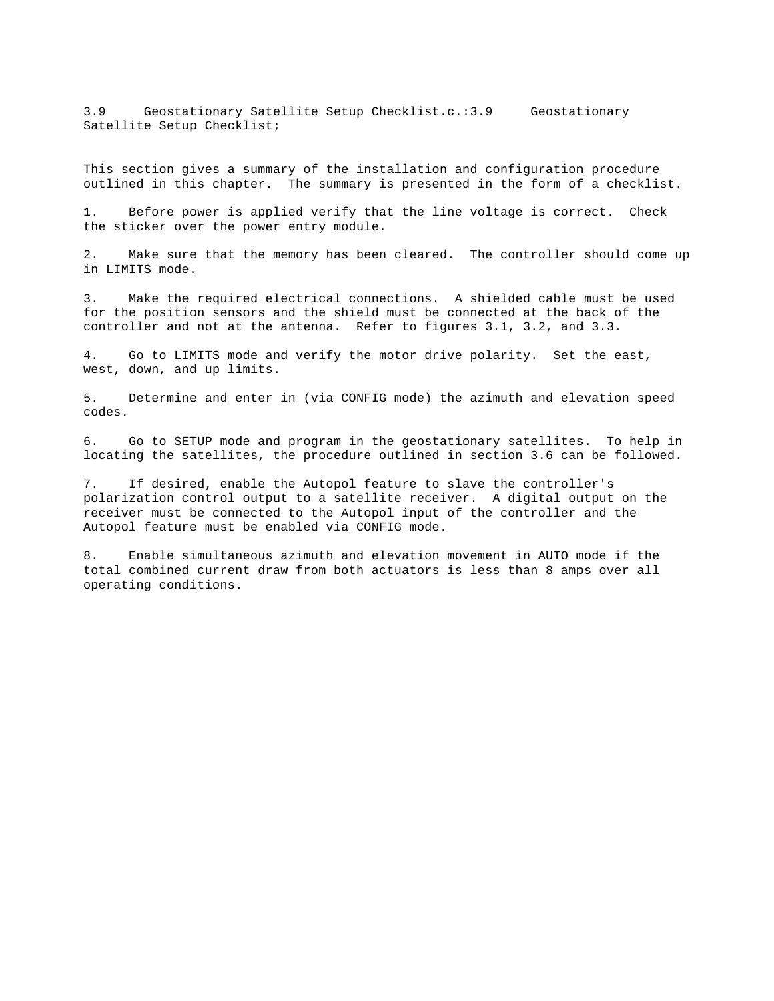3.9 Geostationary Satellite Setup Checklist.c.:3.9 Geostationary Satellite Setup Checklist;

This section gives a summary of the installation and configuration procedure outlined in this chapter. The summary is presented in the form of a checklist.

1. Before power is applied verify that the line voltage is correct. Check the sticker over the power entry module.

2. Make sure that the memory has been cleared. The controller should come up in LIMITS mode.

3. Make the required electrical connections. A shielded cable must be used for the position sensors and the shield must be connected at the back of the controller and not at the antenna. Refer to figures 3.1, 3.2, and 3.3.

4. Go to LIMITS mode and verify the motor drive polarity. Set the east, west, down, and up limits.

5. Determine and enter in (via CONFIG mode) the azimuth and elevation speed codes.

6. Go to SETUP mode and program in the geostationary satellites. To help in locating the satellites, the procedure outlined in section 3.6 can be followed.

7. If desired, enable the Autopol feature to slave the controller's polarization control output to a satellite receiver. A digital output on the receiver must be connected to the Autopol input of the controller and the Autopol feature must be enabled via CONFIG mode.

8. Enable simultaneous azimuth and elevation movement in AUTO mode if the total combined current draw from both actuators is less than 8 amps over all operating conditions.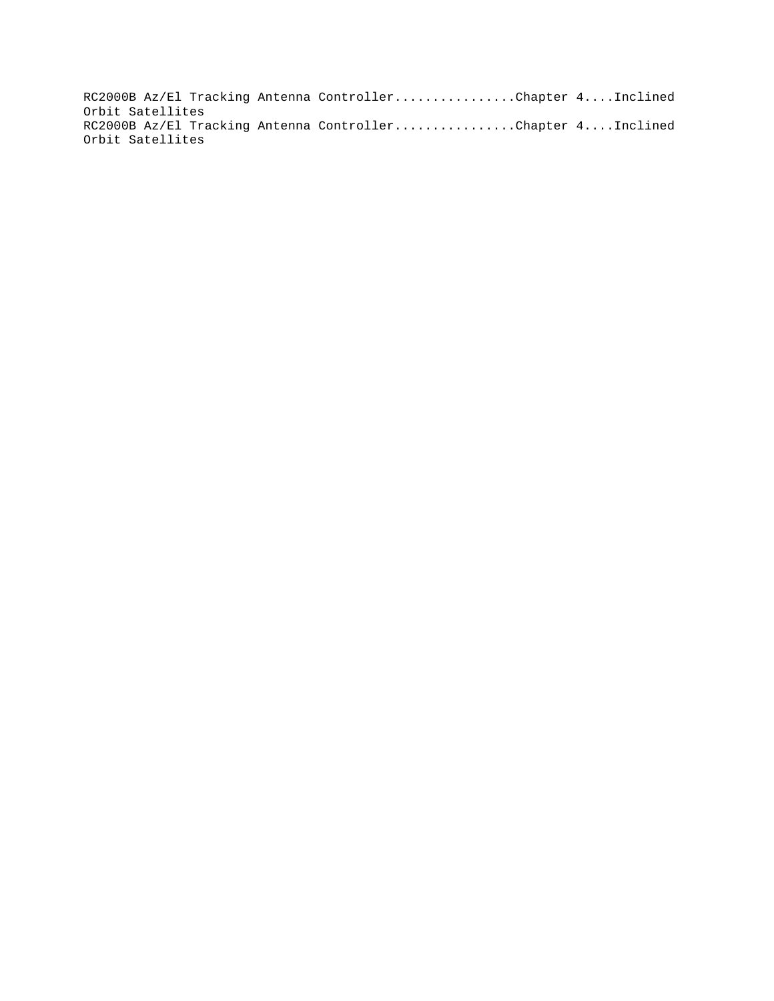RC2000B Az/El Tracking Antenna Controller................Chapter 4....Inclined Orbit Satellites RC2000B Az/El Tracking Antenna Controller................Chapter 4....Inclined Orbit Satellites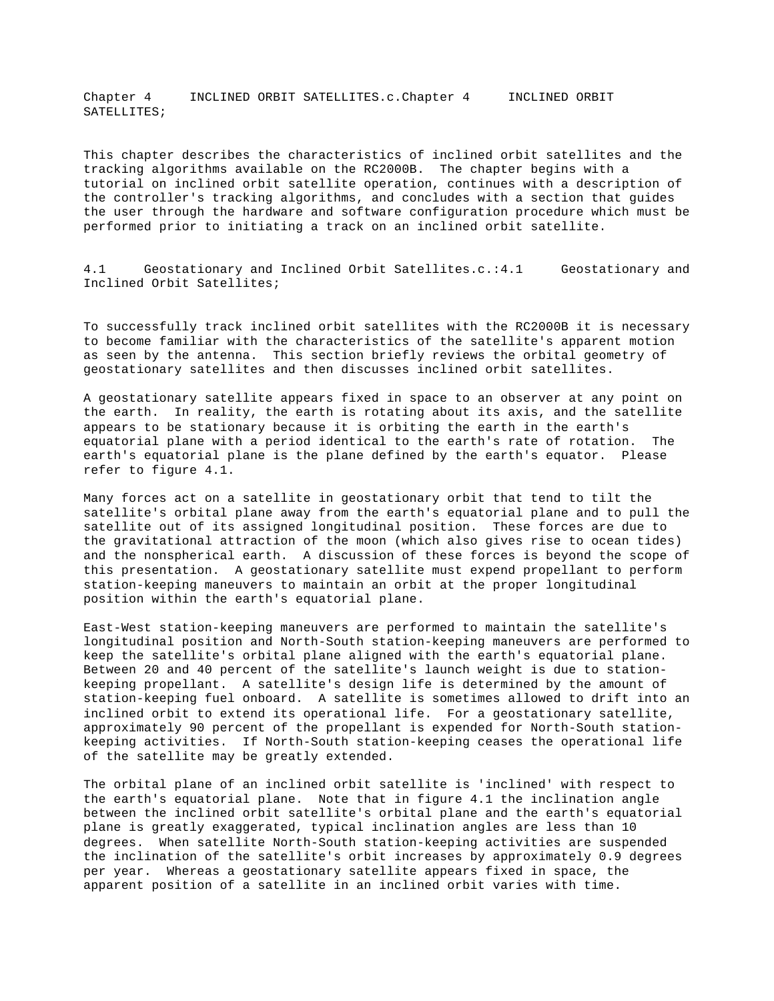Chapter 4 INCLINED ORBIT SATELLITES.c.Chapter 4 INCLINED ORBIT SATELLITES;

This chapter describes the characteristics of inclined orbit satellites and the tracking algorithms available on the RC2000B. The chapter begins with a tutorial on inclined orbit satellite operation, continues with a description of the controller's tracking algorithms, and concludes with a section that guides the user through the hardware and software configuration procedure which must be performed prior to initiating a track on an inclined orbit satellite.

4.1 Geostationary and Inclined Orbit Satellites.c.:4.1 Geostationary and Inclined Orbit Satellites;

To successfully track inclined orbit satellites with the RC2000B it is necessary to become familiar with the characteristics of the satellite's apparent motion as seen by the antenna. This section briefly reviews the orbital geometry of geostationary satellites and then discusses inclined orbit satellites.

A geostationary satellite appears fixed in space to an observer at any point on the earth. In reality, the earth is rotating about its axis, and the satellite appears to be stationary because it is orbiting the earth in the earth's equatorial plane with a period identical to the earth's rate of rotation. The earth's equatorial plane is the plane defined by the earth's equator. Please refer to figure 4.1.

Many forces act on a satellite in geostationary orbit that tend to tilt the satellite's orbital plane away from the earth's equatorial plane and to pull the satellite out of its assigned longitudinal position. These forces are due to the gravitational attraction of the moon (which also gives rise to ocean tides) and the nonspherical earth. A discussion of these forces is beyond the scope of this presentation. A geostationary satellite must expend propellant to perform station-keeping maneuvers to maintain an orbit at the proper longitudinal position within the earth's equatorial plane.

East-West station-keeping maneuvers are performed to maintain the satellite's longitudinal position and North-South station-keeping maneuvers are performed to keep the satellite's orbital plane aligned with the earth's equatorial plane. Between 20 and 40 percent of the satellite's launch weight is due to stationkeeping propellant. A satellite's design life is determined by the amount of station-keeping fuel onboard. A satellite is sometimes allowed to drift into an inclined orbit to extend its operational life. For a geostationary satellite, approximately 90 percent of the propellant is expended for North-South stationkeeping activities. If North-South station-keeping ceases the operational life of the satellite may be greatly extended.

The orbital plane of an inclined orbit satellite is 'inclined' with respect to the earth's equatorial plane. Note that in figure 4.1 the inclination angle between the inclined orbit satellite's orbital plane and the earth's equatorial plane is greatly exaggerated, typical inclination angles are less than 10 degrees. When satellite North-South station-keeping activities are suspended the inclination of the satellite's orbit increases by approximately 0.9 degrees per year. Whereas a geostationary satellite appears fixed in space, the apparent position of a satellite in an inclined orbit varies with time.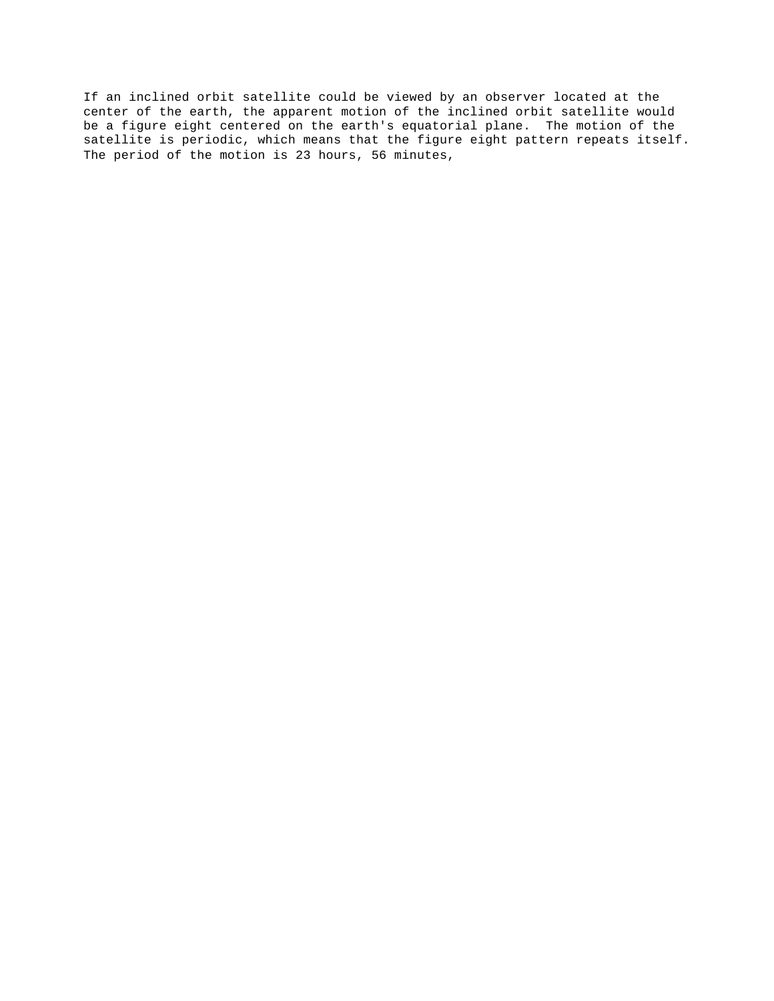If an inclined orbit satellite could be viewed by an observer located at the center of the earth, the apparent motion of the inclined orbit satellite would be a figure eight centered on the earth's equatorial plane. The motion of the satellite is periodic, which means that the figure eight pattern repeats itself. The period of the motion is 23 hours, 56 minutes,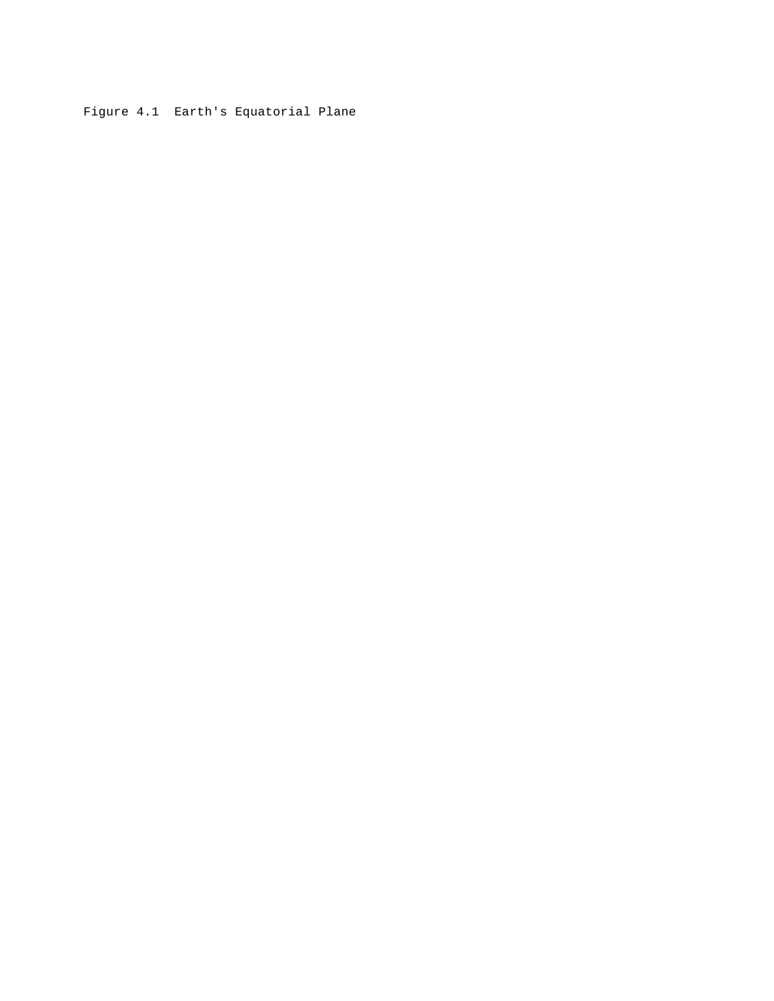Figure 4.1 Earth's Equatorial Plane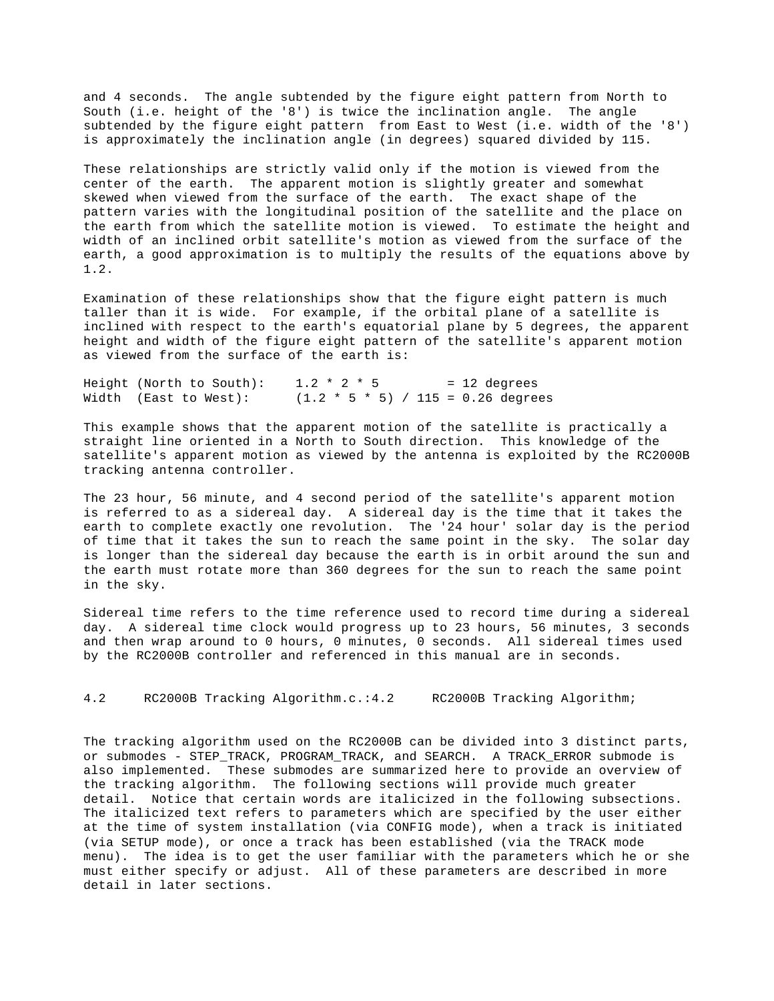and 4 seconds. The angle subtended by the figure eight pattern from North to South (i.e. height of the '8') is twice the inclination angle. The angle subtended by the figure eight pattern from East to West (i.e. width of the '8') is approximately the inclination angle (in degrees) squared divided by 115.

These relationships are strictly valid only if the motion is viewed from the center of the earth. The apparent motion is slightly greater and somewhat skewed when viewed from the surface of the earth. The exact shape of the pattern varies with the longitudinal position of the satellite and the place on the earth from which the satellite motion is viewed. To estimate the height and width of an inclined orbit satellite's motion as viewed from the surface of the earth, a good approximation is to multiply the results of the equations above by 1.2.

Examination of these relationships show that the figure eight pattern is much taller than it is wide. For example, if the orbital plane of a satellite is inclined with respect to the earth's equatorial plane by 5 degrees, the apparent height and width of the figure eight pattern of the satellite's apparent motion as viewed from the surface of the earth is:

Height (North to South):  $1.2 * 2 * 5 = 12$  degrees Width (East to West):  $(1.2 * 5 * 5) / 115 = 0.26$  degrees

This example shows that the apparent motion of the satellite is practically a straight line oriented in a North to South direction. This knowledge of the satellite's apparent motion as viewed by the antenna is exploited by the RC2000B tracking antenna controller.

The 23 hour, 56 minute, and 4 second period of the satellite's apparent motion is referred to as a sidereal day. A sidereal day is the time that it takes the earth to complete exactly one revolution. The '24 hour' solar day is the period of time that it takes the sun to reach the same point in the sky. The solar day is longer than the sidereal day because the earth is in orbit around the sun and the earth must rotate more than 360 degrees for the sun to reach the same point in the sky.

Sidereal time refers to the time reference used to record time during a sidereal day. A sidereal time clock would progress up to 23 hours, 56 minutes, 3 seconds and then wrap around to 0 hours, 0 minutes, 0 seconds. All sidereal times used by the RC2000B controller and referenced in this manual are in seconds.

4.2 RC2000B Tracking Algorithm.c.:4.2 RC2000B Tracking Algorithm;

The tracking algorithm used on the RC2000B can be divided into 3 distinct parts, or submodes - STEP\_TRACK, PROGRAM\_TRACK, and SEARCH. A TRACK\_ERROR submode is also implemented. These submodes are summarized here to provide an overview of the tracking algorithm. The following sections will provide much greater detail. Notice that certain words are italicized in the following subsections. The italicized text refers to parameters which are specified by the user either at the time of system installation (via CONFIG mode), when a track is initiated (via SETUP mode), or once a track has been established (via the TRACK mode menu). The idea is to get the user familiar with the parameters which he or she must either specify or adjust. All of these parameters are described in more detail in later sections.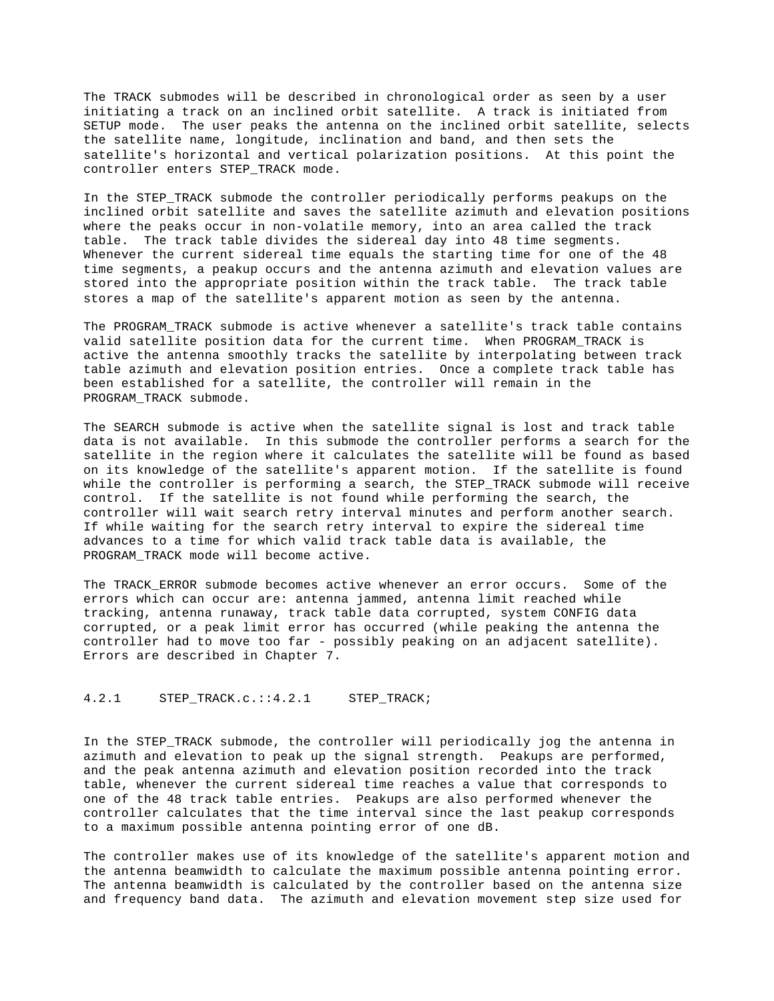The TRACK submodes will be described in chronological order as seen by a user initiating a track on an inclined orbit satellite. A track is initiated from SETUP mode. The user peaks the antenna on the inclined orbit satellite, selects the satellite name, longitude, inclination and band, and then sets the satellite's horizontal and vertical polarization positions. At this point the controller enters STEP\_TRACK mode.

In the STEP\_TRACK submode the controller periodically performs peakups on the inclined orbit satellite and saves the satellite azimuth and elevation positions where the peaks occur in non-volatile memory, into an area called the track table. The track table divides the sidereal day into 48 time segments. Whenever the current sidereal time equals the starting time for one of the 48 time segments, a peakup occurs and the antenna azimuth and elevation values are stored into the appropriate position within the track table. The track table stores a map of the satellite's apparent motion as seen by the antenna.

The PROGRAM TRACK submode is active whenever a satellite's track table contains valid satellite position data for the current time. When PROGRAM\_TRACK is active the antenna smoothly tracks the satellite by interpolating between track table azimuth and elevation position entries. Once a complete track table has been established for a satellite, the controller will remain in the PROGRAM\_TRACK submode.

The SEARCH submode is active when the satellite signal is lost and track table data is not available. In this submode the controller performs a search for the satellite in the region where it calculates the satellite will be found as based on its knowledge of the satellite's apparent motion. If the satellite is found while the controller is performing a search, the STEP\_TRACK submode will receive control. If the satellite is not found while performing the search, the controller will wait search retry interval minutes and perform another search. If while waiting for the search retry interval to expire the sidereal time advances to a time for which valid track table data is available, the PROGRAM\_TRACK mode will become active.

The TRACK\_ERROR submode becomes active whenever an error occurs. Some of the errors which can occur are: antenna jammed, antenna limit reached while tracking, antenna runaway, track table data corrupted, system CONFIG data corrupted, or a peak limit error has occurred (while peaking the antenna the controller had to move too far - possibly peaking on an adjacent satellite). Errors are described in Chapter 7.

## 4.2.1 STEP\_TRACK.c.::4.2.1 STEP\_TRACK;

In the STEP\_TRACK submode, the controller will periodically jog the antenna in azimuth and elevation to peak up the signal strength. Peakups are performed, and the peak antenna azimuth and elevation position recorded into the track table, whenever the current sidereal time reaches a value that corresponds to one of the 48 track table entries. Peakups are also performed whenever the controller calculates that the time interval since the last peakup corresponds to a maximum possible antenna pointing error of one dB.

The controller makes use of its knowledge of the satellite's apparent motion and the antenna beamwidth to calculate the maximum possible antenna pointing error. The antenna beamwidth is calculated by the controller based on the antenna size and frequency band data. The azimuth and elevation movement step size used for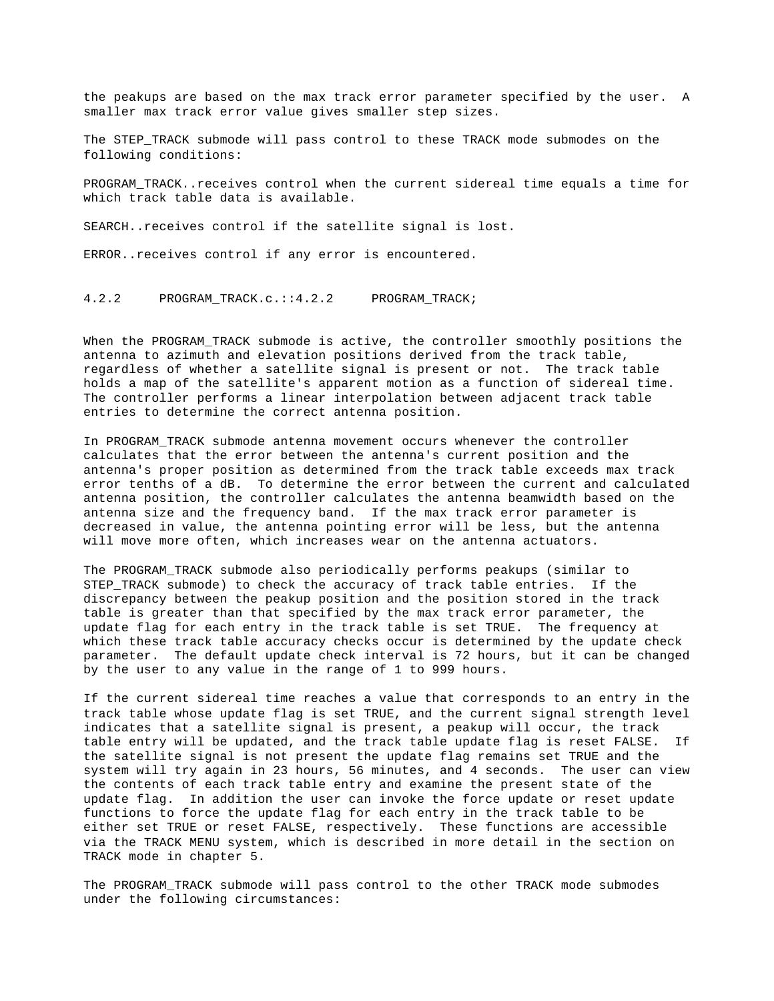the peakups are based on the max track error parameter specified by the user. A smaller max track error value gives smaller step sizes.

The STEP\_TRACK submode will pass control to these TRACK mode submodes on the following conditions:

PROGRAM\_TRACK..receives control when the current sidereal time equals a time for which track table data is available.

SEARCH..receives control if the satellite signal is lost.

ERROR..receives control if any error is encountered.

4.2.2 PROGRAM\_TRACK.c.::4.2.2 PROGRAM\_TRACK;

When the PROGRAM\_TRACK submode is active, the controller smoothly positions the antenna to azimuth and elevation positions derived from the track table, regardless of whether a satellite signal is present or not. The track table holds a map of the satellite's apparent motion as a function of sidereal time. The controller performs a linear interpolation between adjacent track table entries to determine the correct antenna position.

In PROGRAM\_TRACK submode antenna movement occurs whenever the controller calculates that the error between the antenna's current position and the antenna's proper position as determined from the track table exceeds max track error tenths of a dB. To determine the error between the current and calculated antenna position, the controller calculates the antenna beamwidth based on the antenna size and the frequency band. If the max track error parameter is decreased in value, the antenna pointing error will be less, but the antenna will move more often, which increases wear on the antenna actuators.

The PROGRAM\_TRACK submode also periodically performs peakups (similar to STEP\_TRACK submode) to check the accuracy of track table entries. If the discrepancy between the peakup position and the position stored in the track table is greater than that specified by the max track error parameter, the update flag for each entry in the track table is set TRUE. The frequency at which these track table accuracy checks occur is determined by the update check parameter. The default update check interval is 72 hours, but it can be changed by the user to any value in the range of 1 to 999 hours.

If the current sidereal time reaches a value that corresponds to an entry in the track table whose update flag is set TRUE, and the current signal strength level indicates that a satellite signal is present, a peakup will occur, the track table entry will be updated, and the track table update flag is reset FALSE. If the satellite signal is not present the update flag remains set TRUE and the system will try again in 23 hours, 56 minutes, and 4 seconds. The user can view the contents of each track table entry and examine the present state of the update flag. In addition the user can invoke the force update or reset update functions to force the update flag for each entry in the track table to be either set TRUE or reset FALSE, respectively. These functions are accessible via the TRACK MENU system, which is described in more detail in the section on TRACK mode in chapter 5.

The PROGRAM\_TRACK submode will pass control to the other TRACK mode submodes under the following circumstances: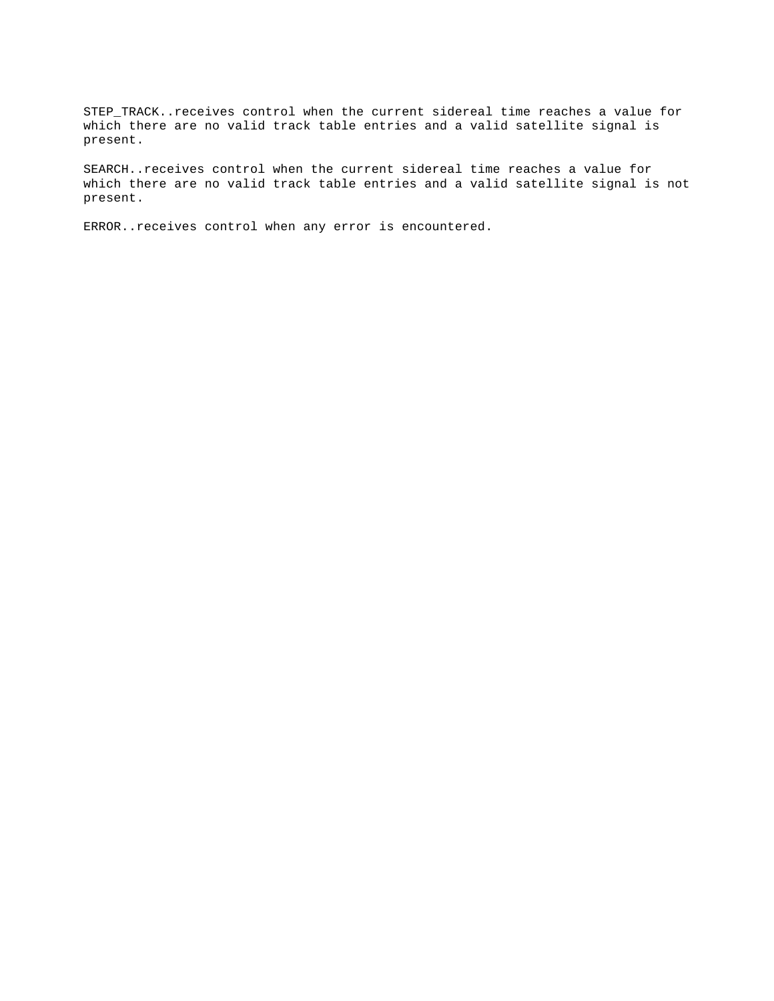STEP\_TRACK..receives control when the current sidereal time reaches a value for which there are no valid track table entries and a valid satellite signal is present.

SEARCH..receives control when the current sidereal time reaches a value for which there are no valid track table entries and a valid satellite signal is not present.

ERROR..receives control when any error is encountered.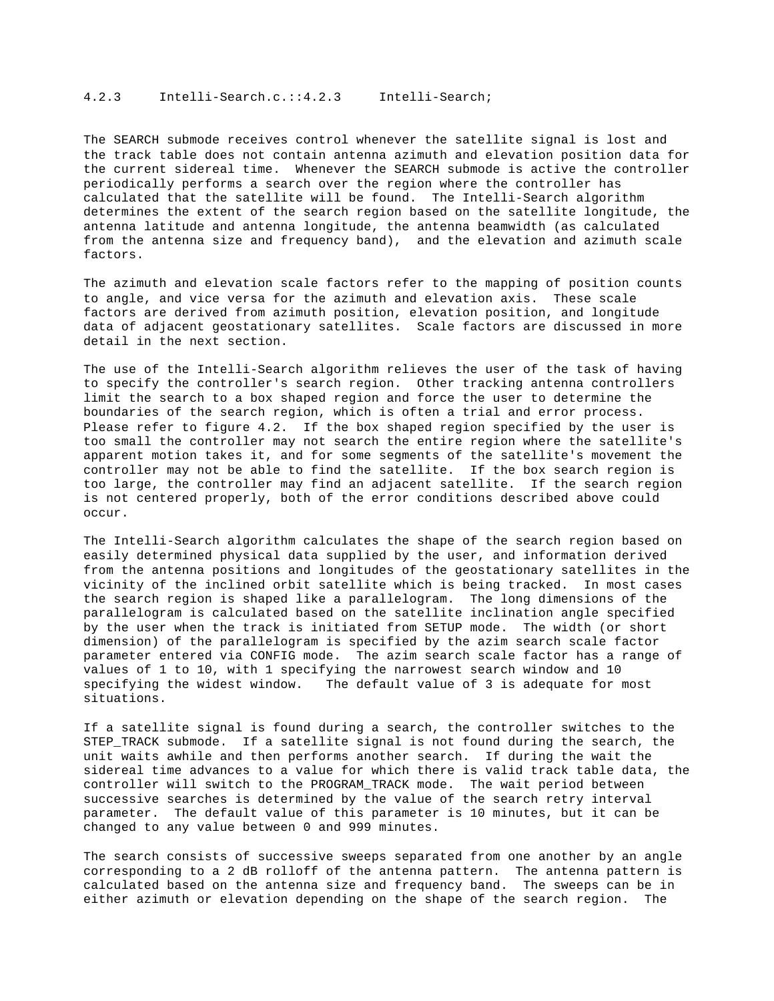### 4.2.3 Intelli-Search.c.::4.2.3 Intelli-Search;

The SEARCH submode receives control whenever the satellite signal is lost and the track table does not contain antenna azimuth and elevation position data for the current sidereal time. Whenever the SEARCH submode is active the controller periodically performs a search over the region where the controller has calculated that the satellite will be found. The Intelli-Search algorithm determines the extent of the search region based on the satellite longitude, the antenna latitude and antenna longitude, the antenna beamwidth (as calculated from the antenna size and frequency band), and the elevation and azimuth scale factors.

The azimuth and elevation scale factors refer to the mapping of position counts to angle, and vice versa for the azimuth and elevation axis. These scale factors are derived from azimuth position, elevation position, and longitude data of adjacent geostationary satellites. Scale factors are discussed in more detail in the next section.

The use of the Intelli-Search algorithm relieves the user of the task of having to specify the controller's search region. Other tracking antenna controllers limit the search to a box shaped region and force the user to determine the boundaries of the search region, which is often a trial and error process. Please refer to figure 4.2. If the box shaped region specified by the user is too small the controller may not search the entire region where the satellite's apparent motion takes it, and for some segments of the satellite's movement the controller may not be able to find the satellite. If the box search region is too large, the controller may find an adjacent satellite. If the search region is not centered properly, both of the error conditions described above could occur.

The Intelli-Search algorithm calculates the shape of the search region based on easily determined physical data supplied by the user, and information derived from the antenna positions and longitudes of the geostationary satellites in the vicinity of the inclined orbit satellite which is being tracked. In most cases the search region is shaped like a parallelogram. The long dimensions of the parallelogram is calculated based on the satellite inclination angle specified by the user when the track is initiated from SETUP mode. The width (or short dimension) of the parallelogram is specified by the azim search scale factor parameter entered via CONFIG mode. The azim search scale factor has a range of values of 1 to 10, with 1 specifying the narrowest search window and 10 specifying the widest window. The default value of 3 is adequate for most situations.

If a satellite signal is found during a search, the controller switches to the STEP\_TRACK submode. If a satellite signal is not found during the search, the unit waits awhile and then performs another search. If during the wait the sidereal time advances to a value for which there is valid track table data, the controller will switch to the PROGRAM\_TRACK mode. The wait period between successive searches is determined by the value of the search retry interval parameter. The default value of this parameter is 10 minutes, but it can be changed to any value between 0 and 999 minutes.

The search consists of successive sweeps separated from one another by an angle corresponding to a 2 dB rolloff of the antenna pattern. The antenna pattern is calculated based on the antenna size and frequency band. The sweeps can be in either azimuth or elevation depending on the shape of the search region. The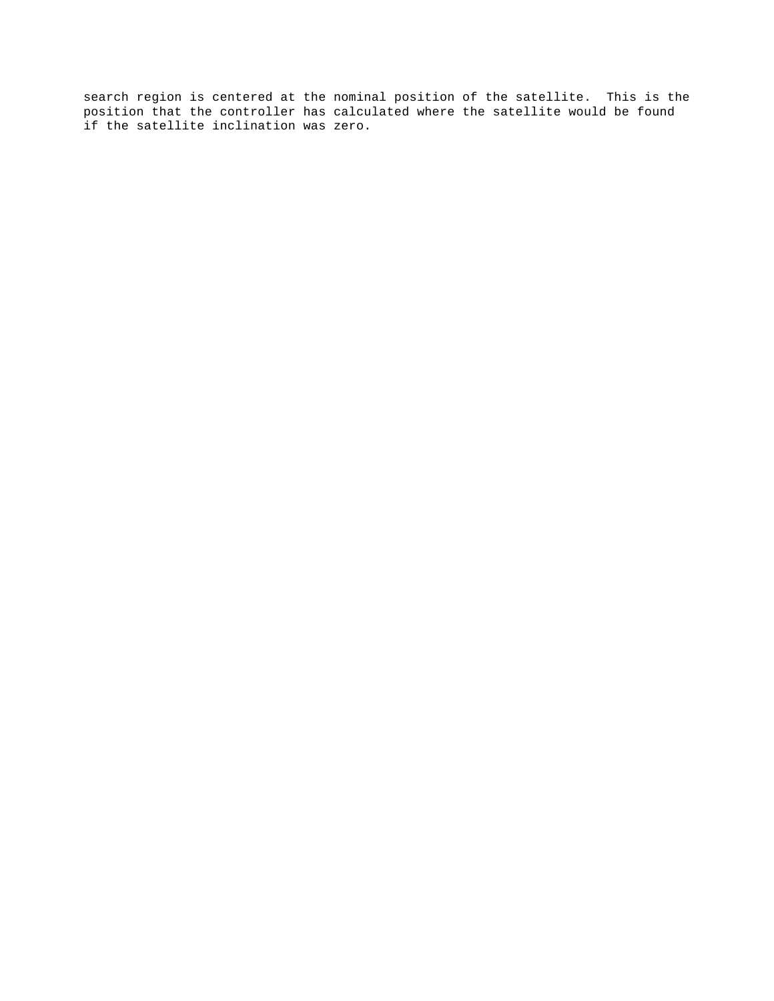search region is centered at the nominal position of the satellite. This is the position that the controller has calculated where the satellite would be found if the satellite inclination was zero.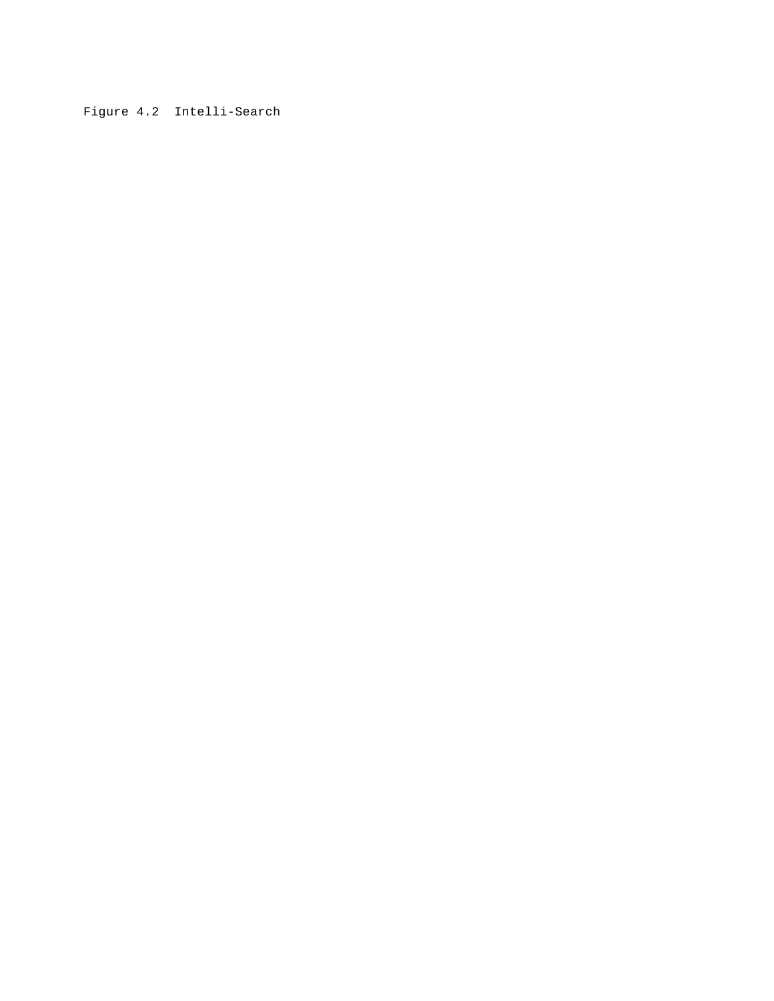Figure 4.2 Intelli-Search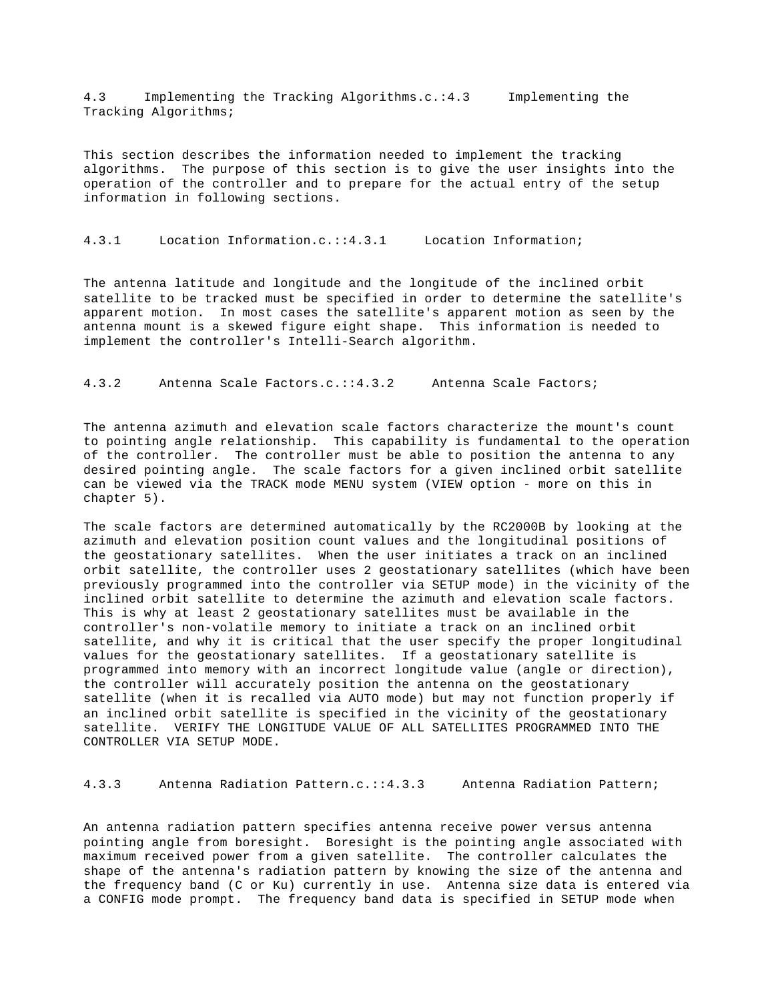4.3 Implementing the Tracking Algorithms.c.:4.3 Implementing the Tracking Algorithms;

This section describes the information needed to implement the tracking algorithms. The purpose of this section is to give the user insights into the operation of the controller and to prepare for the actual entry of the setup information in following sections.

4.3.1 Location Information.c.::4.3.1 Location Information;

The antenna latitude and longitude and the longitude of the inclined orbit satellite to be tracked must be specified in order to determine the satellite's apparent motion. In most cases the satellite's apparent motion as seen by the antenna mount is a skewed figure eight shape. This information is needed to implement the controller's Intelli-Search algorithm.

4.3.2 Antenna Scale Factors.c.::4.3.2 Antenna Scale Factors;

The antenna azimuth and elevation scale factors characterize the mount's count to pointing angle relationship. This capability is fundamental to the operation of the controller. The controller must be able to position the antenna to any desired pointing angle. The scale factors for a given inclined orbit satellite can be viewed via the TRACK mode MENU system (VIEW option - more on this in chapter 5).

The scale factors are determined automatically by the RC2000B by looking at the azimuth and elevation position count values and the longitudinal positions of the geostationary satellites. When the user initiates a track on an inclined orbit satellite, the controller uses 2 geostationary satellites (which have been previously programmed into the controller via SETUP mode) in the vicinity of the inclined orbit satellite to determine the azimuth and elevation scale factors. This is why at least 2 geostationary satellites must be available in the controller's non-volatile memory to initiate a track on an inclined orbit satellite, and why it is critical that the user specify the proper longitudinal values for the geostationary satellites. If a geostationary satellite is programmed into memory with an incorrect longitude value (angle or direction), the controller will accurately position the antenna on the geostationary satellite (when it is recalled via AUTO mode) but may not function properly if an inclined orbit satellite is specified in the vicinity of the geostationary satellite. VERIFY THE LONGITUDE VALUE OF ALL SATELLITES PROGRAMMED INTO THE CONTROLLER VIA SETUP MODE.

## 4.3.3 Antenna Radiation Pattern.c.::4.3.3 Antenna Radiation Pattern;

An antenna radiation pattern specifies antenna receive power versus antenna pointing angle from boresight. Boresight is the pointing angle associated with maximum received power from a given satellite. The controller calculates the shape of the antenna's radiation pattern by knowing the size of the antenna and the frequency band (C or Ku) currently in use. Antenna size data is entered via a CONFIG mode prompt. The frequency band data is specified in SETUP mode when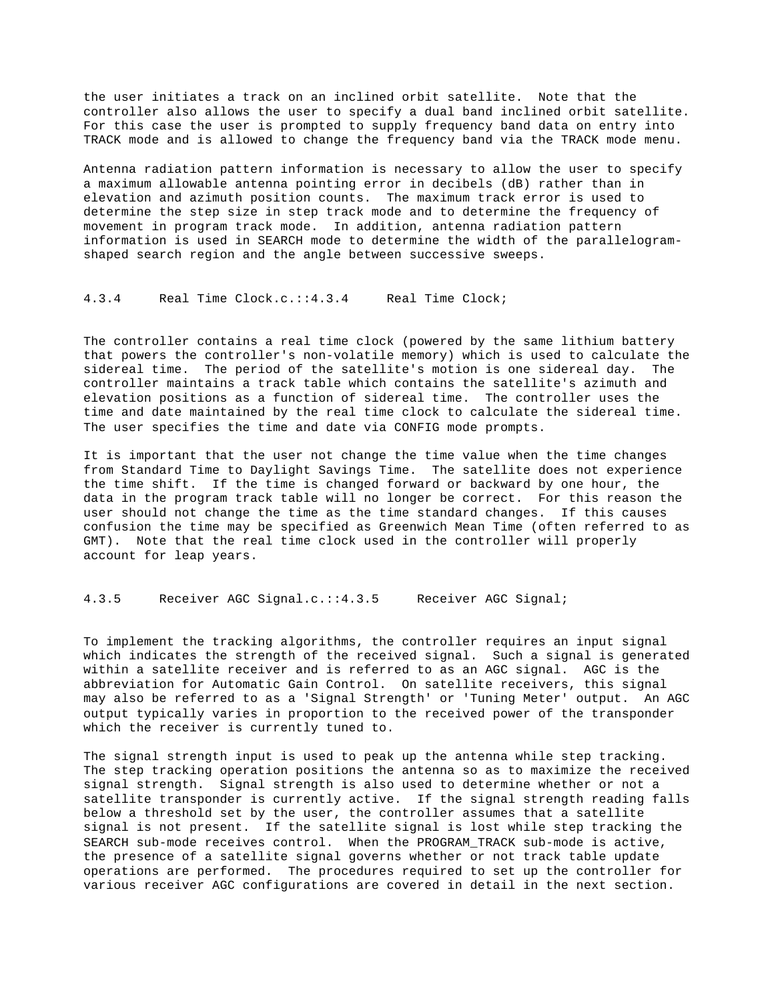the user initiates a track on an inclined orbit satellite. Note that the controller also allows the user to specify a dual band inclined orbit satellite. For this case the user is prompted to supply frequency band data on entry into TRACK mode and is allowed to change the frequency band via the TRACK mode menu.

Antenna radiation pattern information is necessary to allow the user to specify a maximum allowable antenna pointing error in decibels (dB) rather than in elevation and azimuth position counts. The maximum track error is used to determine the step size in step track mode and to determine the frequency of movement in program track mode. In addition, antenna radiation pattern information is used in SEARCH mode to determine the width of the parallelogramshaped search region and the angle between successive sweeps.

4.3.4 Real Time Clock.c.::4.3.4 Real Time Clock;

The controller contains a real time clock (powered by the same lithium battery that powers the controller's non-volatile memory) which is used to calculate the sidereal time. The period of the satellite's motion is one sidereal day. The controller maintains a track table which contains the satellite's azimuth and elevation positions as a function of sidereal time. The controller uses the time and date maintained by the real time clock to calculate the sidereal time. The user specifies the time and date via CONFIG mode prompts.

It is important that the user not change the time value when the time changes from Standard Time to Daylight Savings Time. The satellite does not experience the time shift. If the time is changed forward or backward by one hour, the data in the program track table will no longer be correct. For this reason the user should not change the time as the time standard changes. If this causes confusion the time may be specified as Greenwich Mean Time (often referred to as GMT). Note that the real time clock used in the controller will properly account for leap years.

4.3.5 Receiver AGC Signal.c.::4.3.5 Receiver AGC Signal;

To implement the tracking algorithms, the controller requires an input signal which indicates the strength of the received signal. Such a signal is generated within a satellite receiver and is referred to as an AGC signal. AGC is the abbreviation for Automatic Gain Control. On satellite receivers, this signal may also be referred to as a 'Signal Strength' or 'Tuning Meter' output. An AGC output typically varies in proportion to the received power of the transponder which the receiver is currently tuned to.

The signal strength input is used to peak up the antenna while step tracking. The step tracking operation positions the antenna so as to maximize the received signal strength. Signal strength is also used to determine whether or not a satellite transponder is currently active. If the signal strength reading falls below a threshold set by the user, the controller assumes that a satellite signal is not present. If the satellite signal is lost while step tracking the SEARCH sub-mode receives control. When the PROGRAM\_TRACK sub-mode is active, the presence of a satellite signal governs whether or not track table update operations are performed. The procedures required to set up the controller for various receiver AGC configurations are covered in detail in the next section.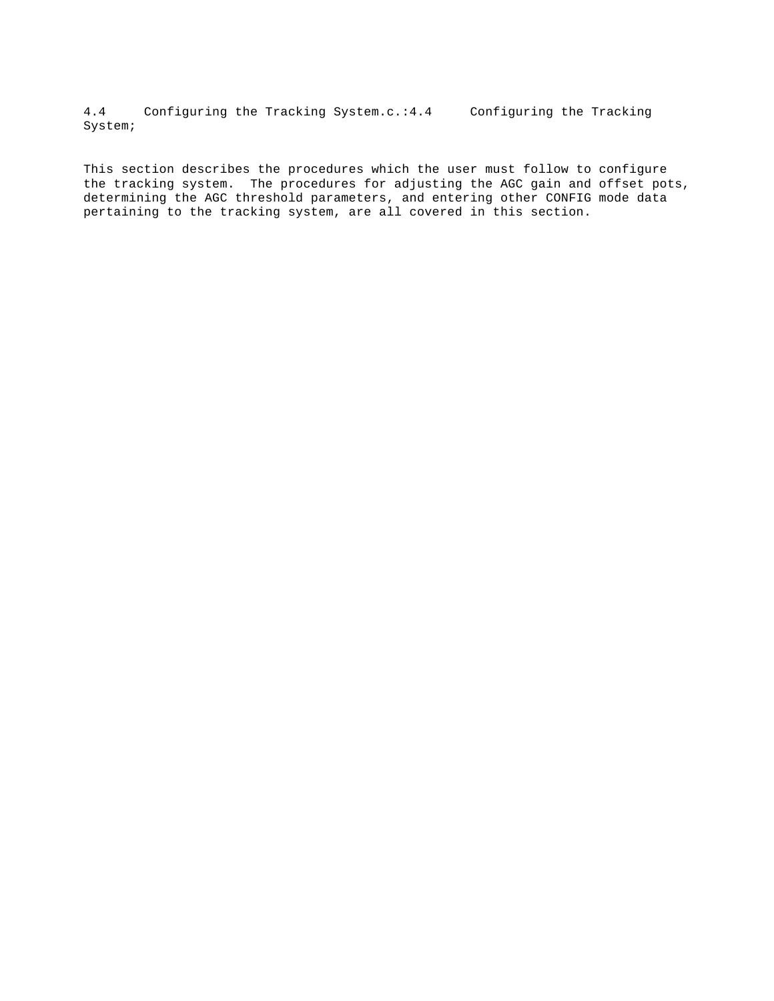4.4 Configuring the Tracking System.c.:4.4 Configuring the Tracking System;

This section describes the procedures which the user must follow to configure the tracking system. The procedures for adjusting the AGC gain and offset pots, determining the AGC threshold parameters, and entering other CONFIG mode data pertaining to the tracking system, are all covered in this section.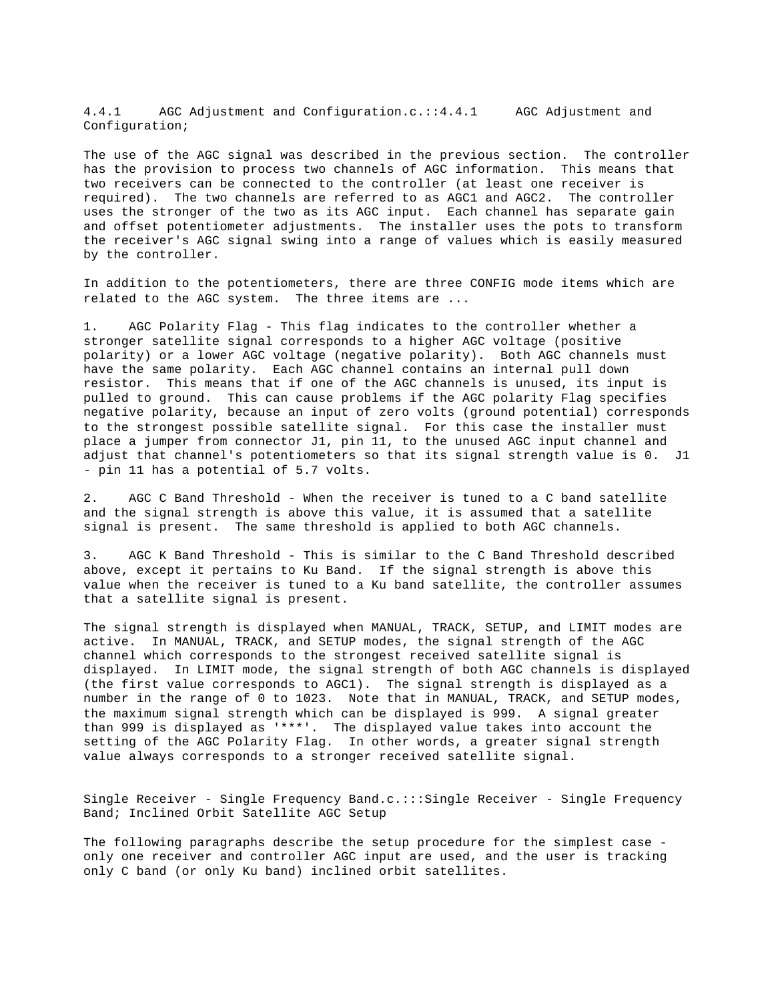4.4.1 AGC Adjustment and Configuration.c.::4.4.1 AGC Adjustment and Configuration;

The use of the AGC signal was described in the previous section. The controller has the provision to process two channels of AGC information. This means that two receivers can be connected to the controller (at least one receiver is required). The two channels are referred to as AGC1 and AGC2. The controller uses the stronger of the two as its AGC input. Each channel has separate gain and offset potentiometer adjustments. The installer uses the pots to transform the receiver's AGC signal swing into a range of values which is easily measured by the controller.

In addition to the potentiometers, there are three CONFIG mode items which are related to the AGC system. The three items are ...

1. AGC Polarity Flag - This flag indicates to the controller whether a stronger satellite signal corresponds to a higher AGC voltage (positive polarity) or a lower AGC voltage (negative polarity). Both AGC channels must have the same polarity. Each AGC channel contains an internal pull down resistor. This means that if one of the AGC channels is unused, its input is pulled to ground. This can cause problems if the AGC polarity Flag specifies negative polarity, because an input of zero volts (ground potential) corresponds to the strongest possible satellite signal. For this case the installer must place a jumper from connector J1, pin 11, to the unused AGC input channel and adjust that channel's potentiometers so that its signal strength value is 0. J1 - pin 11 has a potential of 5.7 volts.

2. AGC C Band Threshold - When the receiver is tuned to a C band satellite and the signal strength is above this value, it is assumed that a satellite signal is present. The same threshold is applied to both AGC channels.

3. AGC K Band Threshold - This is similar to the C Band Threshold described above, except it pertains to Ku Band. If the signal strength is above this value when the receiver is tuned to a Ku band satellite, the controller assumes that a satellite signal is present.

The signal strength is displayed when MANUAL, TRACK, SETUP, and LIMIT modes are active. In MANUAL, TRACK, and SETUP modes, the signal strength of the AGC channel which corresponds to the strongest received satellite signal is displayed. In LIMIT mode, the signal strength of both AGC channels is displayed (the first value corresponds to AGC1). The signal strength is displayed as a number in the range of 0 to 1023. Note that in MANUAL, TRACK, and SETUP modes, the maximum signal strength which can be displayed is 999. A signal greater than 999 is displayed as '\*\*\*'. The displayed value takes into account the setting of the AGC Polarity Flag. In other words, a greater signal strength value always corresponds to a stronger received satellite signal.

Single Receiver - Single Frequency Band.c.:::Single Receiver - Single Frequency Band; Inclined Orbit Satellite AGC Setup

The following paragraphs describe the setup procedure for the simplest case only one receiver and controller AGC input are used, and the user is tracking only C band (or only Ku band) inclined orbit satellites.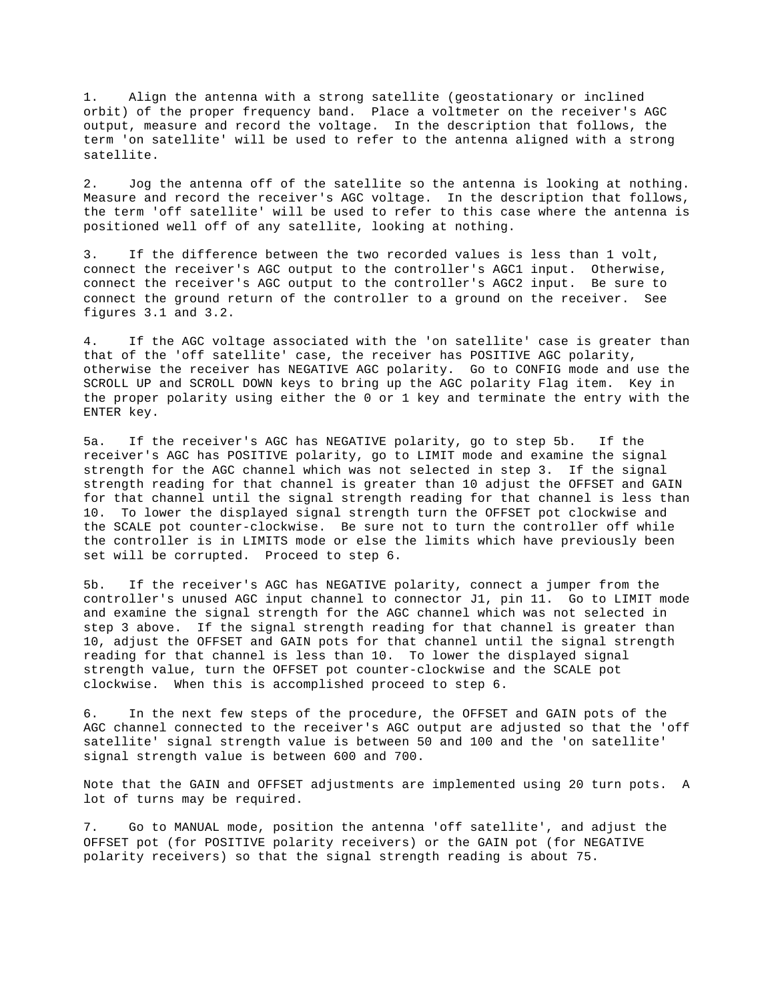1. Align the antenna with a strong satellite (geostationary or inclined orbit) of the proper frequency band. Place a voltmeter on the receiver's AGC output, measure and record the voltage. In the description that follows, the term 'on satellite' will be used to refer to the antenna aligned with a strong satellite.

2. Jog the antenna off of the satellite so the antenna is looking at nothing. Measure and record the receiver's AGC voltage. In the description that follows, the term 'off satellite' will be used to refer to this case where the antenna is positioned well off of any satellite, looking at nothing.

3. If the difference between the two recorded values is less than 1 volt, connect the receiver's AGC output to the controller's AGC1 input. Otherwise, connect the receiver's AGC output to the controller's AGC2 input. Be sure to connect the ground return of the controller to a ground on the receiver. See figures 3.1 and 3.2.

4. If the AGC voltage associated with the 'on satellite' case is greater than that of the 'off satellite' case, the receiver has POSITIVE AGC polarity, otherwise the receiver has NEGATIVE AGC polarity. Go to CONFIG mode and use the SCROLL UP and SCROLL DOWN keys to bring up the AGC polarity Flag item. Key in the proper polarity using either the 0 or 1 key and terminate the entry with the ENTER key.

5a. If the receiver's AGC has NEGATIVE polarity, go to step 5b. If the receiver's AGC has POSITIVE polarity, go to LIMIT mode and examine the signal strength for the AGC channel which was not selected in step 3. If the signal strength reading for that channel is greater than 10 adjust the OFFSET and GAIN for that channel until the signal strength reading for that channel is less than 10. To lower the displayed signal strength turn the OFFSET pot clockwise and the SCALE pot counter-clockwise. Be sure not to turn the controller off while the controller is in LIMITS mode or else the limits which have previously been set will be corrupted. Proceed to step 6.

5b. If the receiver's AGC has NEGATIVE polarity, connect a jumper from the controller's unused AGC input channel to connector J1, pin 11. Go to LIMIT mode and examine the signal strength for the AGC channel which was not selected in step 3 above. If the signal strength reading for that channel is greater than 10, adjust the OFFSET and GAIN pots for that channel until the signal strength reading for that channel is less than 10. To lower the displayed signal strength value, turn the OFFSET pot counter-clockwise and the SCALE pot clockwise. When this is accomplished proceed to step 6.

6. In the next few steps of the procedure, the OFFSET and GAIN pots of the AGC channel connected to the receiver's AGC output are adjusted so that the 'off satellite' signal strength value is between 50 and 100 and the 'on satellite' signal strength value is between 600 and 700.

Note that the GAIN and OFFSET adjustments are implemented using 20 turn pots. A lot of turns may be required.

7. Go to MANUAL mode, position the antenna 'off satellite', and adjust the OFFSET pot (for POSITIVE polarity receivers) or the GAIN pot (for NEGATIVE polarity receivers) so that the signal strength reading is about 75.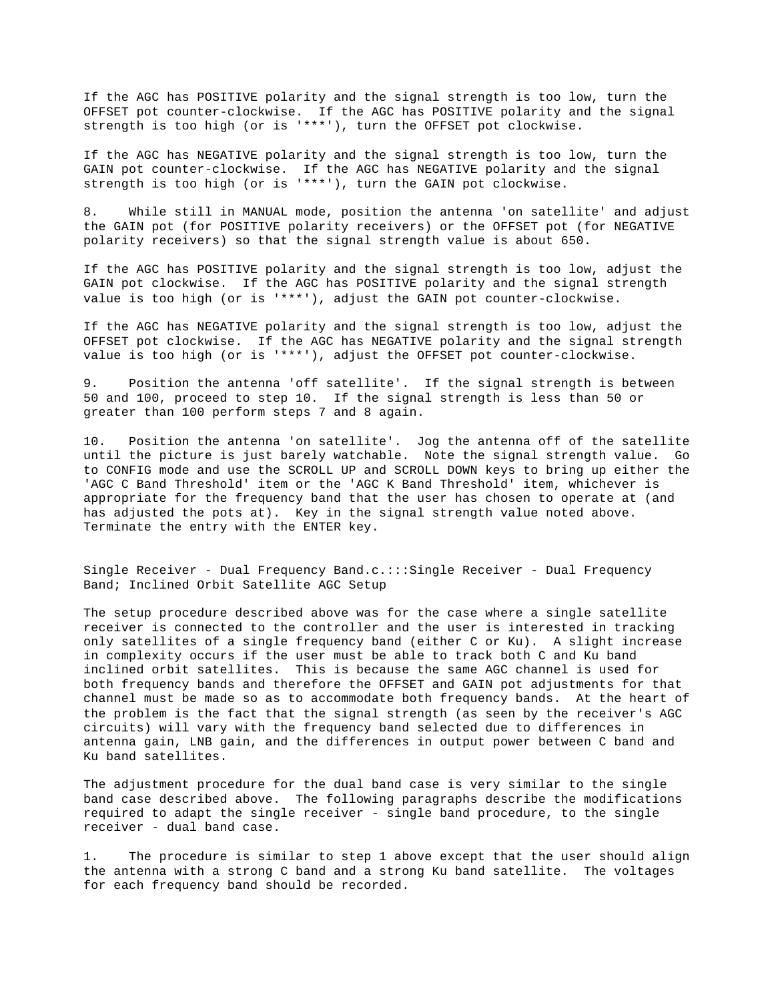If the AGC has POSITIVE polarity and the signal strength is too low, turn the OFFSET pot counter-clockwise. If the AGC has POSITIVE polarity and the signal strength is too high (or is '\*\*\*'), turn the OFFSET pot clockwise.

If the AGC has NEGATIVE polarity and the signal strength is too low, turn the GAIN pot counter-clockwise. If the AGC has NEGATIVE polarity and the signal strength is too high (or is '\*\*\*'), turn the GAIN pot clockwise.

8. While still in MANUAL mode, position the antenna 'on satellite' and adjust the GAIN pot (for POSITIVE polarity receivers) or the OFFSET pot (for NEGATIVE polarity receivers) so that the signal strength value is about 650.

If the AGC has POSITIVE polarity and the signal strength is too low, adjust the GAIN pot clockwise. If the AGC has POSITIVE polarity and the signal strength value is too high (or is '\*\*\*'), adjust the GAIN pot counter-clockwise.

If the AGC has NEGATIVE polarity and the signal strength is too low, adjust the OFFSET pot clockwise. If the AGC has NEGATIVE polarity and the signal strength value is too high (or is '\*\*\*'), adjust the OFFSET pot counter-clockwise.

9. Position the antenna 'off satellite'. If the signal strength is between 50 and 100, proceed to step 10. If the signal strength is less than 50 or greater than 100 perform steps 7 and 8 again.

10. Position the antenna 'on satellite'. Jog the antenna off of the satellite until the picture is just barely watchable. Note the signal strength value. Go to CONFIG mode and use the SCROLL UP and SCROLL DOWN keys to bring up either the 'AGC C Band Threshold' item or the 'AGC K Band Threshold' item, whichever is appropriate for the frequency band that the user has chosen to operate at (and has adjusted the pots at). Key in the signal strength value noted above. Terminate the entry with the ENTER key.

Single Receiver - Dual Frequency Band.c.:::Single Receiver - Dual Frequency Band; Inclined Orbit Satellite AGC Setup

The setup procedure described above was for the case where a single satellite receiver is connected to the controller and the user is interested in tracking only satellites of a single frequency band (either C or Ku). A slight increase in complexity occurs if the user must be able to track both C and Ku band inclined orbit satellites. This is because the same AGC channel is used for both frequency bands and therefore the OFFSET and GAIN pot adjustments for that channel must be made so as to accommodate both frequency bands. At the heart of the problem is the fact that the signal strength (as seen by the receiver's AGC circuits) will vary with the frequency band selected due to differences in antenna gain, LNB gain, and the differences in output power between C band and Ku band satellites.

The adjustment procedure for the dual band case is very similar to the single band case described above. The following paragraphs describe the modifications required to adapt the single receiver - single band procedure, to the single receiver - dual band case.

1. The procedure is similar to step 1 above except that the user should align the antenna with a strong C band and a strong Ku band satellite. The voltages for each frequency band should be recorded.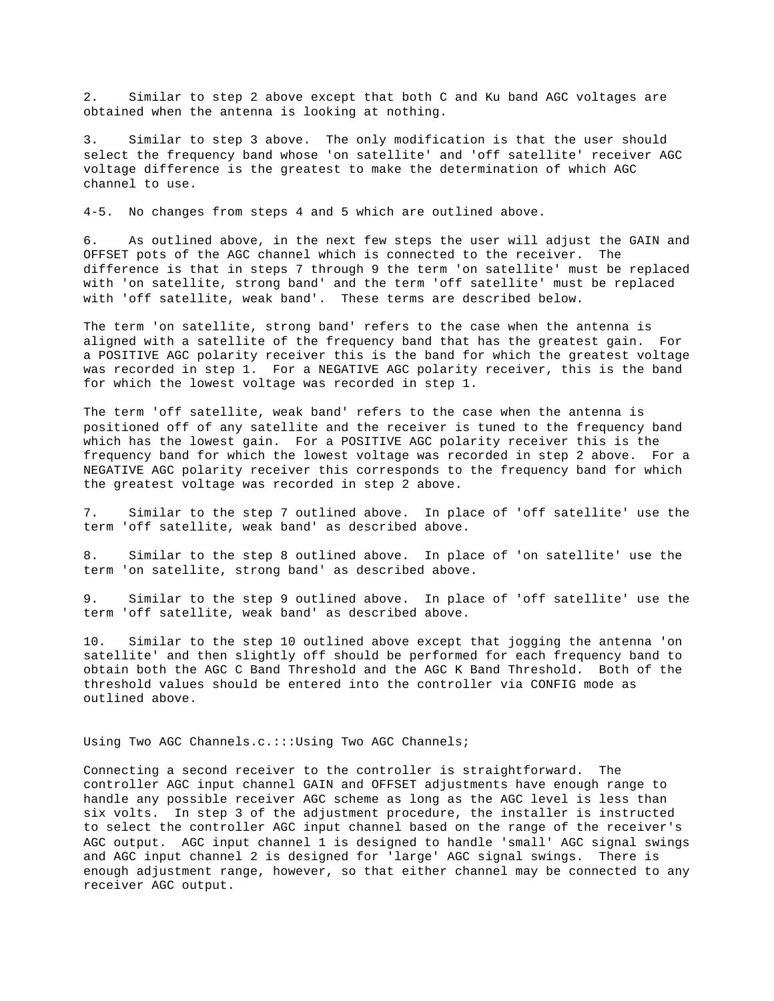2. Similar to step 2 above except that both C and Ku band AGC voltages are obtained when the antenna is looking at nothing.

3. Similar to step 3 above. The only modification is that the user should select the frequency band whose 'on satellite' and 'off satellite' receiver AGC voltage difference is the greatest to make the determination of which AGC channel to use.

4-5. No changes from steps 4 and 5 which are outlined above.

6. As outlined above, in the next few steps the user will adjust the GAIN and OFFSET pots of the AGC channel which is connected to the receiver. The difference is that in steps 7 through 9 the term 'on satellite' must be replaced with 'on satellite, strong band' and the term 'off satellite' must be replaced with 'off satellite, weak band'. These terms are described below.

The term 'on satellite, strong band' refers to the case when the antenna is aligned with a satellite of the frequency band that has the greatest gain. For a POSITIVE AGC polarity receiver this is the band for which the greatest voltage was recorded in step 1. For a NEGATIVE AGC polarity receiver, this is the band for which the lowest voltage was recorded in step 1.

The term 'off satellite, weak band' refers to the case when the antenna is positioned off of any satellite and the receiver is tuned to the frequency band which has the lowest gain. For a POSITIVE AGC polarity receiver this is the frequency band for which the lowest voltage was recorded in step 2 above. For a NEGATIVE AGC polarity receiver this corresponds to the frequency band for which the greatest voltage was recorded in step 2 above.

7. Similar to the step 7 outlined above. In place of 'off satellite' use the term 'off satellite, weak band' as described above.

8. Similar to the step 8 outlined above. In place of 'on satellite' use the term 'on satellite, strong band' as described above.

9. Similar to the step 9 outlined above. In place of 'off satellite' use the term 'off satellite, weak band' as described above.

10. Similar to the step 10 outlined above except that jogging the antenna 'on satellite' and then slightly off should be performed for each frequency band to obtain both the AGC C Band Threshold and the AGC K Band Threshold. Both of the threshold values should be entered into the controller via CONFIG mode as outlined above.

Using Two AGC Channels.c.:::Using Two AGC Channels;

Connecting a second receiver to the controller is straightforward. The controller AGC input channel GAIN and OFFSET adjustments have enough range to handle any possible receiver AGC scheme as long as the AGC level is less than six volts. In step 3 of the adjustment procedure, the installer is instructed to select the controller AGC input channel based on the range of the receiver's AGC output. AGC input channel 1 is designed to handle 'small' AGC signal swings and AGC input channel 2 is designed for 'large' AGC signal swings. There is enough adjustment range, however, so that either channel may be connected to any receiver AGC output.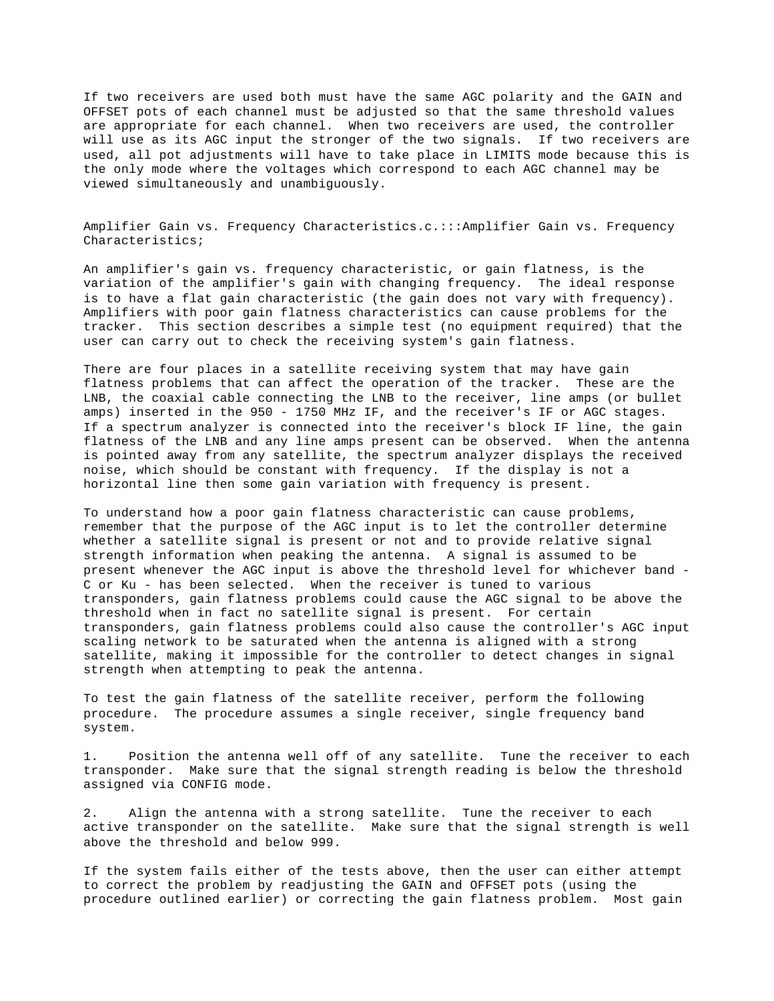If two receivers are used both must have the same AGC polarity and the GAIN and OFFSET pots of each channel must be adjusted so that the same threshold values are appropriate for each channel. When two receivers are used, the controller will use as its AGC input the stronger of the two signals. If two receivers are used, all pot adjustments will have to take place in LIMITS mode because this is the only mode where the voltages which correspond to each AGC channel may be viewed simultaneously and unambiguously.

Amplifier Gain vs. Frequency Characteristics.c.:::Amplifier Gain vs. Frequency Characteristics;

An amplifier's gain vs. frequency characteristic, or gain flatness, is the variation of the amplifier's gain with changing frequency. The ideal response is to have a flat gain characteristic (the gain does not vary with frequency). Amplifiers with poor gain flatness characteristics can cause problems for the tracker. This section describes a simple test (no equipment required) that the user can carry out to check the receiving system's gain flatness.

There are four places in a satellite receiving system that may have gain flatness problems that can affect the operation of the tracker. These are the LNB, the coaxial cable connecting the LNB to the receiver, line amps (or bullet amps) inserted in the 950 - 1750 MHz IF, and the receiver's IF or AGC stages. If a spectrum analyzer is connected into the receiver's block IF line, the gain flatness of the LNB and any line amps present can be observed. When the antenna is pointed away from any satellite, the spectrum analyzer displays the received noise, which should be constant with frequency. If the display is not a horizontal line then some gain variation with frequency is present.

To understand how a poor gain flatness characteristic can cause problems, remember that the purpose of the AGC input is to let the controller determine whether a satellite signal is present or not and to provide relative signal strength information when peaking the antenna. A signal is assumed to be present whenever the AGC input is above the threshold level for whichever band - C or Ku - has been selected. When the receiver is tuned to various transponders, gain flatness problems could cause the AGC signal to be above the threshold when in fact no satellite signal is present. For certain transponders, gain flatness problems could also cause the controller's AGC input scaling network to be saturated when the antenna is aligned with a strong satellite, making it impossible for the controller to detect changes in signal strength when attempting to peak the antenna.

To test the gain flatness of the satellite receiver, perform the following procedure. The procedure assumes a single receiver, single frequency band system.

1. Position the antenna well off of any satellite. Tune the receiver to each transponder. Make sure that the signal strength reading is below the threshold assigned via CONFIG mode.

2. Align the antenna with a strong satellite. Tune the receiver to each active transponder on the satellite. Make sure that the signal strength is well above the threshold and below 999.

If the system fails either of the tests above, then the user can either attempt to correct the problem by readjusting the GAIN and OFFSET pots (using the procedure outlined earlier) or correcting the gain flatness problem. Most gain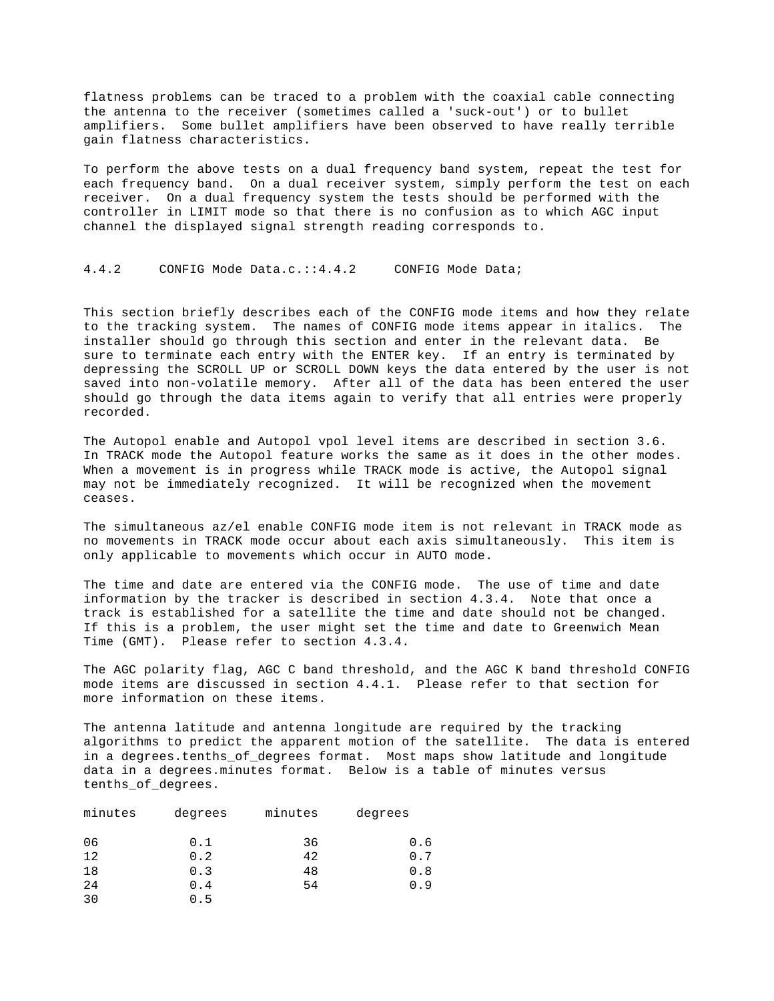flatness problems can be traced to a problem with the coaxial cable connecting the antenna to the receiver (sometimes called a 'suck-out') or to bullet amplifiers. Some bullet amplifiers have been observed to have really terrible gain flatness characteristics.

To perform the above tests on a dual frequency band system, repeat the test for each frequency band. On a dual receiver system, simply perform the test on each receiver. On a dual frequency system the tests should be performed with the controller in LIMIT mode so that there is no confusion as to which AGC input channel the displayed signal strength reading corresponds to.

## 4.4.2 CONFIG Mode Data.c.::4.4.2 CONFIG Mode Data;

This section briefly describes each of the CONFIG mode items and how they relate to the tracking system. The names of CONFIG mode items appear in italics. The installer should go through this section and enter in the relevant data. Be sure to terminate each entry with the ENTER key. If an entry is terminated by depressing the SCROLL UP or SCROLL DOWN keys the data entered by the user is not saved into non-volatile memory. After all of the data has been entered the user should go through the data items again to verify that all entries were properly recorded.

The Autopol enable and Autopol vpol level items are described in section 3.6. In TRACK mode the Autopol feature works the same as it does in the other modes. When a movement is in progress while TRACK mode is active, the Autopol signal may not be immediately recognized. It will be recognized when the movement ceases.

The simultaneous az/el enable CONFIG mode item is not relevant in TRACK mode as no movements in TRACK mode occur about each axis simultaneously. This item is only applicable to movements which occur in AUTO mode.

The time and date are entered via the CONFIG mode. The use of time and date information by the tracker is described in section 4.3.4. Note that once a track is established for a satellite the time and date should not be changed. If this is a problem, the user might set the time and date to Greenwich Mean Time (GMT). Please refer to section 4.3.4.

The AGC polarity flag, AGC C band threshold, and the AGC K band threshold CONFIG mode items are discussed in section 4.4.1. Please refer to that section for more information on these items.

The antenna latitude and antenna longitude are required by the tracking algorithms to predict the apparent motion of the satellite. The data is entered in a degrees.tenths\_of\_degrees format. Most maps show latitude and longitude data in a degrees.minutes format. Below is a table of minutes versus tenths\_of\_degrees.

| degrees | minutes | degrees |
|---------|---------|---------|
| 0.1     | 36      | 0.6     |
| 0.2     | 42      | 0.7     |
| 0.3     | 48      | 0.8     |
| 0.4     | 54      | 0.9     |
| 0.5     |         |         |
|         |         |         |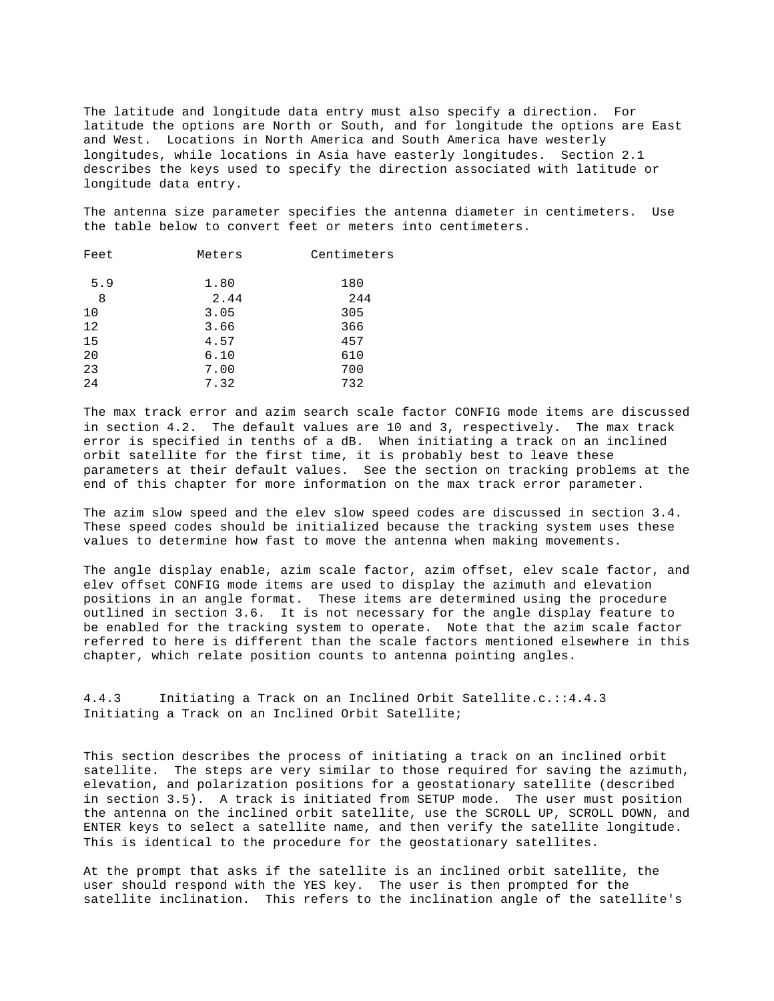The latitude and longitude data entry must also specify a direction. For latitude the options are North or South, and for longitude the options are East and West. Locations in North America and South America have westerly longitudes, while locations in Asia have easterly longitudes. Section 2.1 describes the keys used to specify the direction associated with latitude or longitude data entry.

The antenna size parameter specifies the antenna diameter in centimeters. Use the table below to convert feet or meters into centimeters.

| Feet | Meters | Centimeters |
|------|--------|-------------|
| 5.9  | 1.80   | 180         |
| 8    | 2.44   | 244         |
| 10   | 3.05   | 305         |
| 12   | 3.66   | 366         |
| 15   | 4.57   | 457         |
| 20   | 6.10   | 610         |
| 23   | 7.00   | 700         |
| 24   | 7.32   | 732         |

The max track error and azim search scale factor CONFIG mode items are discussed in section 4.2. The default values are 10 and 3, respectively. The max track error is specified in tenths of a dB. When initiating a track on an inclined orbit satellite for the first time, it is probably best to leave these parameters at their default values. See the section on tracking problems at the end of this chapter for more information on the max track error parameter.

The azim slow speed and the elev slow speed codes are discussed in section 3.4. These speed codes should be initialized because the tracking system uses these values to determine how fast to move the antenna when making movements.

The angle display enable, azim scale factor, azim offset, elev scale factor, and elev offset CONFIG mode items are used to display the azimuth and elevation positions in an angle format. These items are determined using the procedure outlined in section 3.6. It is not necessary for the angle display feature to be enabled for the tracking system to operate. Note that the azim scale factor referred to here is different than the scale factors mentioned elsewhere in this chapter, which relate position counts to antenna pointing angles.

4.4.3 Initiating a Track on an Inclined Orbit Satellite.c.::4.4.3 Initiating a Track on an Inclined Orbit Satellite;

This section describes the process of initiating a track on an inclined orbit satellite. The steps are very similar to those required for saving the azimuth, elevation, and polarization positions for a geostationary satellite (described in section 3.5). A track is initiated from SETUP mode. The user must position the antenna on the inclined orbit satellite, use the SCROLL UP, SCROLL DOWN, and ENTER keys to select a satellite name, and then verify the satellite longitude. This is identical to the procedure for the geostationary satellites.

At the prompt that asks if the satellite is an inclined orbit satellite, the user should respond with the YES key. The user is then prompted for the satellite inclination. This refers to the inclination angle of the satellite's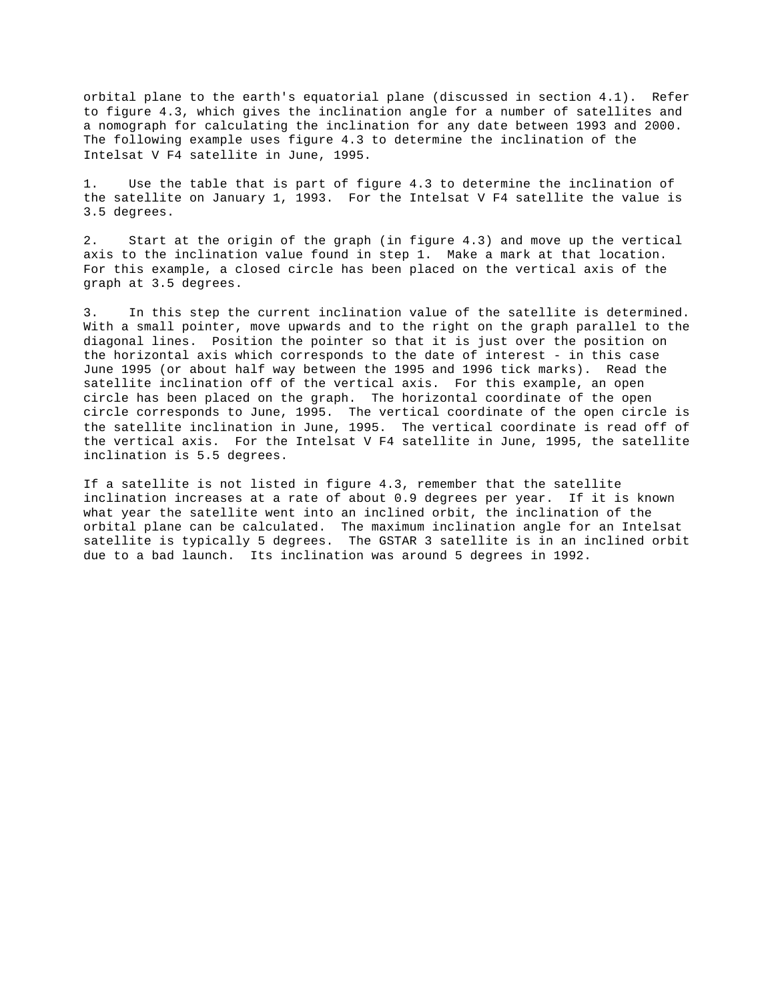orbital plane to the earth's equatorial plane (discussed in section 4.1). Refer to figure 4.3, which gives the inclination angle for a number of satellites and a nomograph for calculating the inclination for any date between 1993 and 2000. The following example uses figure 4.3 to determine the inclination of the Intelsat V F4 satellite in June, 1995.

1. Use the table that is part of figure 4.3 to determine the inclination of the satellite on January 1, 1993. For the Intelsat V F4 satellite the value is 3.5 degrees.

2. Start at the origin of the graph (in figure 4.3) and move up the vertical axis to the inclination value found in step 1. Make a mark at that location. For this example, a closed circle has been placed on the vertical axis of the graph at 3.5 degrees.

3. In this step the current inclination value of the satellite is determined. With a small pointer, move upwards and to the right on the graph parallel to the diagonal lines. Position the pointer so that it is just over the position on the horizontal axis which corresponds to the date of interest - in this case June 1995 (or about half way between the 1995 and 1996 tick marks). Read the satellite inclination off of the vertical axis. For this example, an open circle has been placed on the graph. The horizontal coordinate of the open circle corresponds to June, 1995. The vertical coordinate of the open circle is the satellite inclination in June, 1995. The vertical coordinate is read off of the vertical axis. For the Intelsat V F4 satellite in June, 1995, the satellite inclination is 5.5 degrees.

If a satellite is not listed in figure 4.3, remember that the satellite inclination increases at a rate of about 0.9 degrees per year. If it is known what year the satellite went into an inclined orbit, the inclination of the orbital plane can be calculated. The maximum inclination angle for an Intelsat satellite is typically 5 degrees. The GSTAR 3 satellite is in an inclined orbit due to a bad launch. Its inclination was around 5 degrees in 1992.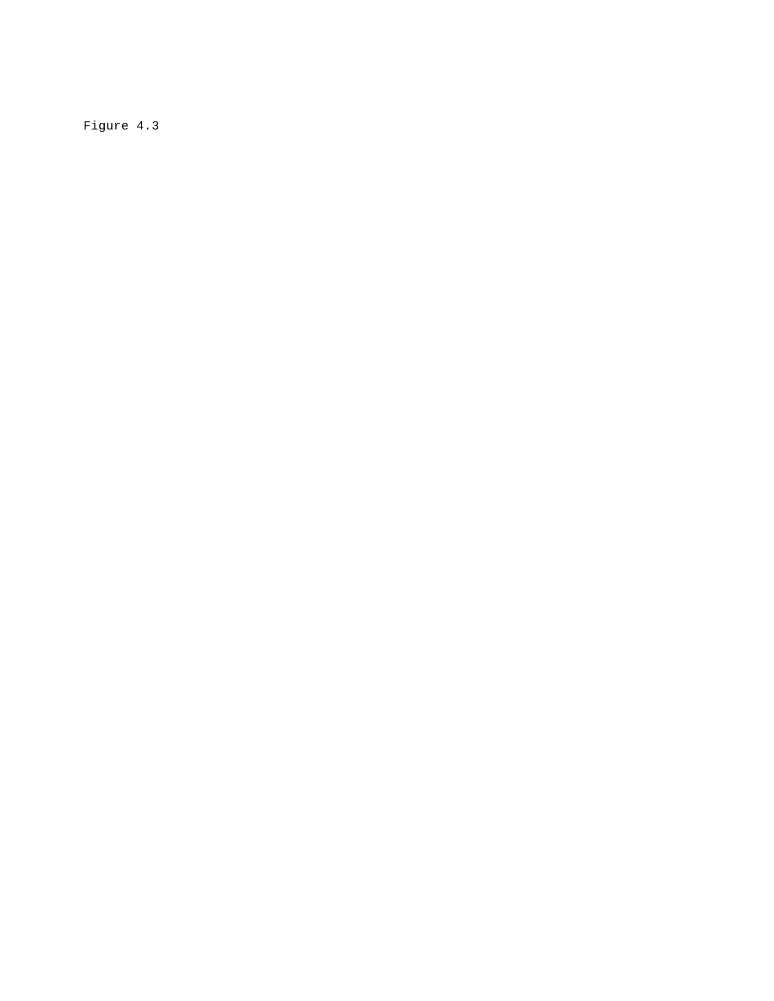Figure 4.3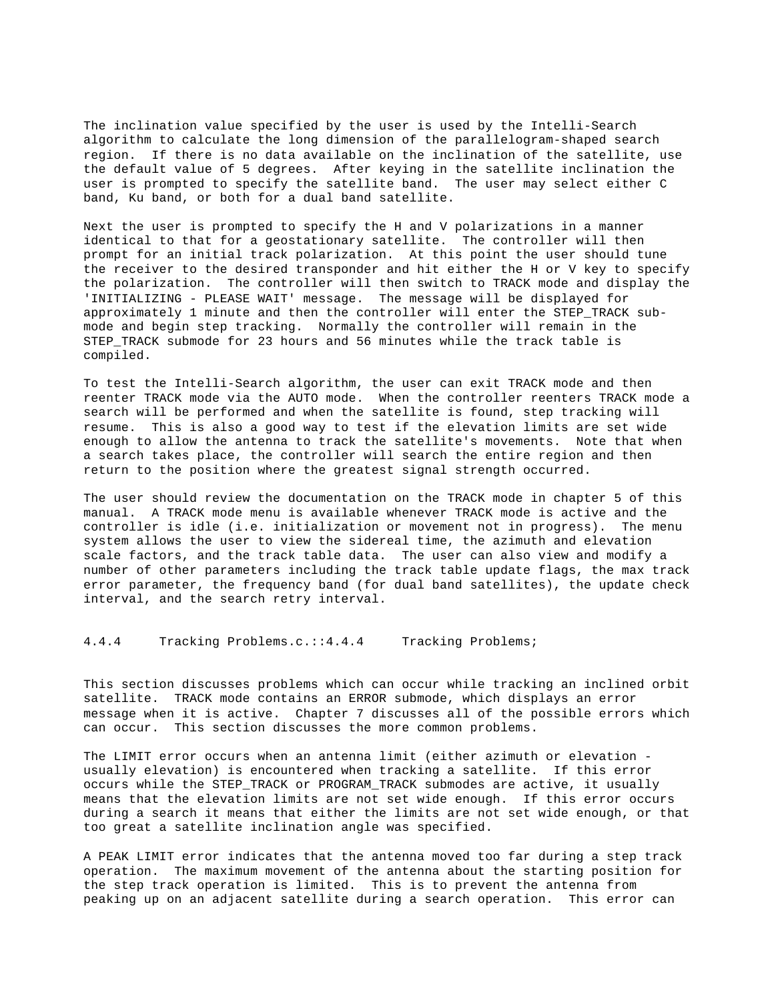The inclination value specified by the user is used by the Intelli-Search algorithm to calculate the long dimension of the parallelogram-shaped search region. If there is no data available on the inclination of the satellite, use the default value of 5 degrees. After keying in the satellite inclination the user is prompted to specify the satellite band. The user may select either C band, Ku band, or both for a dual band satellite.

Next the user is prompted to specify the H and V polarizations in a manner identical to that for a geostationary satellite. The controller will then prompt for an initial track polarization. At this point the user should tune the receiver to the desired transponder and hit either the H or V key to specify the polarization. The controller will then switch to TRACK mode and display the 'INITIALIZING - PLEASE WAIT' message. The message will be displayed for approximately 1 minute and then the controller will enter the STEP\_TRACK submode and begin step tracking. Normally the controller will remain in the STEP\_TRACK submode for 23 hours and 56 minutes while the track table is compiled.

To test the Intelli-Search algorithm, the user can exit TRACK mode and then reenter TRACK mode via the AUTO mode. When the controller reenters TRACK mode a search will be performed and when the satellite is found, step tracking will resume. This is also a good way to test if the elevation limits are set wide enough to allow the antenna to track the satellite's movements. Note that when a search takes place, the controller will search the entire region and then return to the position where the greatest signal strength occurred.

The user should review the documentation on the TRACK mode in chapter 5 of this manual. A TRACK mode menu is available whenever TRACK mode is active and the controller is idle (i.e. initialization or movement not in progress). The menu system allows the user to view the sidereal time, the azimuth and elevation scale factors, and the track table data. The user can also view and modify a number of other parameters including the track table update flags, the max track error parameter, the frequency band (for dual band satellites), the update check interval, and the search retry interval.

4.4.4 Tracking Problems.c.::4.4.4 Tracking Problems;

This section discusses problems which can occur while tracking an inclined orbit satellite. TRACK mode contains an ERROR submode, which displays an error message when it is active. Chapter 7 discusses all of the possible errors which can occur. This section discusses the more common problems.

The LIMIT error occurs when an antenna limit (either azimuth or elevation usually elevation) is encountered when tracking a satellite. If this error occurs while the STEP\_TRACK or PROGRAM\_TRACK submodes are active, it usually means that the elevation limits are not set wide enough. If this error occurs during a search it means that either the limits are not set wide enough, or that too great a satellite inclination angle was specified.

A PEAK LIMIT error indicates that the antenna moved too far during a step track operation. The maximum movement of the antenna about the starting position for the step track operation is limited. This is to prevent the antenna from peaking up on an adjacent satellite during a search operation. This error can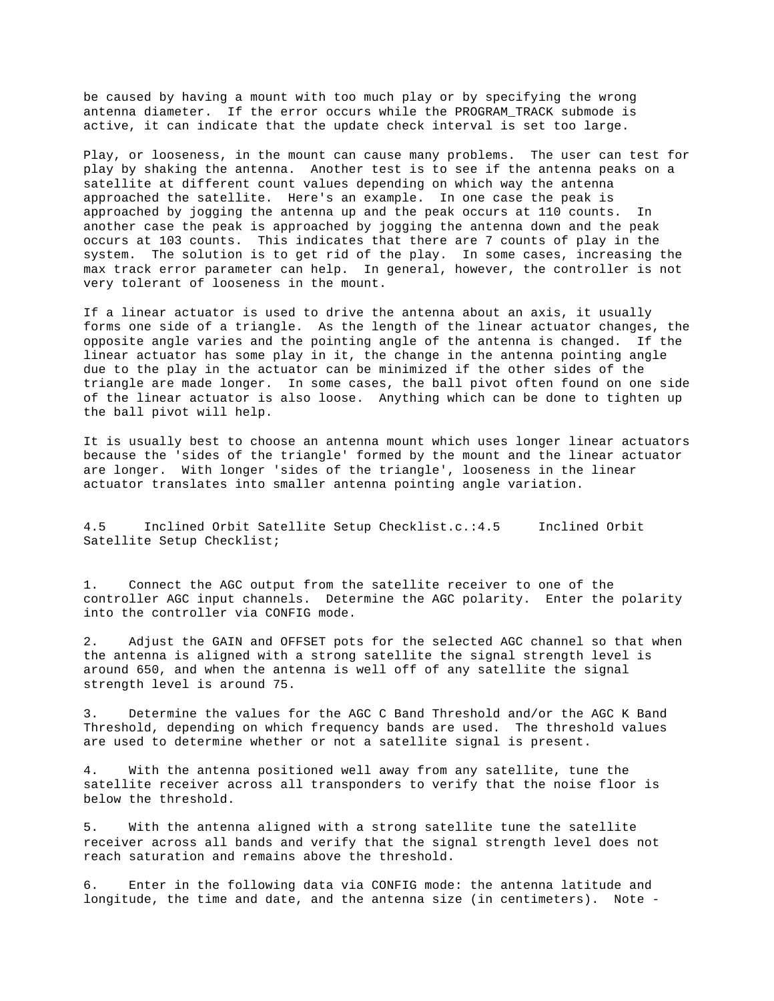be caused by having a mount with too much play or by specifying the wrong antenna diameter. If the error occurs while the PROGRAM\_TRACK submode is active, it can indicate that the update check interval is set too large.

Play, or looseness, in the mount can cause many problems. The user can test for play by shaking the antenna. Another test is to see if the antenna peaks on a satellite at different count values depending on which way the antenna approached the satellite. Here's an example. In one case the peak is approached by jogging the antenna up and the peak occurs at 110 counts. In another case the peak is approached by jogging the antenna down and the peak occurs at 103 counts. This indicates that there are 7 counts of play in the system. The solution is to get rid of the play. In some cases, increasing the max track error parameter can help. In general, however, the controller is not very tolerant of looseness in the mount.

If a linear actuator is used to drive the antenna about an axis, it usually forms one side of a triangle. As the length of the linear actuator changes, the opposite angle varies and the pointing angle of the antenna is changed. If the linear actuator has some play in it, the change in the antenna pointing angle due to the play in the actuator can be minimized if the other sides of the triangle are made longer. In some cases, the ball pivot often found on one side of the linear actuator is also loose. Anything which can be done to tighten up the ball pivot will help.

It is usually best to choose an antenna mount which uses longer linear actuators because the 'sides of the triangle' formed by the mount and the linear actuator are longer. With longer 'sides of the triangle', looseness in the linear actuator translates into smaller antenna pointing angle variation.

4.5 Inclined Orbit Satellite Setup Checklist.c.:4.5 Inclined Orbit Satellite Setup Checklist;

1. Connect the AGC output from the satellite receiver to one of the controller AGC input channels. Determine the AGC polarity. Enter the polarity into the controller via CONFIG mode.

2. Adjust the GAIN and OFFSET pots for the selected AGC channel so that when the antenna is aligned with a strong satellite the signal strength level is around 650, and when the antenna is well off of any satellite the signal strength level is around 75.

3. Determine the values for the AGC C Band Threshold and/or the AGC K Band Threshold, depending on which frequency bands are used. The threshold values are used to determine whether or not a satellite signal is present.

4. With the antenna positioned well away from any satellite, tune the satellite receiver across all transponders to verify that the noise floor is below the threshold.

5. With the antenna aligned with a strong satellite tune the satellite receiver across all bands and verify that the signal strength level does not reach saturation and remains above the threshold.

6. Enter in the following data via CONFIG mode: the antenna latitude and longitude, the time and date, and the antenna size (in centimeters). Note -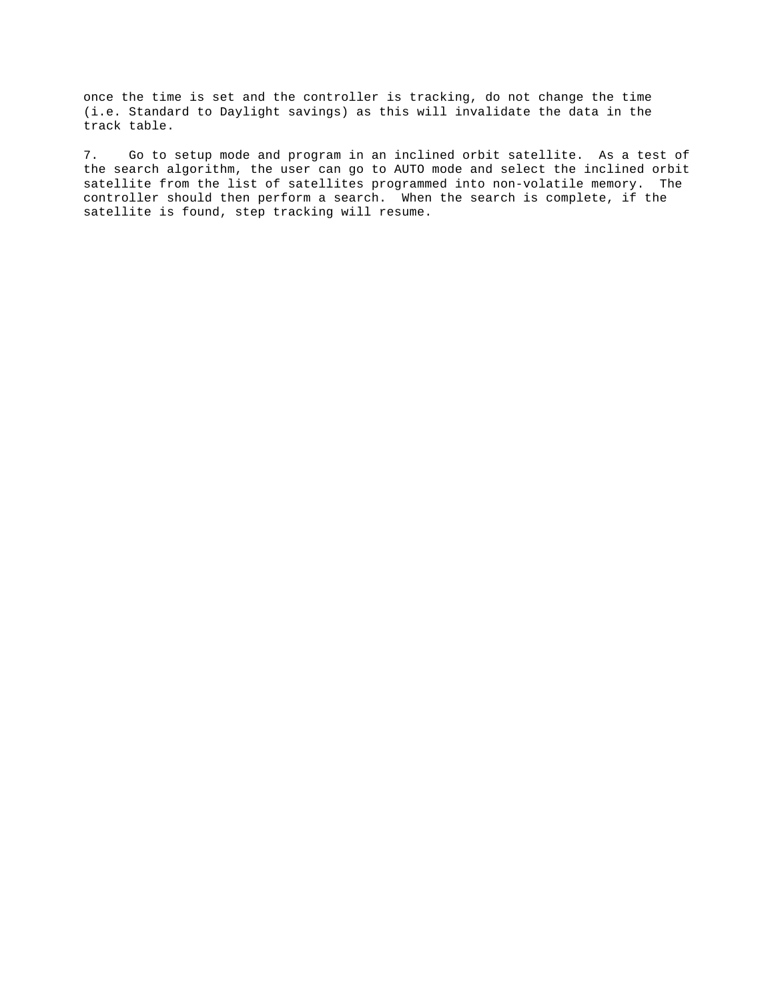once the time is set and the controller is tracking, do not change the time (i.e. Standard to Daylight savings) as this will invalidate the data in the track table.

7. Go to setup mode and program in an inclined orbit satellite. As a test of the search algorithm, the user can go to AUTO mode and select the inclined orbit satellite from the list of satellites programmed into non-volatile memory. The controller should then perform a search. When the search is complete, if the satellite is found, step tracking will resume.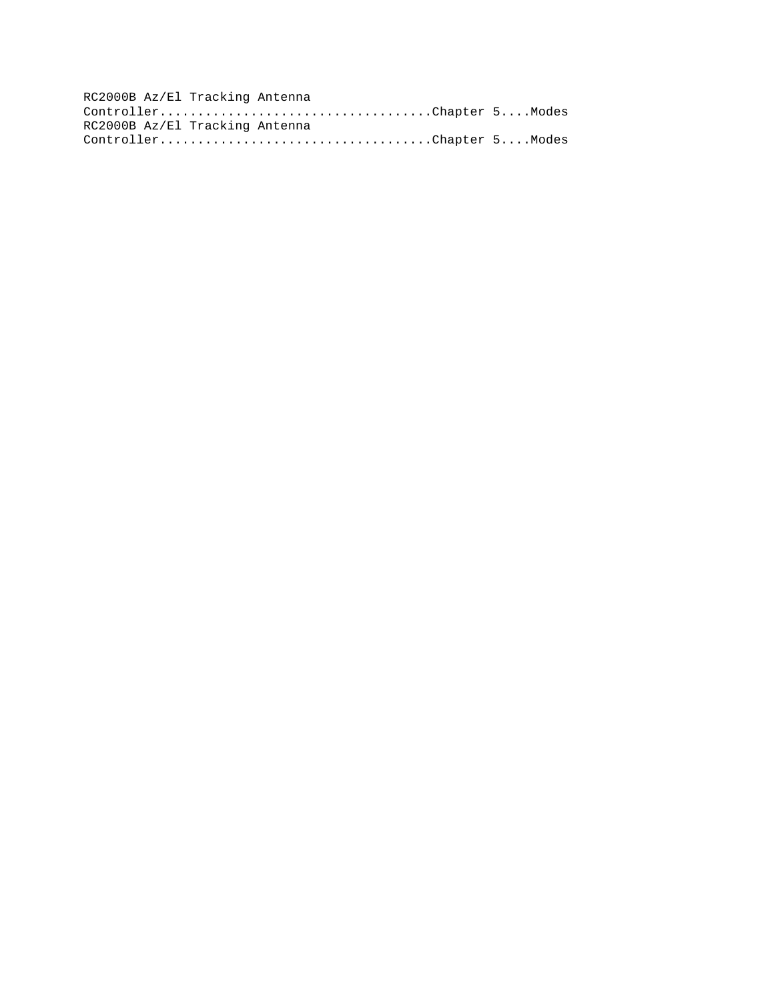RC2000B Az/El Tracking Antenna Controller....................................Chapter 5....Modes RC2000B Az/El Tracking Antenna Controller....................................Chapter 5....Modes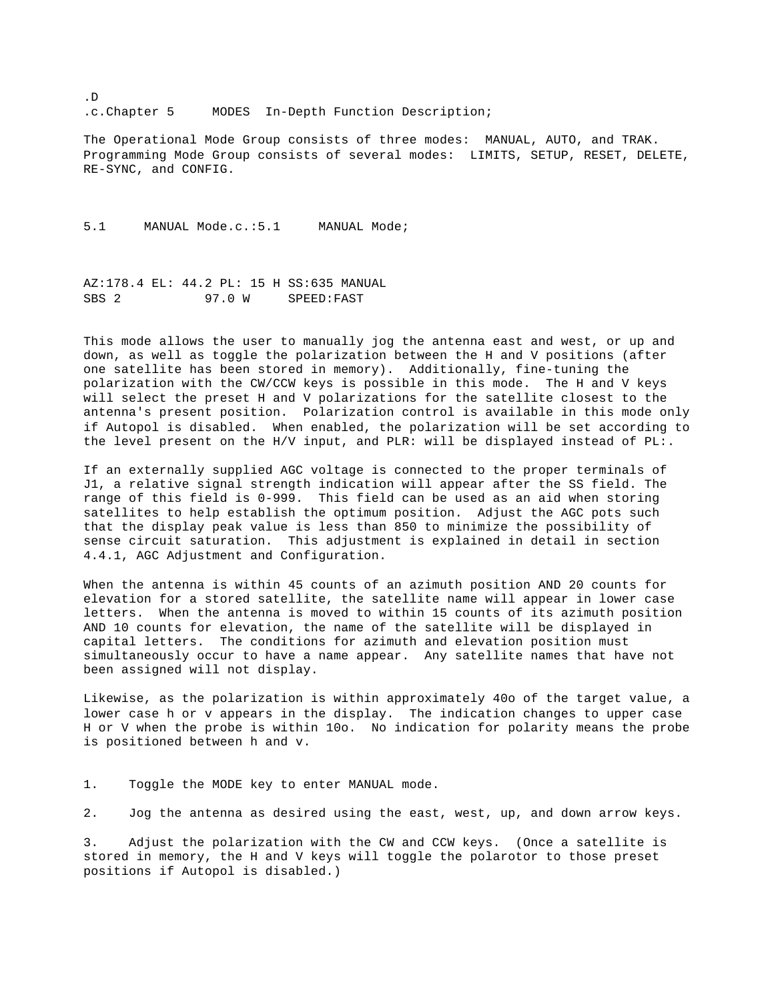.c.Chapter 5 MODES In-Depth Function Description;

The Operational Mode Group consists of three modes: MANUAL, AUTO, and TRAK. Programming Mode Group consists of several modes: LIMITS, SETUP, RESET, DELETE, RE-SYNC, and CONFIG.

5.1 MANUAL Mode.c.:5.1 MANUAL Mode;

.D

AZ:178.4 EL: 44.2 PL: 15 H SS:635 MANUAL SBS 2 97.0 W SPEED:FAST

This mode allows the user to manually jog the antenna east and west, or up and down, as well as toggle the polarization between the H and V positions (after one satellite has been stored in memory). Additionally, fine-tuning the polarization with the CW/CCW keys is possible in this mode. The H and V keys will select the preset H and V polarizations for the satellite closest to the antenna's present position. Polarization control is available in this mode only if Autopol is disabled. When enabled, the polarization will be set according to the level present on the H/V input, and PLR: will be displayed instead of PL:.

If an externally supplied AGC voltage is connected to the proper terminals of J1, a relative signal strength indication will appear after the SS field. The range of this field is 0-999. This field can be used as an aid when storing satellites to help establish the optimum position. Adjust the AGC pots such that the display peak value is less than 850 to minimize the possibility of sense circuit saturation. This adjustment is explained in detail in section 4.4.1, AGC Adjustment and Configuration.

When the antenna is within 45 counts of an azimuth position AND 20 counts for elevation for a stored satellite, the satellite name will appear in lower case letters. When the antenna is moved to within 15 counts of its azimuth position AND 10 counts for elevation, the name of the satellite will be displayed in capital letters. The conditions for azimuth and elevation position must simultaneously occur to have a name appear. Any satellite names that have not been assigned will not display.

Likewise, as the polarization is within approximately 40o of the target value, a lower case h or v appears in the display. The indication changes to upper case H or V when the probe is within 10o. No indication for polarity means the probe is positioned between h and v.

1. Toggle the MODE key to enter MANUAL mode.

2. Jog the antenna as desired using the east, west, up, and down arrow keys.

3. Adjust the polarization with the CW and CCW keys. (Once a satellite is stored in memory, the H and V keys will toggle the polarotor to those preset positions if Autopol is disabled.)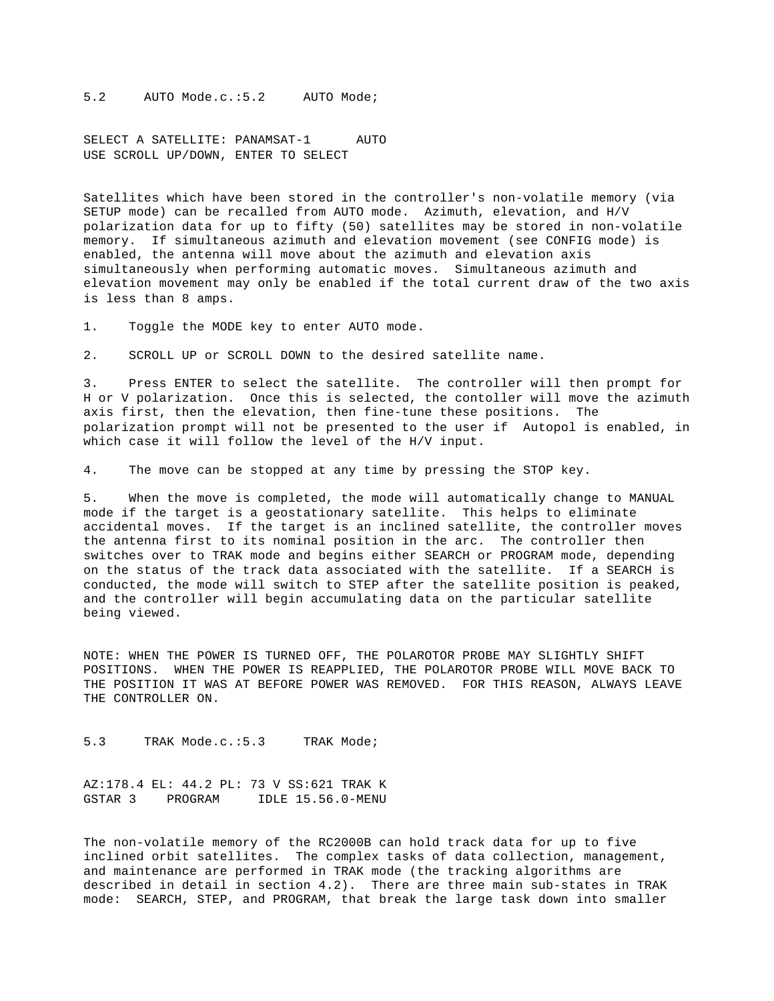5.2 AUTO Mode.c.:5.2 AUTO Mode;

SELECT A SATELLITE: PANAMSAT-1 AUTO USE SCROLL UP/DOWN, ENTER TO SELECT

Satellites which have been stored in the controller's non-volatile memory (via SETUP mode) can be recalled from AUTO mode. Azimuth, elevation, and H/V polarization data for up to fifty (50) satellites may be stored in non-volatile memory. If simultaneous azimuth and elevation movement (see CONFIG mode) is enabled, the antenna will move about the azimuth and elevation axis simultaneously when performing automatic moves. Simultaneous azimuth and elevation movement may only be enabled if the total current draw of the two axis is less than 8 amps.

1. Toggle the MODE key to enter AUTO mode.

2. SCROLL UP or SCROLL DOWN to the desired satellite name.

3. Press ENTER to select the satellite. The controller will then prompt for H or V polarization. Once this is selected, the contoller will move the azimuth axis first, then the elevation, then fine-tune these positions. The polarization prompt will not be presented to the user if Autopol is enabled, in which case it will follow the level of the H/V input.

4. The move can be stopped at any time by pressing the STOP key.

5. When the move is completed, the mode will automatically change to MANUAL mode if the target is a geostationary satellite. This helps to eliminate accidental moves. If the target is an inclined satellite, the controller moves the antenna first to its nominal position in the arc. The controller then switches over to TRAK mode and begins either SEARCH or PROGRAM mode, depending on the status of the track data associated with the satellite. If a SEARCH is conducted, the mode will switch to STEP after the satellite position is peaked, and the controller will begin accumulating data on the particular satellite being viewed.

NOTE: WHEN THE POWER IS TURNED OFF, THE POLAROTOR PROBE MAY SLIGHTLY SHIFT POSITIONS. WHEN THE POWER IS REAPPLIED, THE POLAROTOR PROBE WILL MOVE BACK TO THE POSITION IT WAS AT BEFORE POWER WAS REMOVED. FOR THIS REASON, ALWAYS LEAVE THE CONTROLLER ON.

5.3 TRAK Mode.c.:5.3 TRAK Mode;

AZ:178.4 EL: 44.2 PL: 73 V SS:621 TRAK K GSTAR 3 PROGRAM IDLE 15.56.0-MENU

The non-volatile memory of the RC2000B can hold track data for up to five inclined orbit satellites. The complex tasks of data collection, management, and maintenance are performed in TRAK mode (the tracking algorithms are described in detail in section 4.2). There are three main sub-states in TRAK mode: SEARCH, STEP, and PROGRAM, that break the large task down into smaller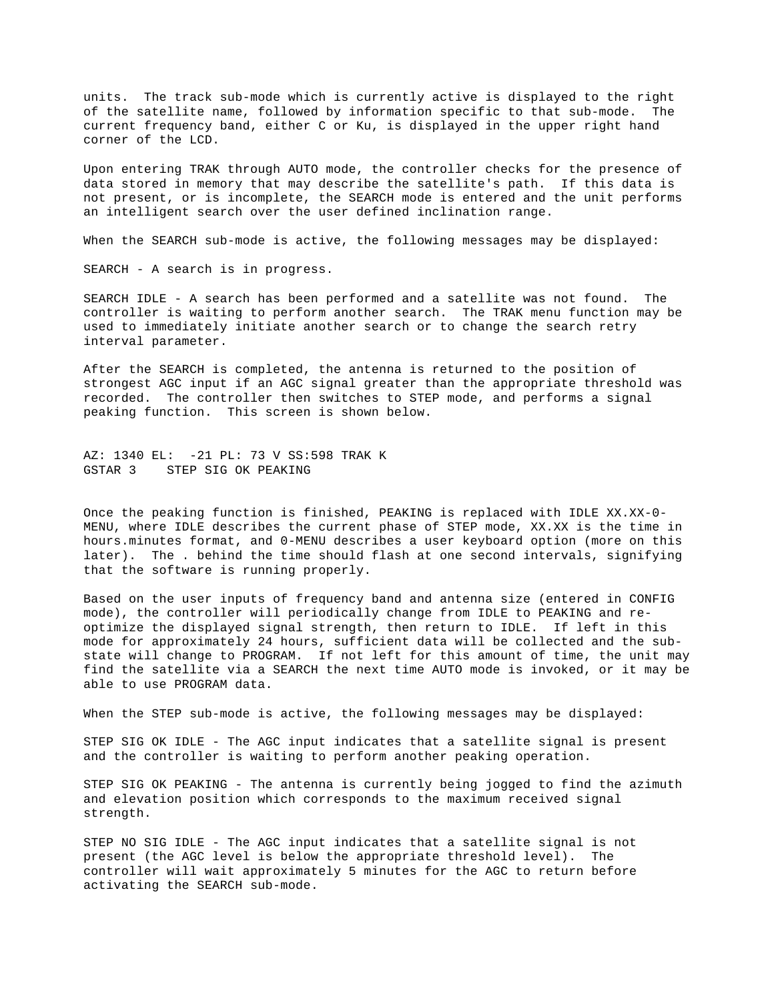units. The track sub-mode which is currently active is displayed to the right of the satellite name, followed by information specific to that sub-mode. The current frequency band, either C or Ku, is displayed in the upper right hand corner of the LCD.

Upon entering TRAK through AUTO mode, the controller checks for the presence of data stored in memory that may describe the satellite's path. If this data is not present, or is incomplete, the SEARCH mode is entered and the unit performs an intelligent search over the user defined inclination range.

When the SEARCH sub-mode is active, the following messages may be displayed:

SEARCH - A search is in progress.

SEARCH IDLE - A search has been performed and a satellite was not found. The controller is waiting to perform another search. The TRAK menu function may be used to immediately initiate another search or to change the search retry interval parameter.

After the SEARCH is completed, the antenna is returned to the position of strongest AGC input if an AGC signal greater than the appropriate threshold was recorded. The controller then switches to STEP mode, and performs a signal peaking function. This screen is shown below.

AZ: 1340 EL: -21 PL: 73 V SS:598 TRAK K GSTAR 3 STEP SIG OK PEAKING

Once the peaking function is finished, PEAKING is replaced with IDLE XX.XX-0- MENU, where IDLE describes the current phase of STEP mode, XX.XX is the time in hours.minutes format, and 0-MENU describes a user keyboard option (more on this later). The . behind the time should flash at one second intervals, signifying that the software is running properly.

Based on the user inputs of frequency band and antenna size (entered in CONFIG mode), the controller will periodically change from IDLE to PEAKING and reoptimize the displayed signal strength, then return to IDLE. If left in this mode for approximately 24 hours, sufficient data will be collected and the substate will change to PROGRAM. If not left for this amount of time, the unit may find the satellite via a SEARCH the next time AUTO mode is invoked, or it may be able to use PROGRAM data.

When the STEP sub-mode is active, the following messages may be displayed:

STEP SIG OK IDLE - The AGC input indicates that a satellite signal is present and the controller is waiting to perform another peaking operation.

STEP SIG OK PEAKING - The antenna is currently being jogged to find the azimuth and elevation position which corresponds to the maximum received signal strength.

STEP NO SIG IDLE - The AGC input indicates that a satellite signal is not present (the AGC level is below the appropriate threshold level). The controller will wait approximately 5 minutes for the AGC to return before activating the SEARCH sub-mode.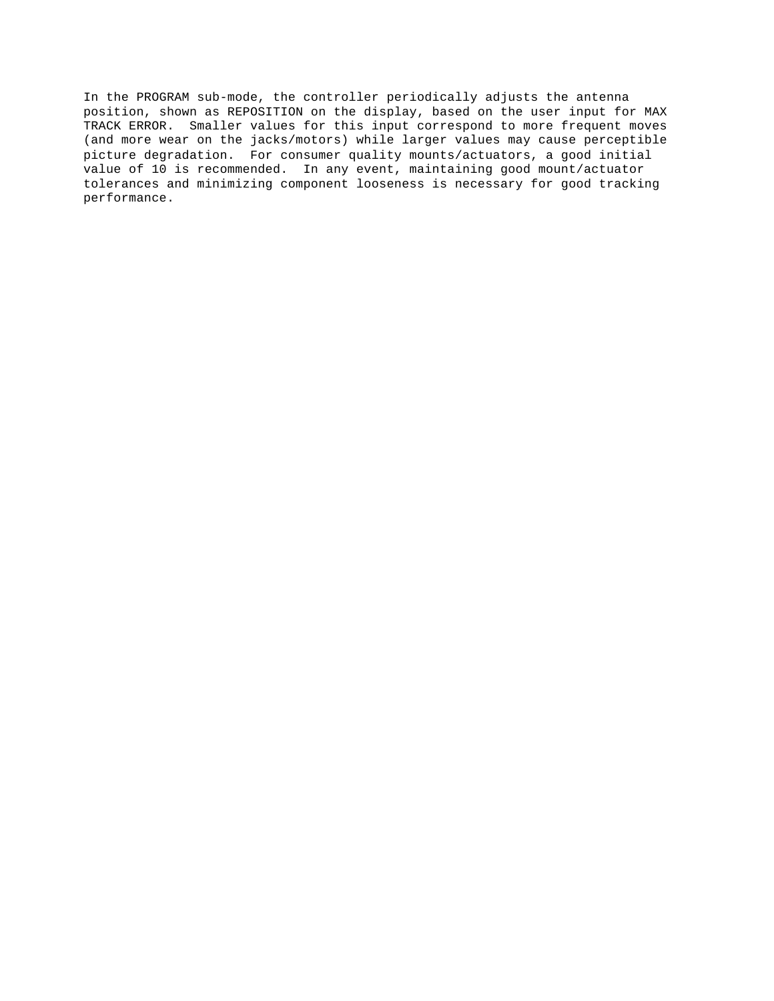In the PROGRAM sub-mode, the controller periodically adjusts the antenna position, shown as REPOSITION on the display, based on the user input for MAX TRACK ERROR. Smaller values for this input correspond to more frequent moves (and more wear on the jacks/motors) while larger values may cause perceptible picture degradation. For consumer quality mounts/actuators, a good initial value of 10 is recommended. In any event, maintaining good mount/actuator tolerances and minimizing component looseness is necessary for good tracking performance.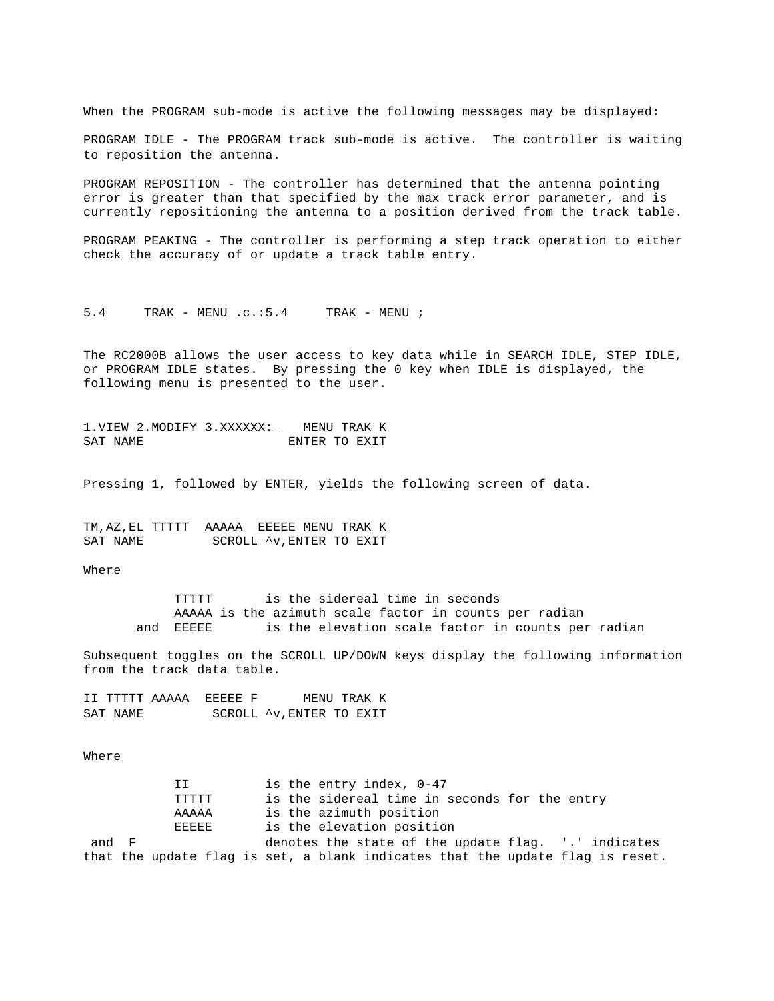When the PROGRAM sub-mode is active the following messages may be displayed:

PROGRAM IDLE - The PROGRAM track sub-mode is active. The controller is waiting to reposition the antenna.

PROGRAM REPOSITION - The controller has determined that the antenna pointing error is greater than that specified by the max track error parameter, and is currently repositioning the antenna to a position derived from the track table.

PROGRAM PEAKING - The controller is performing a step track operation to either check the accuracy of or update a track table entry.

5.4 TRAK - MENU .c.:5.4 TRAK - MENU ;

The RC2000B allows the user access to key data while in SEARCH IDLE, STEP IDLE, or PROGRAM IDLE states. By pressing the 0 key when IDLE is displayed, the following menu is presented to the user.

1.VIEW 2.MODIFY 3.XXXXXX:\_ MENU TRAK K SAT NAME **ENTER TO EXIT** 

Pressing 1, followed by ENTER, yields the following screen of data.

TM,AZ,EL TTTTT AAAAA EEEEE MENU TRAK K SAT NAME SCROLL  $\sim$ v, ENTER TO EXIT

Where

TTTTT is the sidereal time in seconds AAAAA is the azimuth scale factor in counts per radian and EEEEE is the elevation scale factor in counts per radian

Subsequent toggles on the SCROLL UP/DOWN keys display the following information from the track data table.

II TTTTT AAAAA EEEEE F MENU TRAK K SAT NAME SCROLL  $\sim$ v, ENTER TO EXIT

Where

II is the entry index, 0-47<br>TTTTT is the sidereal time in: is the sidereal time in seconds for the entry AAAAA is the azimuth position EEEEE is the elevation position and F denotes the state of the update flag. '.' indicates that the update flag is set, a blank indicates that the update flag is reset.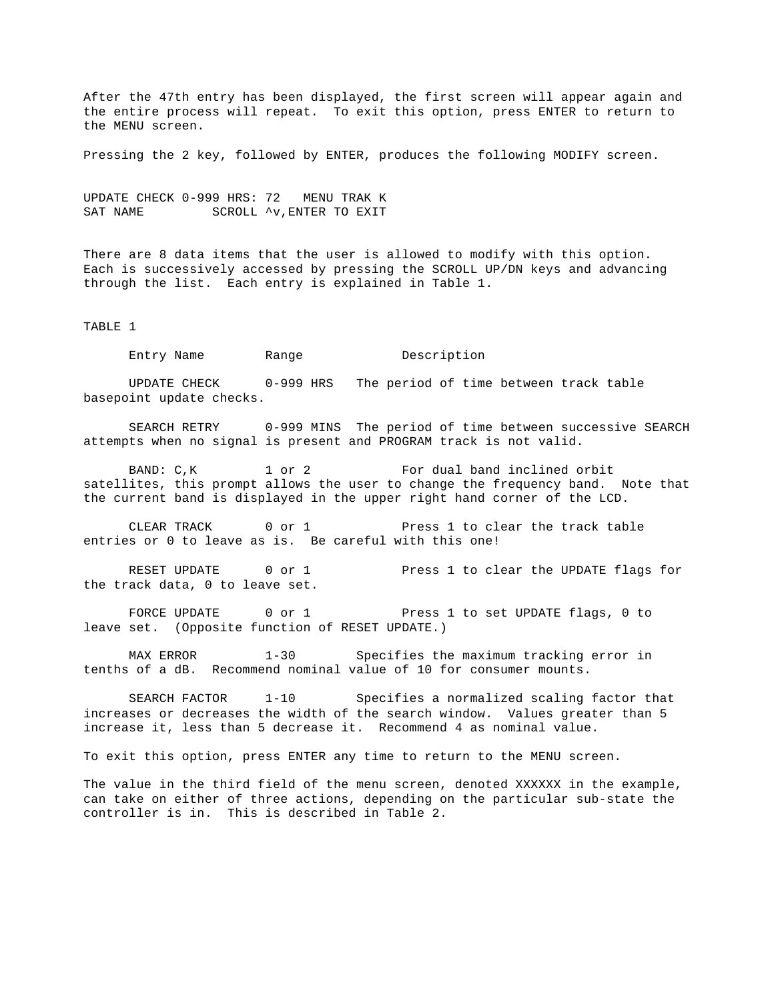After the 47th entry has been displayed, the first screen will appear again and the entire process will repeat. To exit this option, press ENTER to return to the MENU screen.

Pressing the 2 key, followed by ENTER, produces the following MODIFY screen.

UPDATE CHECK 0-999 HRS: 72 MENU TRAK K SAT NAME SCROLL  $\sim$ v, ENTER TO EXIT

There are 8 data items that the user is allowed to modify with this option. Each is successively accessed by pressing the SCROLL UP/DN keys and advancing through the list. Each entry is explained in Table 1.

TABLE 1

Entry Name Range Description

UPDATE CHECK 0-999 HRS The period of time between track table basepoint update checks.

SEARCH RETRY 0-999 MINS The period of time between successive SEARCH attempts when no signal is present and PROGRAM track is not valid.

BAND: C, K 1 or 2 For dual band inclined orbit satellites, this prompt allows the user to change the frequency band. Note that the current band is displayed in the upper right hand corner of the LCD.

CLEAR TRACK 0 or 1 Press 1 to clear the track table entries or 0 to leave as is. Be careful with this one!

RESET UPDATE 0 or 1 Press 1 to clear the UPDATE flags for the track data, 0 to leave set.

FORCE UPDATE 0 or 1 Press 1 to set UPDATE flags, 0 to leave set. (Opposite function of RESET UPDATE.)

MAX ERROR 1-30 Specifies the maximum tracking error in tenths of a dB. Recommend nominal value of 10 for consumer mounts.

SEARCH FACTOR 1-10 Specifies a normalized scaling factor that increases or decreases the width of the search window. Values greater than 5 increase it, less than 5 decrease it. Recommend 4 as nominal value.

To exit this option, press ENTER any time to return to the MENU screen.

The value in the third field of the menu screen, denoted XXXXXX in the example, can take on either of three actions, depending on the particular sub-state the controller is in. This is described in Table 2.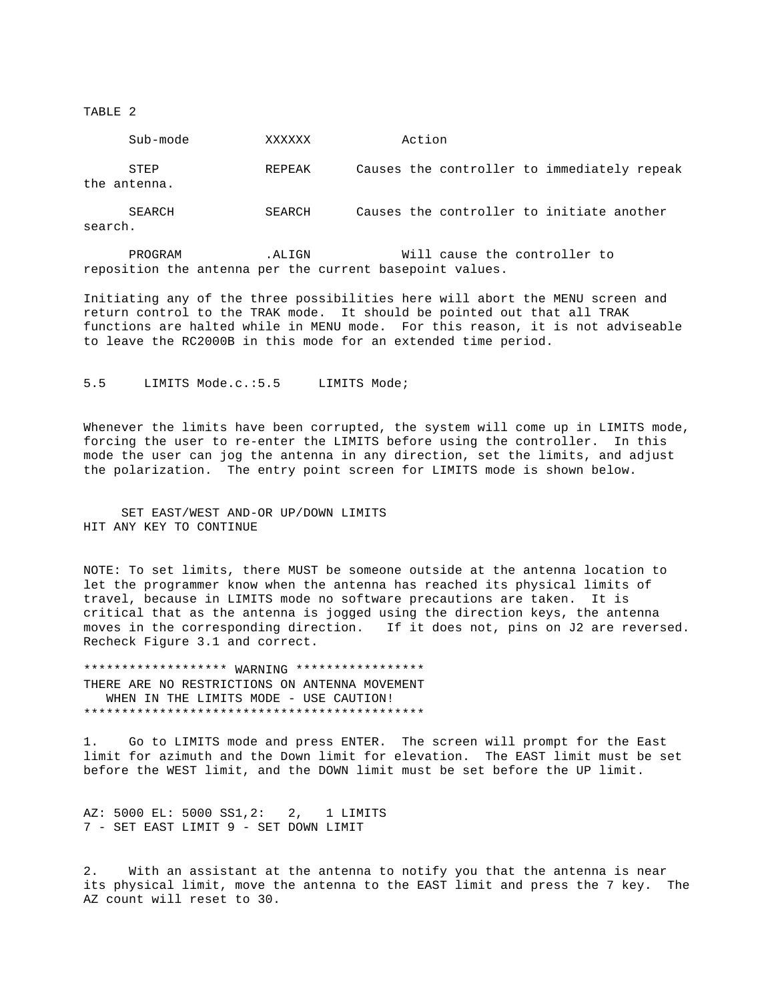TABLE 2

|         | Sub-mode             | XXXXXX | Action |  |                                             |
|---------|----------------------|--------|--------|--|---------------------------------------------|
|         | STEP<br>the antenna. | REPEAK |        |  | Causes the controller to immediately repeak |
| search. | SEARCH               | SEARCH |        |  | Causes the controller to initiate another   |

PROGRAM . ALIGN Will cause the controller to reposition the antenna per the current basepoint values.

Initiating any of the three possibilities here will abort the MENU screen and return control to the TRAK mode. It should be pointed out that all TRAK functions are halted while in MENU mode. For this reason, it is not adviseable to leave the RC2000B in this mode for an extended time period.

5.5 LIMITS Mode.c.:5.5 LIMITS Mode;

Whenever the limits have been corrupted, the system will come up in LIMITS mode, forcing the user to re-enter the LIMITS before using the controller. In this mode the user can jog the antenna in any direction, set the limits, and adjust the polarization. The entry point screen for LIMITS mode is shown below.

 SET EAST/WEST AND-OR UP/DOWN LIMITS HIT ANY KEY TO CONTINUE

NOTE: To set limits, there MUST be someone outside at the antenna location to let the programmer know when the antenna has reached its physical limits of travel, because in LIMITS mode no software precautions are taken. It is critical that as the antenna is jogged using the direction keys, the antenna moves in the corresponding direction. If it does not, pins on J2 are reversed. Recheck Figure 3.1 and correct.

\*\*\*\*\*\*\*\*\*\*\*\*\*\*\*\*\*\*\* WARNING \*\*\*\*\*\*\*\*\*\*\*\*\*\*\*\*\* THERE ARE NO RESTRICTIONS ON ANTENNA MOVEMENT WHEN IN THE LIMITS MODE - USE CAUTION! \*\*\*\*\*\*\*\*\*\*\*\*\*\*\*\*\*\*\*\*\*\*\*\*\*\*\*\*\*\*\*\*\*\*\*\*\*\*\*\*\*\*\*\*\*

1. Go to LIMITS mode and press ENTER. The screen will prompt for the East limit for azimuth and the Down limit for elevation. The EAST limit must be set before the WEST limit, and the DOWN limit must be set before the UP limit.

AZ: 5000 EL: 5000 SS1,2: 2, 1 LIMITS 7 - SET EAST LIMIT 9 - SET DOWN LIMIT

2. With an assistant at the antenna to notify you that the antenna is near its physical limit, move the antenna to the EAST limit and press the 7 key. The AZ count will reset to 30.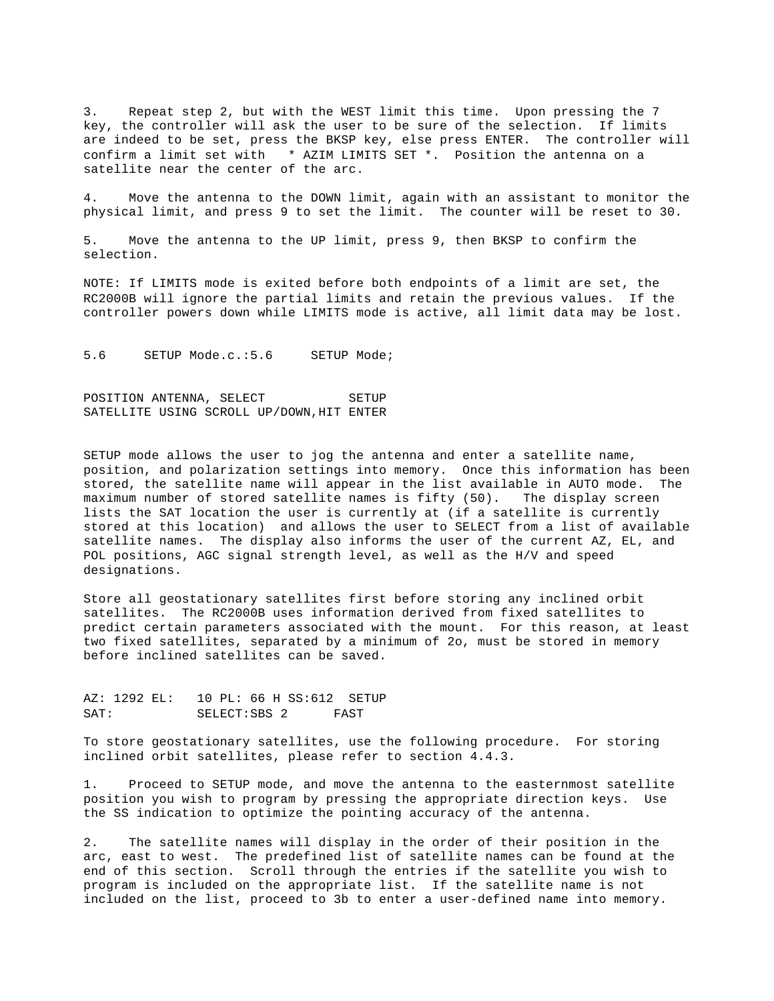3. Repeat step 2, but with the WEST limit this time. Upon pressing the 7 key, the controller will ask the user to be sure of the selection. If limits are indeed to be set, press the BKSP key, else press ENTER. The controller will confirm a limit set with \* AZIM LIMITS SET \*. Position the antenna on a satellite near the center of the arc.

4. Move the antenna to the DOWN limit, again with an assistant to monitor the physical limit, and press 9 to set the limit. The counter will be reset to 30.

5. Move the antenna to the UP limit, press 9, then BKSP to confirm the selection.

NOTE: If LIMITS mode is exited before both endpoints of a limit are set, the RC2000B will ignore the partial limits and retain the previous values. If the controller powers down while LIMITS mode is active, all limit data may be lost.

5.6 SETUP Mode.c.:5.6 SETUP Mode;

POSITION ANTENNA, SELECT SETUP SATELLITE USING SCROLL UP/DOWN,HIT ENTER

SETUP mode allows the user to jog the antenna and enter a satellite name, position, and polarization settings into memory. Once this information has been stored, the satellite name will appear in the list available in AUTO mode. The maximum number of stored satellite names is fifty (50). The display screen lists the SAT location the user is currently at (if a satellite is currently stored at this location) and allows the user to SELECT from a list of available satellite names. The display also informs the user of the current AZ, EL, and POL positions, AGC signal strength level, as well as the H/V and speed designations.

Store all geostationary satellites first before storing any inclined orbit satellites. The RC2000B uses information derived from fixed satellites to predict certain parameters associated with the mount. For this reason, at least two fixed satellites, separated by a minimum of 2o, must be stored in memory before inclined satellites can be saved.

AZ: 1292 EL: 10 PL: 66 H SS:612 SETUP SAT: SELECT:SBS 2 FAST

To store geostationary satellites, use the following procedure. For storing inclined orbit satellites, please refer to section 4.4.3.

1. Proceed to SETUP mode, and move the antenna to the easternmost satellite position you wish to program by pressing the appropriate direction keys. Use the SS indication to optimize the pointing accuracy of the antenna.

2. The satellite names will display in the order of their position in the arc, east to west. The predefined list of satellite names can be found at the end of this section. Scroll through the entries if the satellite you wish to program is included on the appropriate list. If the satellite name is not included on the list, proceed to 3b to enter a user-defined name into memory.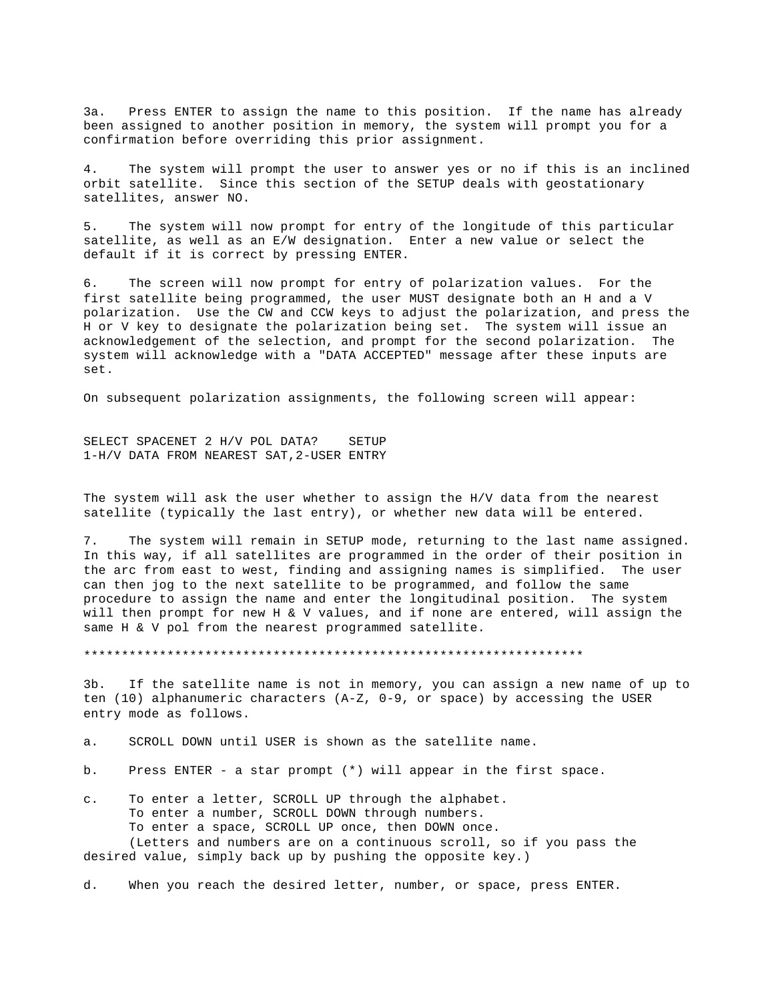3a. Press ENTER to assign the name to this position. If the name has already been assigned to another position in memory, the system will prompt you for a confirmation before overriding this prior assignment.

4. The system will prompt the user to answer yes or no if this is an inclined orbit satellite. Since this section of the SETUP deals with geostationary satellites, answer NO.

5. The system will now prompt for entry of the longitude of this particular satellite, as well as an E/W designation. Enter a new value or select the default if it is correct by pressing ENTER.

6. The screen will now prompt for entry of polarization values. For the first satellite being programmed, the user MUST designate both an H and a V polarization. Use the CW and CCW keys to adjust the polarization, and press the H or V key to designate the polarization being set. The system will issue an acknowledgement of the selection, and prompt for the second polarization. The system will acknowledge with a "DATA ACCEPTED" message after these inputs are set.

On subsequent polarization assignments, the following screen will appear:

SELECT SPACENET 2 H/V POL DATA? SETUP 1-H/V DATA FROM NEAREST SAT,2-USER ENTRY

The system will ask the user whether to assign the H/V data from the nearest satellite (typically the last entry), or whether new data will be entered.

7. The system will remain in SETUP mode, returning to the last name assigned. In this way, if all satellites are programmed in the order of their position in the arc from east to west, finding and assigning names is simplified. The user can then jog to the next satellite to be programmed, and follow the same procedure to assign the name and enter the longitudinal position. The system will then prompt for new H & V values, and if none are entered, will assign the same H & V pol from the nearest programmed satellite.

\*\*\*\*\*\*\*\*\*\*\*\*\*\*\*\*\*\*\*\*\*\*\*\*\*\*\*\*\*\*\*\*\*\*\*\*\*\*\*\*\*\*\*\*\*\*\*\*\*\*\*\*\*\*\*\*\*\*\*\*\*\*\*\*\*\*

3b. If the satellite name is not in memory, you can assign a new name of up to ten (10) alphanumeric characters (A-Z, 0-9, or space) by accessing the USER entry mode as follows.

a. SCROLL DOWN until USER is shown as the satellite name.

b. Press ENTER - a star prompt (\*) will appear in the first space.

c. To enter a letter, SCROLL UP through the alphabet. To enter a number, SCROLL DOWN through numbers. To enter a space, SCROLL UP once, then DOWN once. (Letters and numbers are on a continuous scroll, so if you pass the

desired value, simply back up by pushing the opposite key.)

d. When you reach the desired letter, number, or space, press ENTER.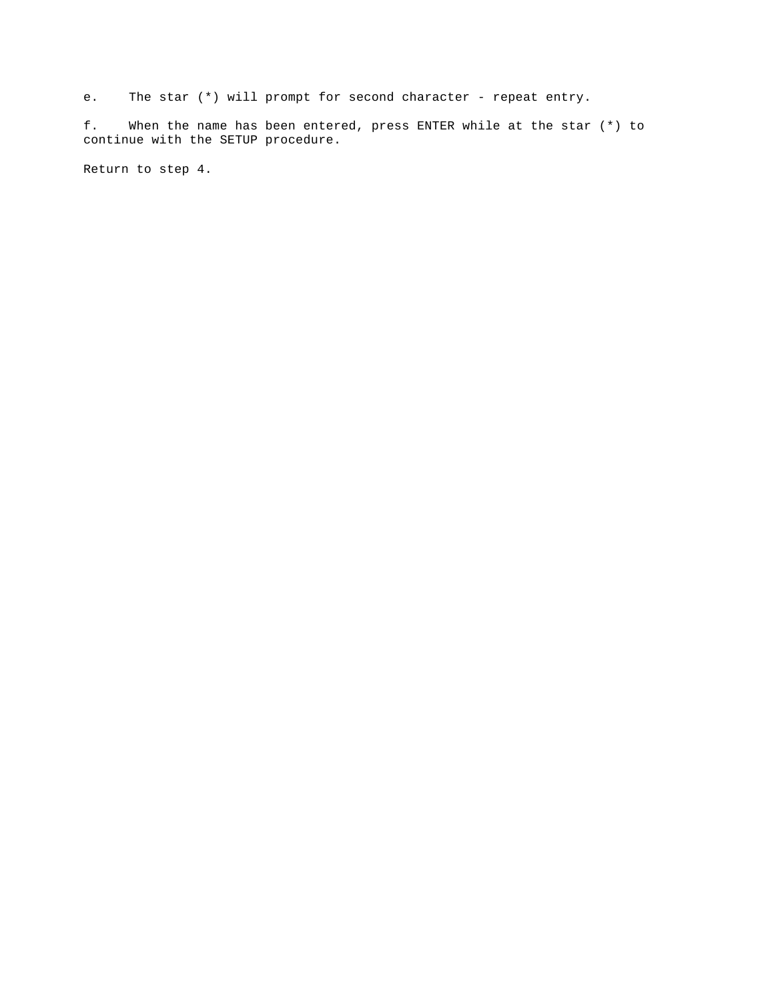e. The star (\*) will prompt for second character - repeat entry.

f. When the name has been entered, press ENTER while at the star (\*) to continue with the SETUP procedure.

Return to step 4.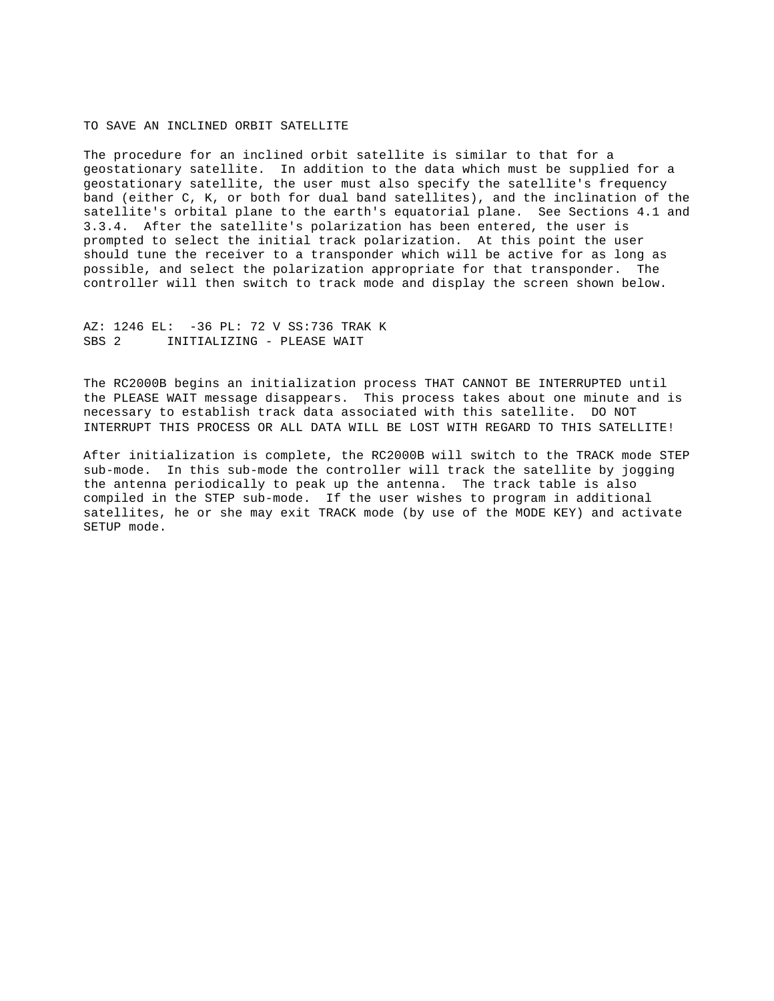TO SAVE AN INCLINED ORBIT SATELLITE

The procedure for an inclined orbit satellite is similar to that for a geostationary satellite. In addition to the data which must be supplied for a geostationary satellite, the user must also specify the satellite's frequency band (either C, K, or both for dual band satellites), and the inclination of the satellite's orbital plane to the earth's equatorial plane. See Sections 4.1 and 3.3.4. After the satellite's polarization has been entered, the user is prompted to select the initial track polarization. At this point the user should tune the receiver to a transponder which will be active for as long as possible, and select the polarization appropriate for that transponder. The controller will then switch to track mode and display the screen shown below.

```
AZ: 1246 EL: -36 PL: 72 V SS:736 TRAK K
SBS 2 INITIALIZING - PLEASE WAIT
```
The RC2000B begins an initialization process THAT CANNOT BE INTERRUPTED until the PLEASE WAIT message disappears. This process takes about one minute and is necessary to establish track data associated with this satellite. DO NOT INTERRUPT THIS PROCESS OR ALL DATA WILL BE LOST WITH REGARD TO THIS SATELLITE!

After initialization is complete, the RC2000B will switch to the TRACK mode STEP sub-mode. In this sub-mode the controller will track the satellite by jogging the antenna periodically to peak up the antenna. The track table is also compiled in the STEP sub-mode. If the user wishes to program in additional satellites, he or she may exit TRACK mode (by use of the MODE KEY) and activate SETUP mode.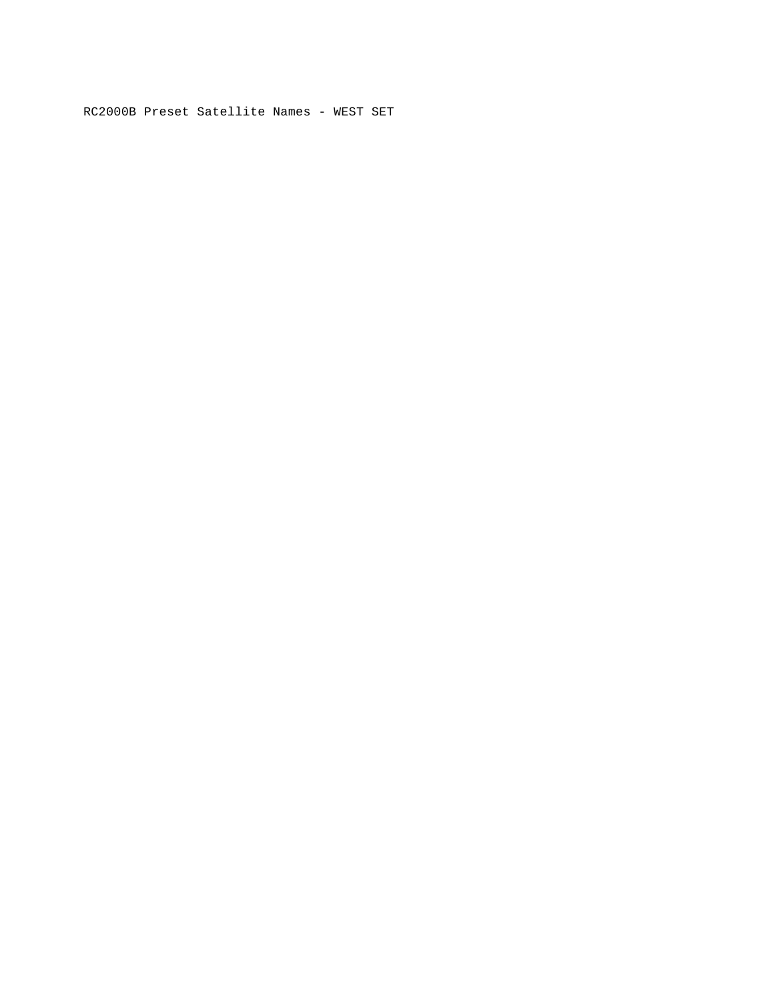RC2000B Preset Satellite Names - WEST SET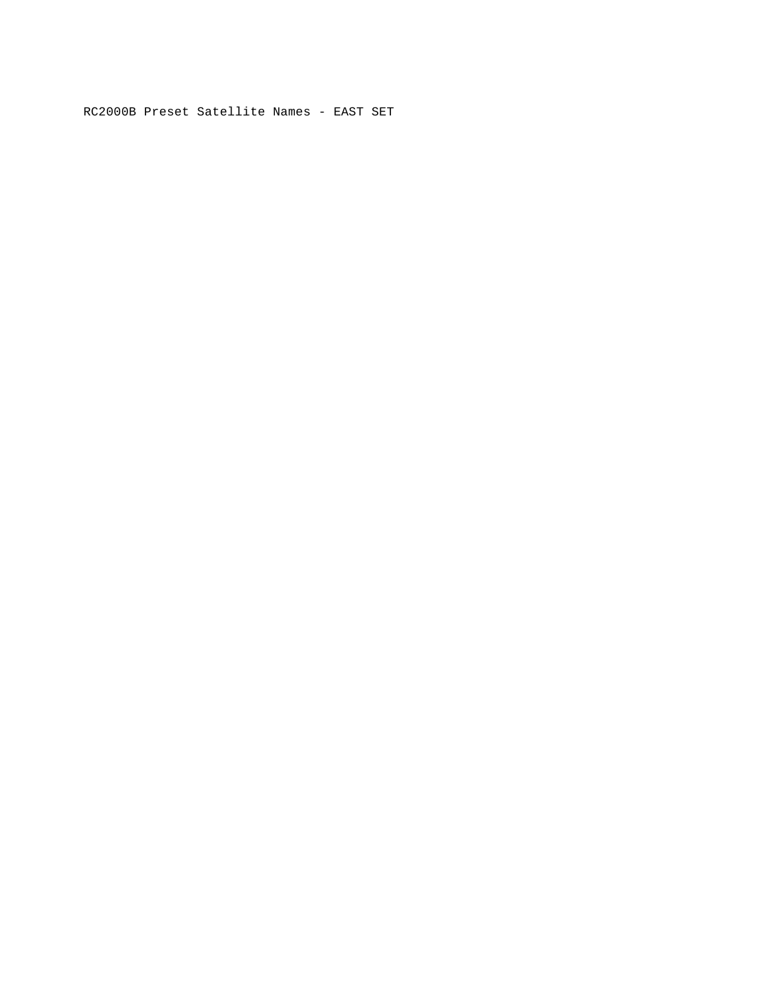RC2000B Preset Satellite Names - EAST SET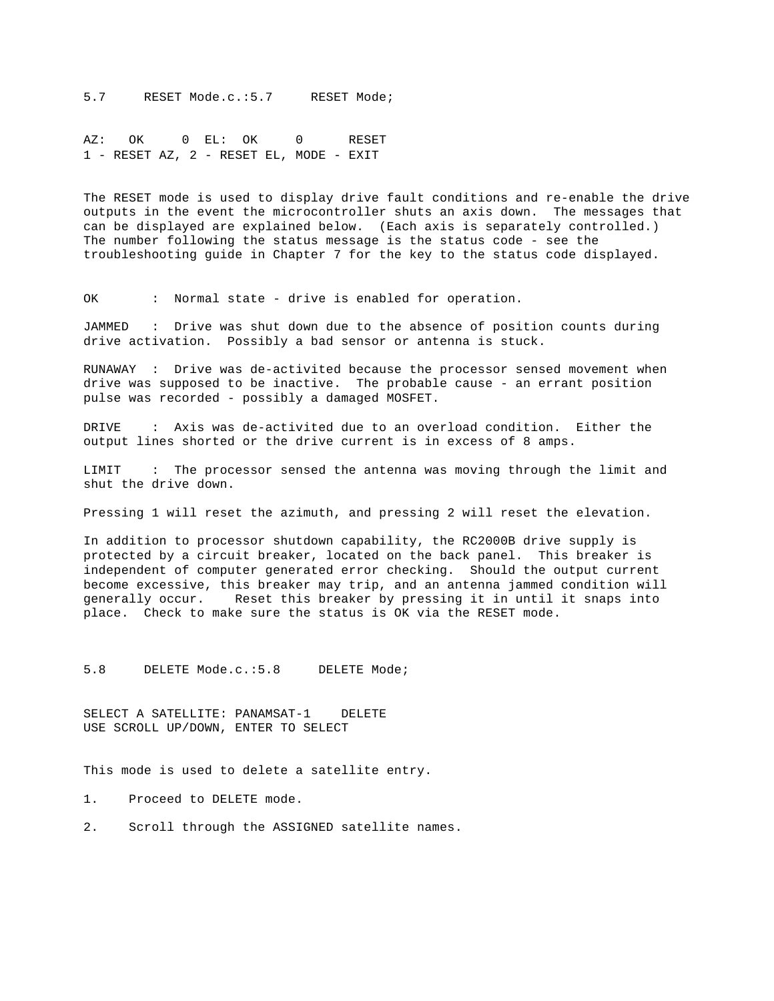5.7 RESET Mode.c.:5.7 RESET Mode;

AZ: OK 0 EL: OK 0 RESET 1 - RESET AZ, 2 - RESET EL, MODE - EXIT

The RESET mode is used to display drive fault conditions and re-enable the drive outputs in the event the microcontroller shuts an axis down. The messages that can be displayed are explained below. (Each axis is separately controlled.) The number following the status message is the status code - see the troubleshooting guide in Chapter 7 for the key to the status code displayed.

OK : Normal state - drive is enabled for operation.

JAMMED : Drive was shut down due to the absence of position counts during drive activation. Possibly a bad sensor or antenna is stuck.

RUNAWAY : Drive was de-activited because the processor sensed movement when drive was supposed to be inactive. The probable cause - an errant position pulse was recorded - possibly a damaged MOSFET.

DRIVE : Axis was de-activited due to an overload condition. Either the output lines shorted or the drive current is in excess of 8 amps.

LIMIT : The processor sensed the antenna was moving through the limit and shut the drive down.

Pressing 1 will reset the azimuth, and pressing 2 will reset the elevation.

In addition to processor shutdown capability, the RC2000B drive supply is protected by a circuit breaker, located on the back panel. This breaker is independent of computer generated error checking. Should the output current become excessive, this breaker may trip, and an antenna jammed condition will generally occur. Reset this breaker by pressing it in until it snaps into place. Check to make sure the status is OK via the RESET mode.

5.8 DELETE Mode.c.:5.8 DELETE Mode;

SELECT A SATELLITE: PANAMSAT-1 DELETE USE SCROLL UP/DOWN, ENTER TO SELECT

This mode is used to delete a satellite entry.

1. Proceed to DELETE mode.

2. Scroll through the ASSIGNED satellite names.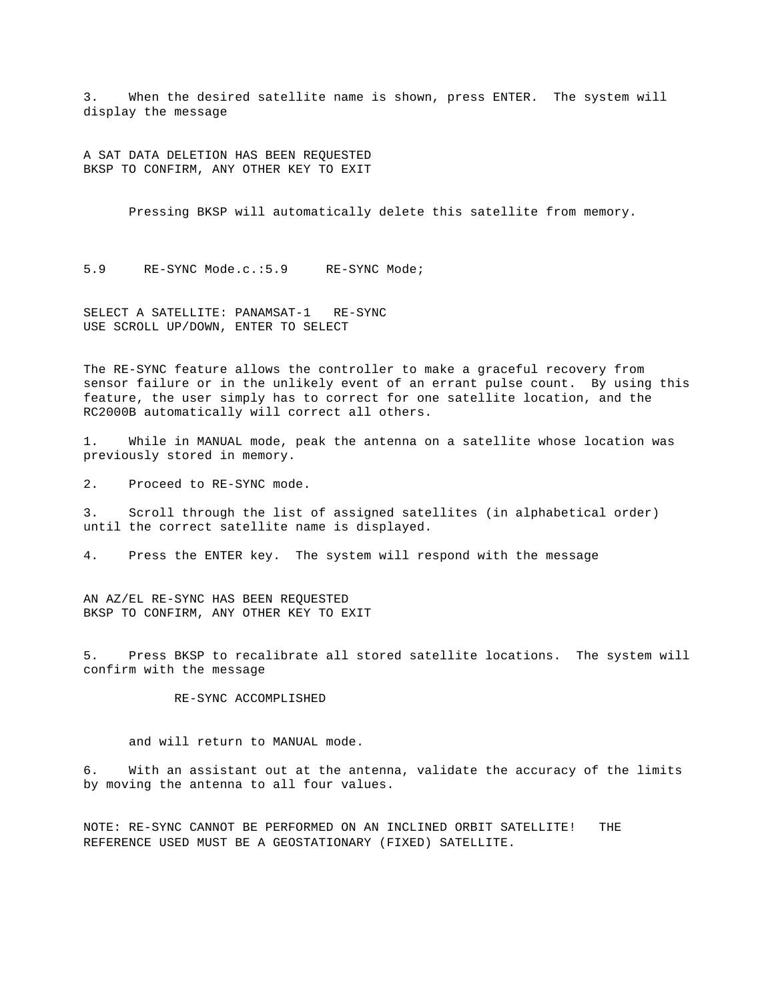3. When the desired satellite name is shown, press ENTER. The system will display the message

A SAT DATA DELETION HAS BEEN REQUESTED BKSP TO CONFIRM, ANY OTHER KEY TO EXIT

Pressing BKSP will automatically delete this satellite from memory.

5.9 RE-SYNC Mode.c.:5.9 RE-SYNC Mode;

SELECT A SATELLITE: PANAMSAT-1 RE-SYNC USE SCROLL UP/DOWN, ENTER TO SELECT

The RE-SYNC feature allows the controller to make a graceful recovery from sensor failure or in the unlikely event of an errant pulse count. By using this feature, the user simply has to correct for one satellite location, and the RC2000B automatically will correct all others.

1. While in MANUAL mode, peak the antenna on a satellite whose location was previously stored in memory.

2. Proceed to RE-SYNC mode.

3. Scroll through the list of assigned satellites (in alphabetical order) until the correct satellite name is displayed.

4. Press the ENTER key. The system will respond with the message

AN AZ/EL RE-SYNC HAS BEEN REQUESTED BKSP TO CONFIRM, ANY OTHER KEY TO EXIT

5. Press BKSP to recalibrate all stored satellite locations. The system will confirm with the message

RE-SYNC ACCOMPLISHED

and will return to MANUAL mode.

6. With an assistant out at the antenna, validate the accuracy of the limits by moving the antenna to all four values.

NOTE: RE-SYNC CANNOT BE PERFORMED ON AN INCLINED ORBIT SATELLITE! THE REFERENCE USED MUST BE A GEOSTATIONARY (FIXED) SATELLITE.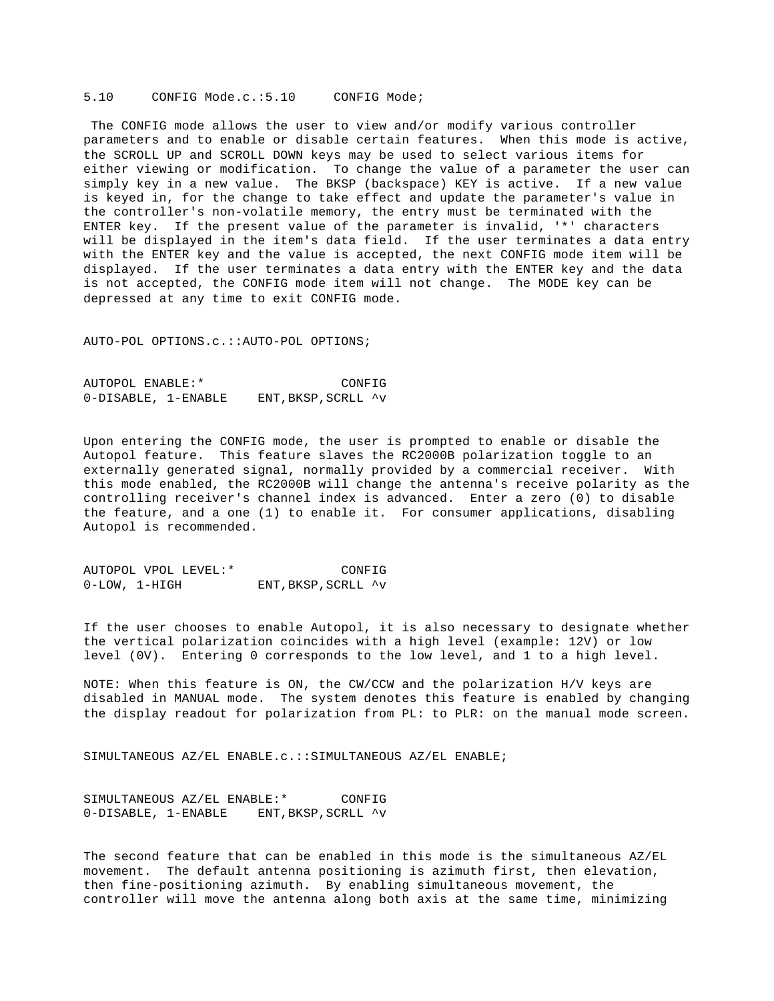## 5.10 CONFIG Mode.c.:5.10 CONFIG Mode;

 The CONFIG mode allows the user to view and/or modify various controller parameters and to enable or disable certain features. When this mode is active, the SCROLL UP and SCROLL DOWN keys may be used to select various items for either viewing or modification. To change the value of a parameter the user can simply key in a new value. The BKSP (backspace) KEY is active. If a new value is keyed in, for the change to take effect and update the parameter's value in the controller's non-volatile memory, the entry must be terminated with the ENTER key. If the present value of the parameter is invalid, '\*' characters will be displayed in the item's data field. If the user terminates a data entry with the ENTER key and the value is accepted, the next CONFIG mode item will be displayed. If the user terminates a data entry with the ENTER key and the data is not accepted, the CONFIG mode item will not change. The MODE key can be depressed at any time to exit CONFIG mode.

AUTO-POL OPTIONS.c.::AUTO-POL OPTIONS;

AUTOPOL ENABLE:\* CONFIG 0-DISABLE, 1-ENABLE ENT,BKSP,SCRLL ^v

Upon entering the CONFIG mode, the user is prompted to enable or disable the Autopol feature. This feature slaves the RC2000B polarization toggle to an externally generated signal, normally provided by a commercial receiver. With this mode enabled, the RC2000B will change the antenna's receive polarity as the controlling receiver's channel index is advanced. Enter a zero (0) to disable the feature, and a one (1) to enable it. For consumer applications, disabling Autopol is recommended.

AUTOPOL VPOL LEVEL:\* CONFIG 0-LOW, 1-HIGH ENT, BKSP, SCRLL  $\sim$ 

If the user chooses to enable Autopol, it is also necessary to designate whether the vertical polarization coincides with a high level (example: 12V) or low level (0V). Entering 0 corresponds to the low level, and 1 to a high level.

NOTE: When this feature is ON, the CW/CCW and the polarization H/V keys are disabled in MANUAL mode. The system denotes this feature is enabled by changing the display readout for polarization from PL: to PLR: on the manual mode screen.

SIMULTANEOUS AZ/EL ENABLE.c.::SIMULTANEOUS AZ/EL ENABLE;

SIMULTANEOUS AZ/EL ENABLE:\* CONFIG 0-DISABLE, 1-ENABLE ENT,BKSP,SCRLL ^v

The second feature that can be enabled in this mode is the simultaneous AZ/EL movement. The default antenna positioning is azimuth first, then elevation, then fine-positioning azimuth. By enabling simultaneous movement, the controller will move the antenna along both axis at the same time, minimizing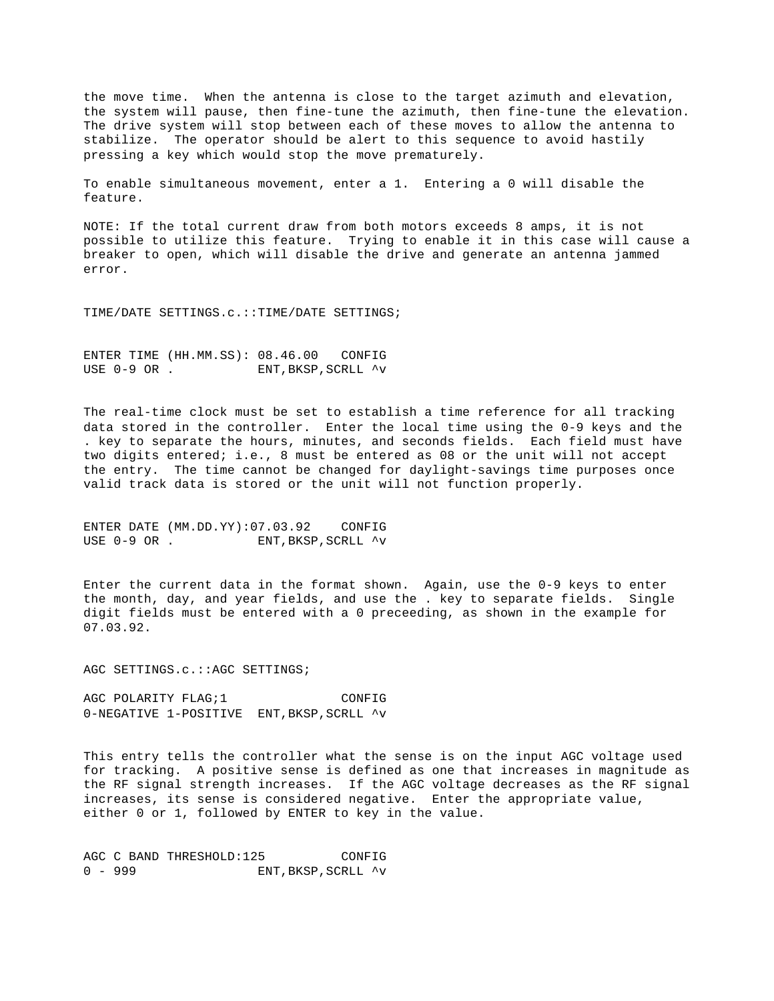the move time. When the antenna is close to the target azimuth and elevation, the system will pause, then fine-tune the azimuth, then fine-tune the elevation. The drive system will stop between each of these moves to allow the antenna to stabilize. The operator should be alert to this sequence to avoid hastily pressing a key which would stop the move prematurely.

To enable simultaneous movement, enter a 1. Entering a 0 will disable the feature.

NOTE: If the total current draw from both motors exceeds 8 amps, it is not possible to utilize this feature. Trying to enable it in this case will cause a breaker to open, which will disable the drive and generate an antenna jammed error.

TIME/DATE SETTINGS.c.::TIME/DATE SETTINGS;

ENTER TIME (HH.MM.SS): 08.46.00 CONFIG USE 0-9 OR . ENT, BKSP, SCRLL ^v

The real-time clock must be set to establish a time reference for all tracking data stored in the controller. Enter the local time using the 0-9 keys and the . key to separate the hours, minutes, and seconds fields. Each field must have two digits entered; i.e., 8 must be entered as 08 or the unit will not accept the entry. The time cannot be changed for daylight-savings time purposes once valid track data is stored or the unit will not function properly.

ENTER DATE (MM.DD.YY):07.03.92 CONFIG USE 0-9 OR . ENT, BKSP, SCRLL ^v

Enter the current data in the format shown. Again, use the 0-9 keys to enter the month, day, and year fields, and use the . key to separate fields. Single digit fields must be entered with a 0 preceeding, as shown in the example for 07.03.92.

AGC SETTINGS.c.::AGC SETTINGS;

AGC POLARITY FLAG;1 CONFIG 0-NEGATIVE 1-POSITIVE ENT,BKSP,SCRLL ^v

This entry tells the controller what the sense is on the input AGC voltage used for tracking. A positive sense is defined as one that increases in magnitude as the RF signal strength increases. If the AGC voltage decreases as the RF signal increases, its sense is considered negative. Enter the appropriate value, either 0 or 1, followed by ENTER to key in the value.

AGC C BAND THRESHOLD:125 CONFIG  $0 - 999$  ENT, BKSP, SCRLL  $\sim$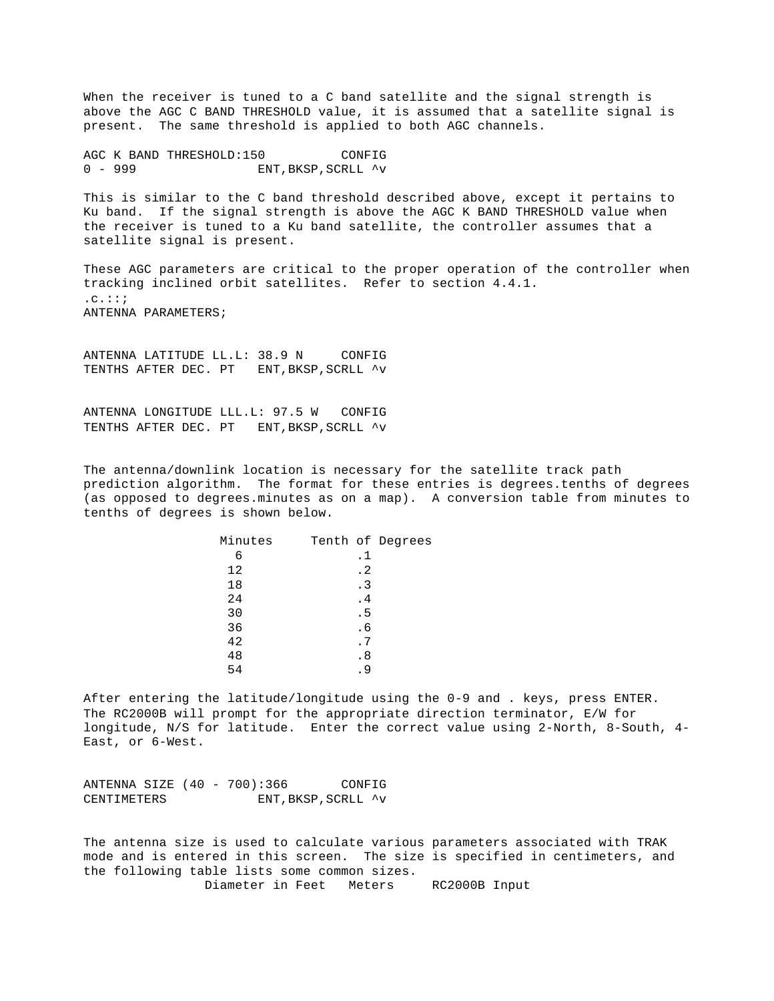When the receiver is tuned to a C band satellite and the signal strength is above the AGC C BAND THRESHOLD value, it is assumed that a satellite signal is present. The same threshold is applied to both AGC channels.

AGC K BAND THRESHOLD:150 CONFIG 0 - 999 ENT, BKSP, SCRLL  $\sim$ 

This is similar to the C band threshold described above, except it pertains to Ku band. If the signal strength is above the AGC K BAND THRESHOLD value when the receiver is tuned to a Ku band satellite, the controller assumes that a satellite signal is present.

These AGC parameters are critical to the proper operation of the controller when tracking inclined orbit satellites. Refer to section 4.4.1.  $.c.::;$ ANTENNA PARAMETERS;

ANTENNA LATITUDE LL.L: 38.9 N CONFIG TENTHS AFTER DEC. PT ENT, BKSP, SCRLL  $\sim$ v

ANTENNA LONGITUDE LLL.L: 97.5 W CONFIG TENTHS AFTER DEC. PT ENT, BKSP, SCRLL ^v

The antenna/downlink location is necessary for the satellite track path prediction algorithm. The format for these entries is degrees.tenths of degrees (as opposed to degrees.minutes as on a map). A conversion table from minutes to tenths of degrees is shown below.

| Minutes | Tenth of Degrees |  |
|---------|------------------|--|
| 6       | . 1              |  |
| 12      | . 2              |  |
| 18      | . 3              |  |
| 24      | . 4              |  |
| 30      | . 5              |  |
| 36      | . 6              |  |
| 42      | . 7              |  |
| 48      | . 8              |  |
| 54      | . 9              |  |

After entering the latitude/longitude using the 0-9 and . keys, press ENTER. The RC2000B will prompt for the appropriate direction terminator, E/W for longitude, N/S for latitude. Enter the correct value using 2-North, 8-South, 4- East, or 6-West.

ANTENNA SIZE (40 - 700):366 CONFIG CENTIMETERS ENT, BKSP, SCRLL  $\sim$ 

The antenna size is used to calculate various parameters associated with TRAK mode and is entered in this screen. The size is specified in centimeters, and the following table lists some common sizes. Diameter in Feet Meters RC2000B Input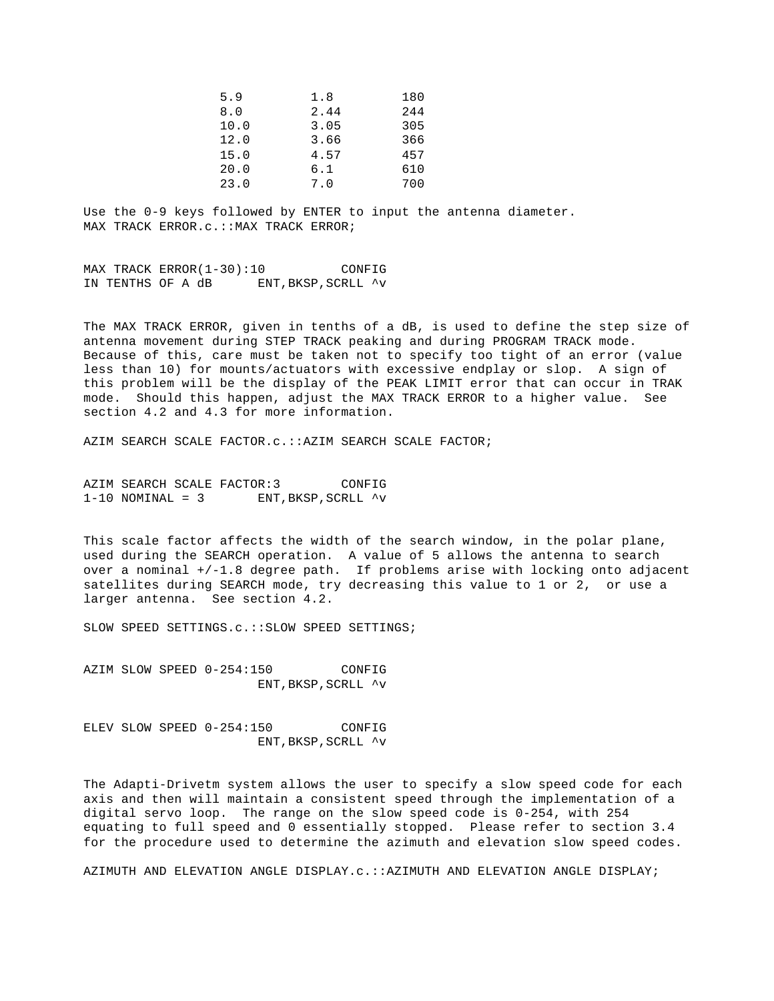| 5.9  | 1.8  | 180 |
|------|------|-----|
| 8.0  | 2.44 | 244 |
| 10.0 | 3.05 | 305 |
| 12.0 | 3.66 | 366 |
| 15.0 | 4.57 | 457 |
| 20.0 | 6.1  | 610 |
| 23.0 | 7.0  | 700 |

Use the 0-9 keys followed by ENTER to input the antenna diameter. MAX TRACK ERROR.c.::MAX TRACK ERROR;

MAX TRACK ERROR(1-30):10 CONFIG IN TENTHS OF A dB ENT,BKSP,SCRLL ^v

The MAX TRACK ERROR, given in tenths of a dB, is used to define the step size of antenna movement during STEP TRACK peaking and during PROGRAM TRACK mode. Because of this, care must be taken not to specify too tight of an error (value less than 10) for mounts/actuators with excessive endplay or slop. A sign of this problem will be the display of the PEAK LIMIT error that can occur in TRAK mode. Should this happen, adjust the MAX TRACK ERROR to a higher value. See section 4.2 and 4.3 for more information.

AZIM SEARCH SCALE FACTOR.c.::AZIM SEARCH SCALE FACTOR;

AZIM SEARCH SCALE FACTOR:3 CONFIG 1-10 NOMINAL = 3 ENT, BKSP, SCRLL  $\sim$ v

This scale factor affects the width of the search window, in the polar plane, used during the SEARCH operation. A value of 5 allows the antenna to search over a nominal +/-1.8 degree path. If problems arise with locking onto adjacent satellites during SEARCH mode, try decreasing this value to 1 or 2, or use a larger antenna. See section 4.2.

SLOW SPEED SETTINGS.c.:: SLOW SPEED SETTINGS;

AZIM SLOW SPEED 0-254:150 CONFIG ENT,BKSP,SCRLL ^v

ELEV SLOW SPEED 0-254:150 CONFIG ENT,BKSP,SCRLL ^v

The Adapti-Drivetm system allows the user to specify a slow speed code for each axis and then will maintain a consistent speed through the implementation of a digital servo loop. The range on the slow speed code is 0-254, with 254 equating to full speed and 0 essentially stopped. Please refer to section 3.4 for the procedure used to determine the azimuth and elevation slow speed codes.

AZIMUTH AND ELEVATION ANGLE DISPLAY.c.::AZIMUTH AND ELEVATION ANGLE DISPLAY;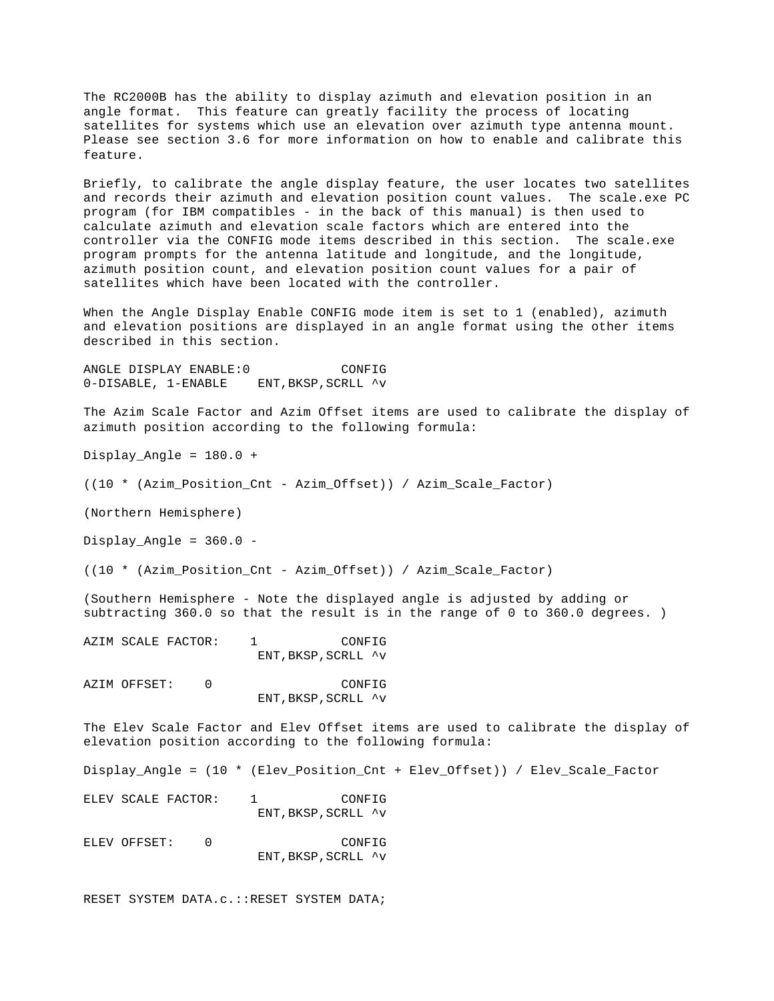The RC2000B has the ability to display azimuth and elevation position in an angle format. This feature can greatly facility the process of locating satellites for systems which use an elevation over azimuth type antenna mount. Please see section 3.6 for more information on how to enable and calibrate this feature.

Briefly, to calibrate the angle display feature, the user locates two satellites and records their azimuth and elevation position count values. The scale.exe PC program (for IBM compatibles - in the back of this manual) is then used to calculate azimuth and elevation scale factors which are entered into the controller via the CONFIG mode items described in this section. The scale.exe program prompts for the antenna latitude and longitude, and the longitude, azimuth position count, and elevation position count values for a pair of satellites which have been located with the controller.

When the Angle Display Enable CONFIG mode item is set to 1 (enabled), azimuth and elevation positions are displayed in an angle format using the other items described in this section.

ANGLE DISPLAY ENABLE:0 CONFIG 0-DISABLE, 1-ENABLE ENT,BKSP,SCRLL ^v

The Azim Scale Factor and Azim Offset items are used to calibrate the display of azimuth position according to the following formula:

Display\_Angle = 180.0 +

((10 \* (Azim\_Position\_Cnt - Azim\_Offset)) / Azim\_Scale\_Factor)

(Northern Hemisphere)

Display\_Angle = 360.0 -

((10 \* (Azim\_Position\_Cnt - Azim\_Offset)) / Azim\_Scale\_Factor)

(Southern Hemisphere - Note the displayed angle is adjusted by adding or subtracting 360.0 so that the result is in the range of 0 to 360.0 degrees. )

AZIM SCALE FACTOR: 1 CONFIG ENT,BKSP,SCRLL ^v

AZIM OFFSET: 0 CONFIG ENT,BKSP,SCRLL ^v

The Elev Scale Factor and Elev Offset items are used to calibrate the display of elevation position according to the following formula:

Display\_Angle = (10 \* (Elev\_Position\_Cnt + Elev\_Offset)) / Elev\_Scale\_Factor

ELEV SCALE FACTOR: 1 CONFIG ENT,BKSP,SCRLL ^v

ELEV OFFSET: 0 CONFIG ENT,BKSP,SCRLL ^v

RESET SYSTEM DATA.c.::RESET SYSTEM DATA;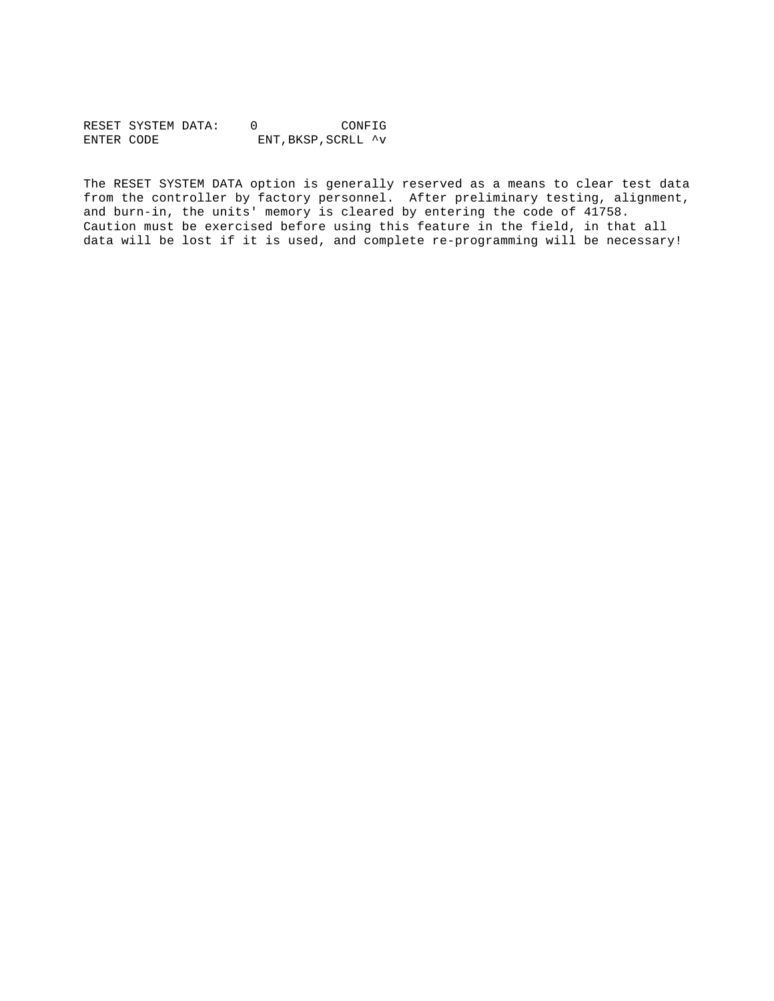RESET SYSTEM DATA: 0 CONFIG ENTER CODE ENT, BKSP, SCRLL  $\sim$ v

The RESET SYSTEM DATA option is generally reserved as a means to clear test data from the controller by factory personnel. After preliminary testing, alignment, and burn-in, the units' memory is cleared by entering the code of 41758. Caution must be exercised before using this feature in the field, in that all data will be lost if it is used, and complete re-programming will be necessary!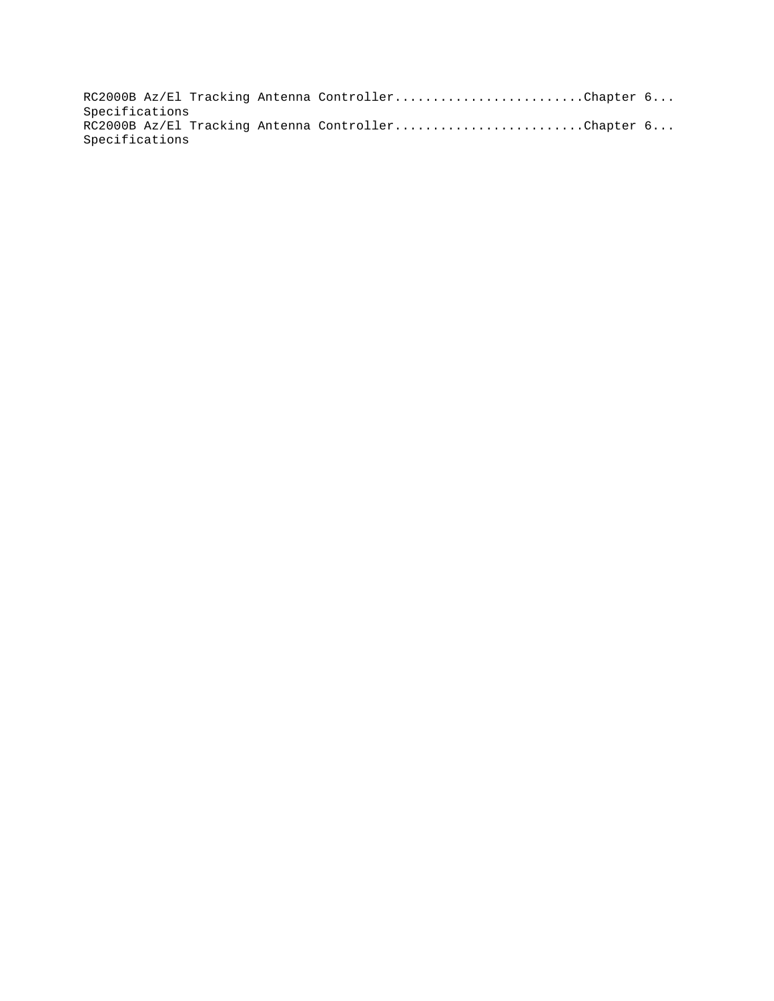RC2000B Az/El Tracking Antenna Controller.........................Chapter 6... Specifications RC2000B Az/El Tracking Antenna Controller.........................Chapter 6... Specifications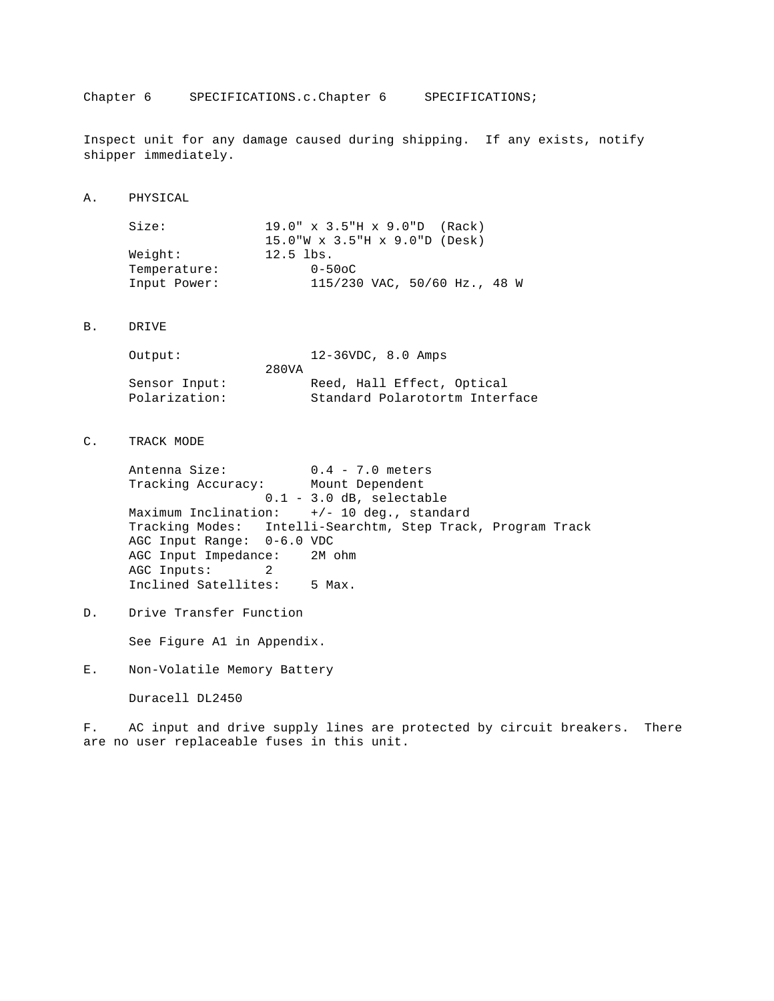Chapter 6 SPECIFICATIONS.c.Chapter 6 SPECIFICATIONS;

Inspect unit for any damage caused during shipping. If any exists, notify shipper immediately.

A. PHYSICAL

| Size:        | 19.0" x 3.5"H x 9.0"D (Rack)           |
|--------------|----------------------------------------|
|              | $15.0$ "W x $3.5$ "H x $9.0$ "D (Desk) |
| Weight:      | 12.5 lbs.                              |
| Temperature: | $0 - 50$ o C                           |
| Input Power: | 115/230 VAC, 50/60 Hz., 48 W           |

B. DRIVE

| Output:       | $12 - 36VDC, 8.0$ Amps         |
|---------------|--------------------------------|
|               | 280VA                          |
| Sensor Input: | Reed, Hall Effect, Optical     |
| Polarization: | Standard Polarotortm Interface |

## C. TRACK MODE

Antenna Size: 0.4 - 7.0 meters Tracking Accuracy: Mount Dependent 0.1 - 3.0 dB, selectable Maximum Inclination: +/- 10 deg., standard Tracking Modes: Intelli-Searchtm, Step Track, Program Track AGC Input Range: 0-6.0 VDC AGC Input Impedance: 2M ohm AGC Inputs: 2 Inclined Satellites: 5 Max.

D. Drive Transfer Function

See Figure A1 in Appendix.

E. Non-Volatile Memory Battery

Duracell DL2450

F. AC input and drive supply lines are protected by circuit breakers. There are no user replaceable fuses in this unit.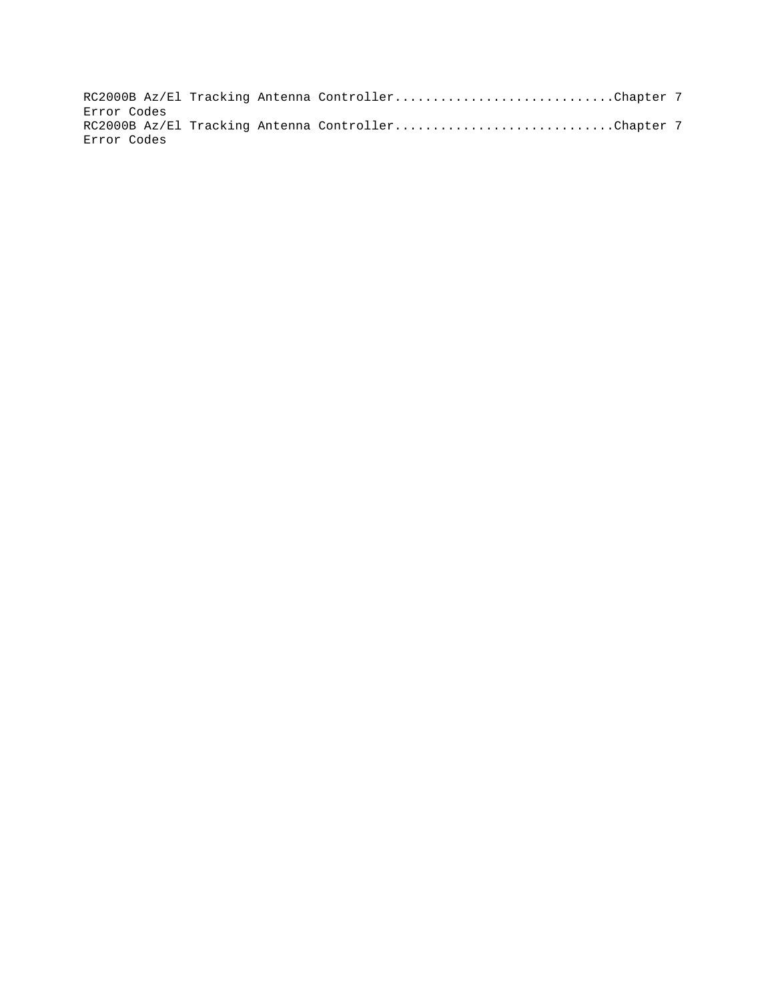RC2000B Az/El Tracking Antenna Controller..............................Chapter 7 Error Codes RC2000B Az/El Tracking Antenna Controller.............................Chapter 7 Error Codes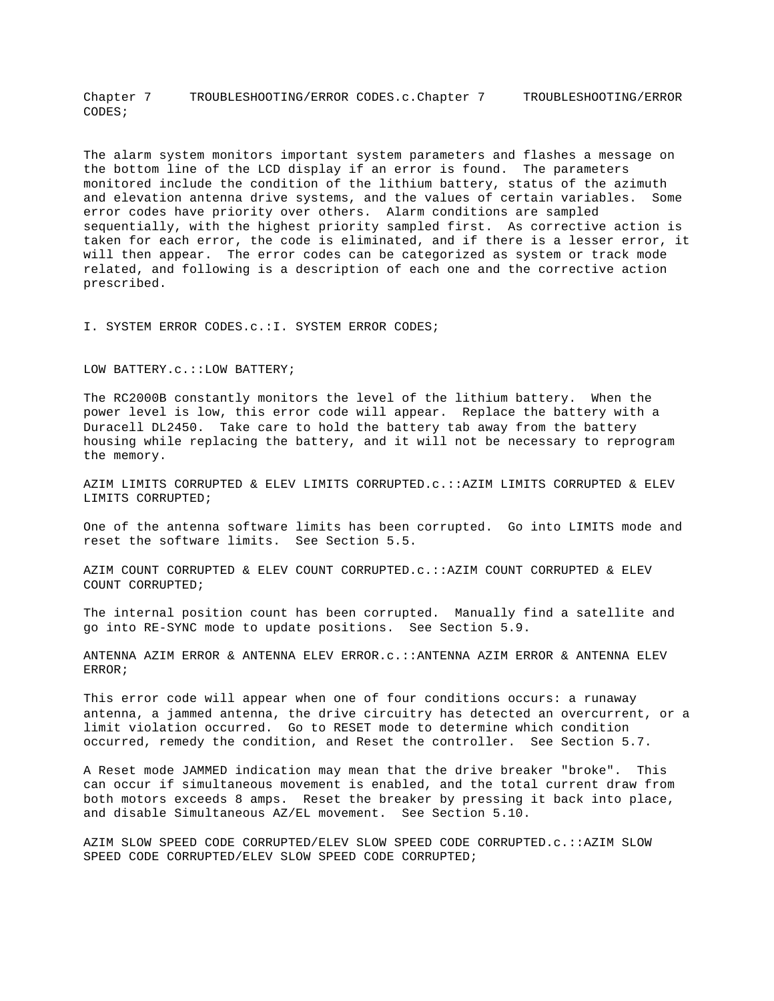Chapter 7 TROUBLESHOOTING/ERROR CODES.c.Chapter 7 TROUBLESHOOTING/ERROR CODES;

The alarm system monitors important system parameters and flashes a message on the bottom line of the LCD display if an error is found. The parameters monitored include the condition of the lithium battery, status of the azimuth and elevation antenna drive systems, and the values of certain variables. Some error codes have priority over others. Alarm conditions are sampled sequentially, with the highest priority sampled first. As corrective action is taken for each error, the code is eliminated, and if there is a lesser error, it will then appear. The error codes can be categorized as system or track mode related, and following is a description of each one and the corrective action prescribed.

I. SYSTEM ERROR CODES.c.:I. SYSTEM ERROR CODES;

LOW BATTERY.c.::LOW BATTERY;

The RC2000B constantly monitors the level of the lithium battery. When the power level is low, this error code will appear. Replace the battery with a Duracell DL2450. Take care to hold the battery tab away from the battery housing while replacing the battery, and it will not be necessary to reprogram the memory.

AZIM LIMITS CORRUPTED & ELEV LIMITS CORRUPTED.c.::AZIM LIMITS CORRUPTED & ELEV LIMITS CORRUPTED;

One of the antenna software limits has been corrupted. Go into LIMITS mode and reset the software limits. See Section 5.5.

AZIM COUNT CORRUPTED & ELEV COUNT CORRUPTED.c.::AZIM COUNT CORRUPTED & ELEV COUNT CORRUPTED;

The internal position count has been corrupted. Manually find a satellite and go into RE-SYNC mode to update positions. See Section 5.9.

ANTENNA AZIM ERROR & ANTENNA ELEV ERROR.c.::ANTENNA AZIM ERROR & ANTENNA ELEV ERROR;

This error code will appear when one of four conditions occurs: a runaway antenna, a jammed antenna, the drive circuitry has detected an overcurrent, or a limit violation occurred. Go to RESET mode to determine which condition occurred, remedy the condition, and Reset the controller. See Section 5.7.

A Reset mode JAMMED indication may mean that the drive breaker "broke". This can occur if simultaneous movement is enabled, and the total current draw from both motors exceeds 8 amps. Reset the breaker by pressing it back into place, and disable Simultaneous AZ/EL movement. See Section 5.10.

AZIM SLOW SPEED CODE CORRUPTED/ELEV SLOW SPEED CODE CORRUPTED.c.::AZIM SLOW SPEED CODE CORRUPTED/ELEV SLOW SPEED CODE CORRUPTED;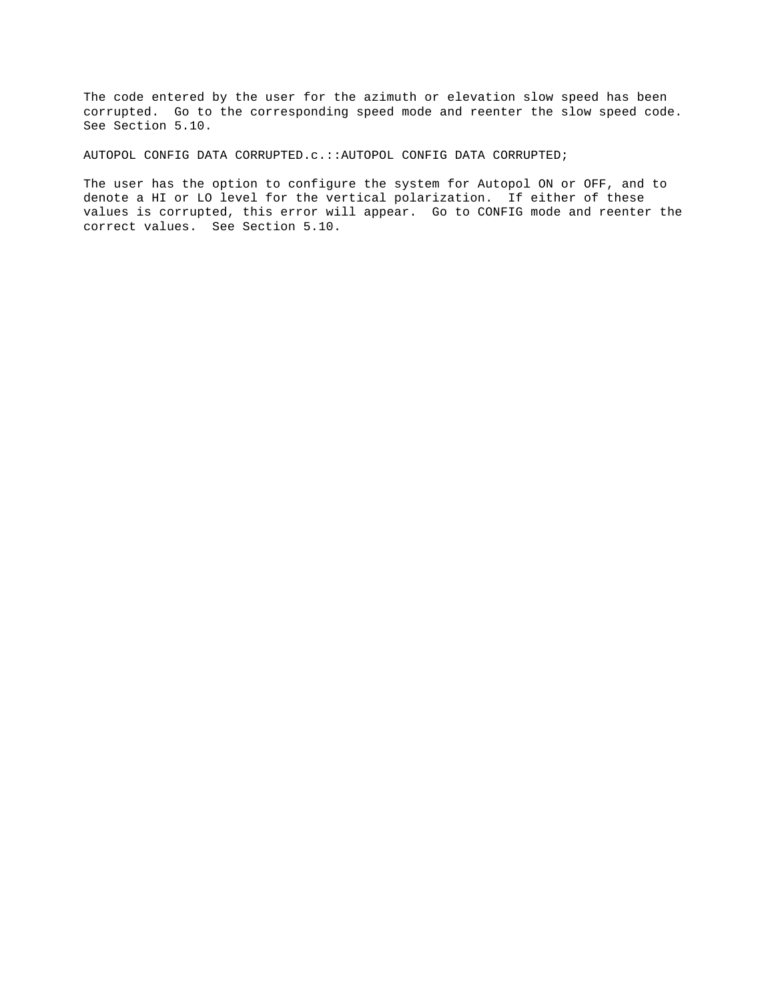The code entered by the user for the azimuth or elevation slow speed has been corrupted. Go to the corresponding speed mode and reenter the slow speed code. See Section 5.10.

AUTOPOL CONFIG DATA CORRUPTED.c.::AUTOPOL CONFIG DATA CORRUPTED;

The user has the option to configure the system for Autopol ON or OFF, and to denote a HI or LO level for the vertical polarization. If either of these values is corrupted, this error will appear. Go to CONFIG mode and reenter the correct values. See Section 5.10.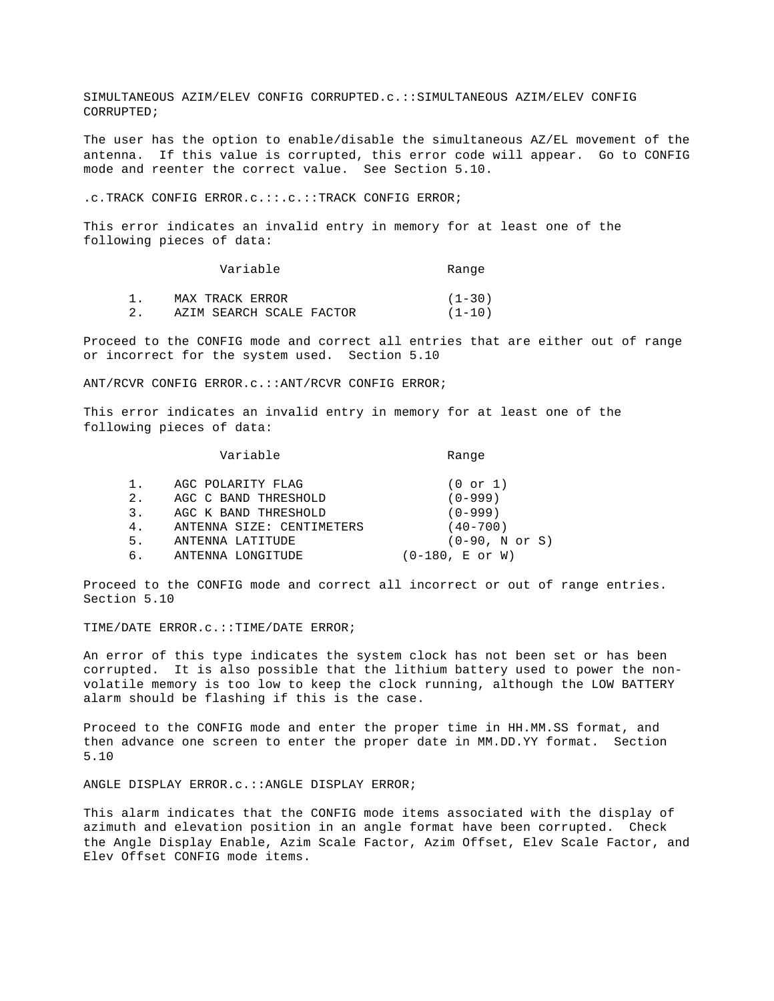SIMULTANEOUS AZIM/ELEV CONFIG CORRUPTED.c.::SIMULTANEOUS AZIM/ELEV CONFIG CORRUPTED;

The user has the option to enable/disable the simultaneous AZ/EL movement of the antenna. If this value is corrupted, this error code will appear. Go to CONFIG mode and reenter the correct value. See Section 5.10.

.c.TRACK CONFIG ERROR.c.::.c.::TRACK CONFIG ERROR;

This error indicates an invalid entry in memory for at least one of the following pieces of data:

| Variable |                          | Range      |
|----------|--------------------------|------------|
| $1$ .    | MAX TRACK ERROR          | $(1 - 30)$ |
| 2.       | AZIM SEARCH SCALE FACTOR | $(1 - 10)$ |

Proceed to the CONFIG mode and correct all entries that are either out of range or incorrect for the system used. Section 5.10

ANT/RCVR CONFIG ERROR.c.::ANT/RCVR CONFIG ERROR;

This error indicates an invalid entry in memory for at least one of the following pieces of data:

|       | Variable                  | Range               |
|-------|---------------------------|---------------------|
| 1.    | AGC POLARITY FLAG         | $(0 \text{ or } 1)$ |
| $2$ . | AGC C BAND THRESHOLD      | $(0 - 999)$         |
| 3.    | AGC K BAND THRESHOLD      | $(0 - 999)$         |
| 4.    | ANTENNA SIZE: CENTIMETERS | $(40 - 700)$        |
| 5.    | ANTENNA LATITUDE          | $(0-90, N or S)$    |
| б.    | ANTENNA LONGITUDE         | $(0-180, E or W)$   |

Proceed to the CONFIG mode and correct all incorrect or out of range entries. Section 5.10

TIME/DATE ERROR.c.::TIME/DATE ERROR;

An error of this type indicates the system clock has not been set or has been corrupted. It is also possible that the lithium battery used to power the nonvolatile memory is too low to keep the clock running, although the LOW BATTERY alarm should be flashing if this is the case.

Proceed to the CONFIG mode and enter the proper time in HH.MM.SS format, and then advance one screen to enter the proper date in MM.DD.YY format. Section 5.10

ANGLE DISPLAY ERROR.c.::ANGLE DISPLAY ERROR;

This alarm indicates that the CONFIG mode items associated with the display of azimuth and elevation position in an angle format have been corrupted. Check the Angle Display Enable, Azim Scale Factor, Azim Offset, Elev Scale Factor, and Elev Offset CONFIG mode items.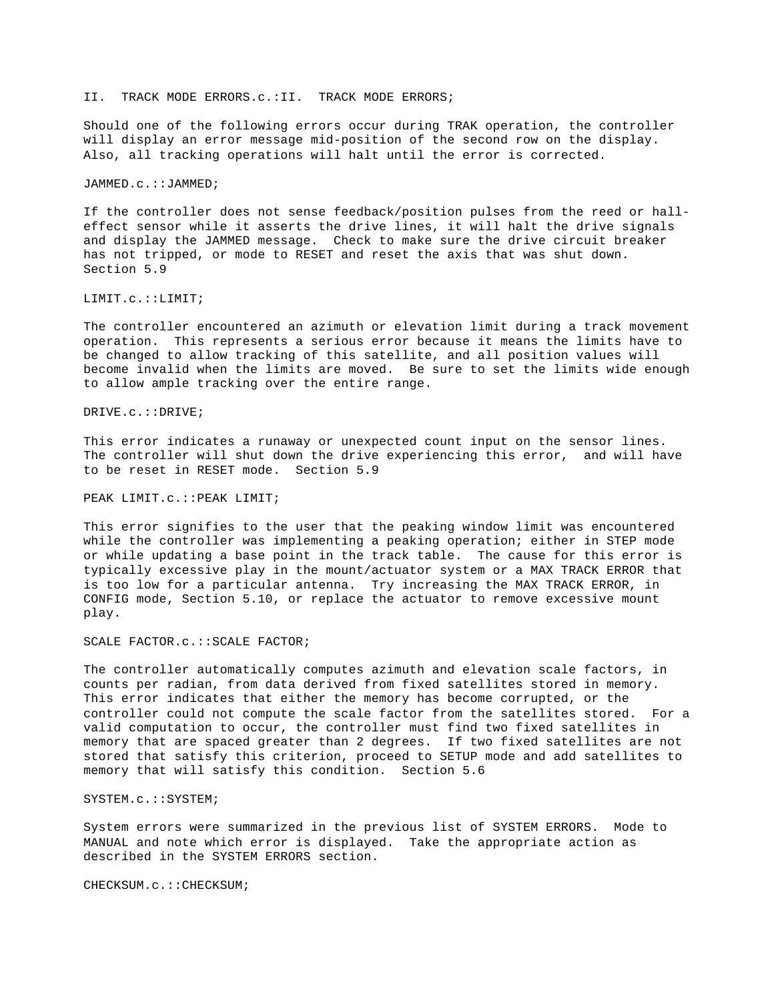#### II. TRACK MODE ERRORS.c.:II. TRACK MODE ERRORS;

Should one of the following errors occur during TRAK operation, the controller will display an error message mid-position of the second row on the display. Also, all tracking operations will halt until the error is corrected.

#### JAMMED.c.::JAMMED;

If the controller does not sense feedback/position pulses from the reed or halleffect sensor while it asserts the drive lines, it will halt the drive signals and display the JAMMED message. Check to make sure the drive circuit breaker has not tripped, or mode to RESET and reset the axis that was shut down. Section 5.9

#### LIMIT.c.::LIMIT;

The controller encountered an azimuth or elevation limit during a track movement operation. This represents a serious error because it means the limits have to be changed to allow tracking of this satellite, and all position values will become invalid when the limits are moved. Be sure to set the limits wide enough to allow ample tracking over the entire range.

### DRIVE.c.::DRIVE;

This error indicates a runaway or unexpected count input on the sensor lines. The controller will shut down the drive experiencing this error, and will have to be reset in RESET mode. Section 5.9

### PEAK LIMIT.c.::PEAK LIMIT;

This error signifies to the user that the peaking window limit was encountered while the controller was implementing a peaking operation; either in STEP mode or while updating a base point in the track table. The cause for this error is typically excessive play in the mount/actuator system or a MAX TRACK ERROR that is too low for a particular antenna. Try increasing the MAX TRACK ERROR, in CONFIG mode, Section 5.10, or replace the actuator to remove excessive mount play.

#### SCALE FACTOR.c.::SCALE FACTOR;

The controller automatically computes azimuth and elevation scale factors, in counts per radian, from data derived from fixed satellites stored in memory. This error indicates that either the memory has become corrupted, or the controller could not compute the scale factor from the satellites stored. For a valid computation to occur, the controller must find two fixed satellites in memory that are spaced greater than 2 degrees. If two fixed satellites are not stored that satisfy this criterion, proceed to SETUP mode and add satellites to memory that will satisfy this condition. Section 5.6

### SYSTEM.c.::SYSTEM;

System errors were summarized in the previous list of SYSTEM ERRORS. Mode to MANUAL and note which error is displayed. Take the appropriate action as described in the SYSTEM ERRORS section.

CHECKSUM.c.::CHECKSUM;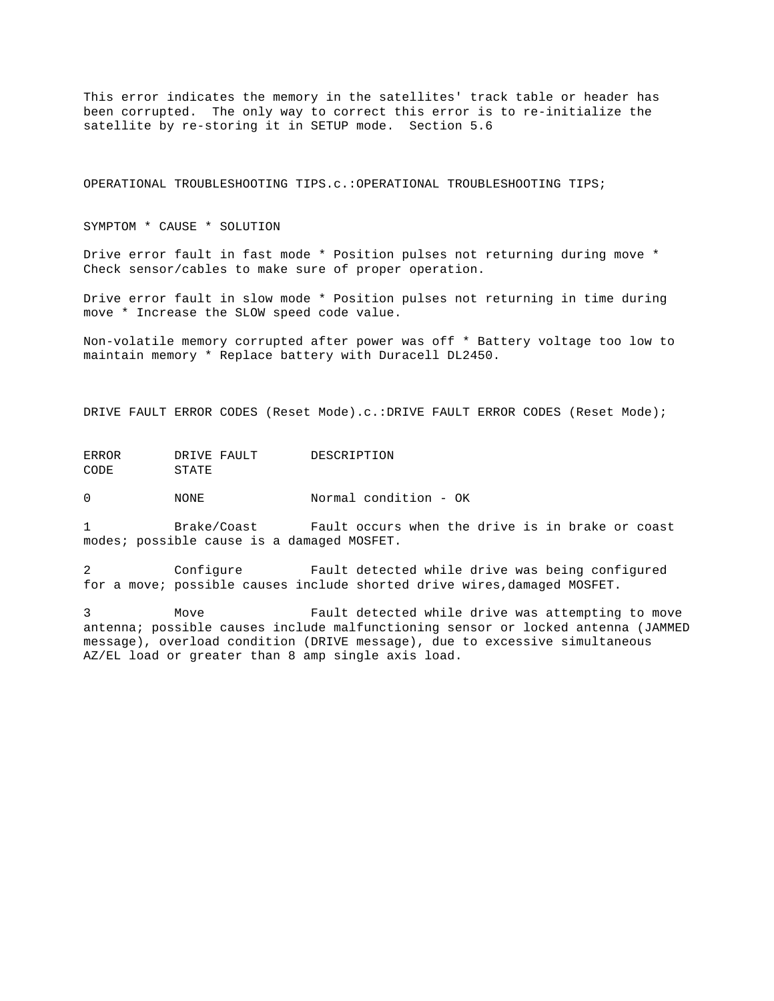This error indicates the memory in the satellites' track table or header has been corrupted. The only way to correct this error is to re-initialize the satellite by re-storing it in SETUP mode. Section 5.6

#### OPERATIONAL TROUBLESHOOTING TIPS.c.:OPERATIONAL TROUBLESHOOTING TIPS;

SYMPTOM \* CAUSE \* SOLUTION

Drive error fault in fast mode \* Position pulses not returning during move \* Check sensor/cables to make sure of proper operation.

Drive error fault in slow mode \* Position pulses not returning in time during move \* Increase the SLOW speed code value.

Non-volatile memory corrupted after power was off \* Battery voltage too low to maintain memory \* Replace battery with Duracell DL2450.

DRIVE FAULT ERROR CODES (Reset Mode).c.:DRIVE FAULT ERROR CODES (Reset Mode);

ERROR DRIVE FAULT DESCRIPTION CODE STATE

0 NONE Normal condition - OK

1 Brake/Coast Fault occurs when the drive is in brake or coast modes; possible cause is a damaged MOSFET.

2 Configure Fault detected while drive was being configured for a move; possible causes include shorted drive wires,damaged MOSFET.

3 Move Fault detected while drive was attempting to move antenna; possible causes include malfunctioning sensor or locked antenna (JAMMED message), overload condition (DRIVE message), due to excessive simultaneous AZ/EL load or greater than 8 amp single axis load.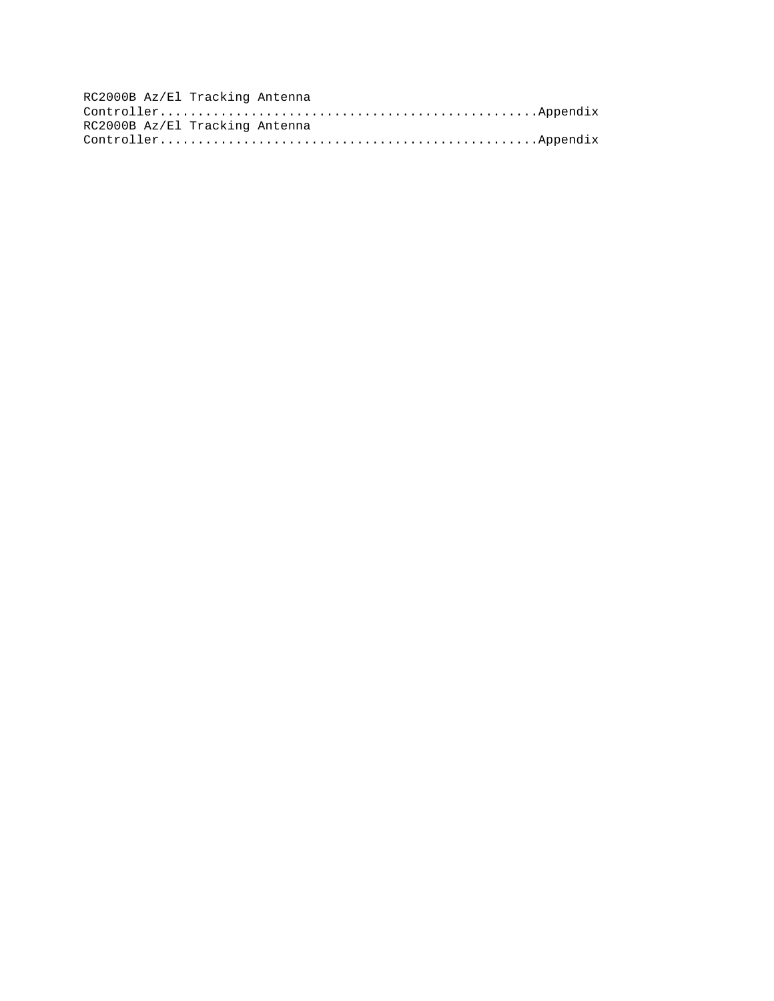RC2000B Az/El Tracking Antenna Controller..................................................Appendix RC2000B Az/El Tracking Antenna Controller..................................................Appendix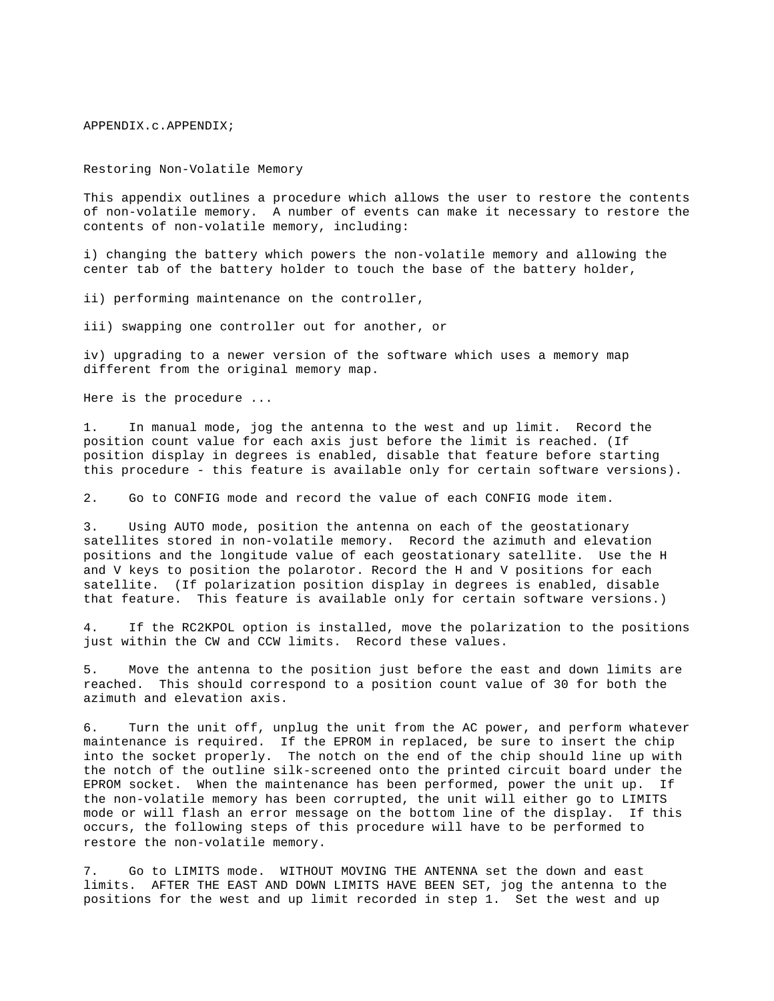APPENDIX.c.APPENDIX;

Restoring Non-Volatile Memory

This appendix outlines a procedure which allows the user to restore the contents of non-volatile memory. A number of events can make it necessary to restore the contents of non-volatile memory, including:

i) changing the battery which powers the non-volatile memory and allowing the center tab of the battery holder to touch the base of the battery holder,

ii) performing maintenance on the controller,

iii) swapping one controller out for another, or

iv) upgrading to a newer version of the software which uses a memory map different from the original memory map.

Here is the procedure ...

1. In manual mode, jog the antenna to the west and up limit. Record the position count value for each axis just before the limit is reached. (If position display in degrees is enabled, disable that feature before starting this procedure - this feature is available only for certain software versions).

2. Go to CONFIG mode and record the value of each CONFIG mode item.

3. Using AUTO mode, position the antenna on each of the geostationary satellites stored in non-volatile memory. Record the azimuth and elevation positions and the longitude value of each geostationary satellite. Use the H and V keys to position the polarotor. Record the H and V positions for each satellite. (If polarization position display in degrees is enabled, disable that feature. This feature is available only for certain software versions.)

4. If the RC2KPOL option is installed, move the polarization to the positions just within the CW and CCW limits. Record these values.

5. Move the antenna to the position just before the east and down limits are reached. This should correspond to a position count value of 30 for both the azimuth and elevation axis.

6. Turn the unit off, unplug the unit from the AC power, and perform whatever maintenance is required. If the EPROM in replaced, be sure to insert the chip into the socket properly. The notch on the end of the chip should line up with the notch of the outline silk-screened onto the printed circuit board under the EPROM socket. When the maintenance has been performed, power the unit up. If the non-volatile memory has been corrupted, the unit will either go to LIMITS mode or will flash an error message on the bottom line of the display. If this occurs, the following steps of this procedure will have to be performed to restore the non-volatile memory.

7. Go to LIMITS mode. WITHOUT MOVING THE ANTENNA set the down and east limits. AFTER THE EAST AND DOWN LIMITS HAVE BEEN SET, jog the antenna to the positions for the west and up limit recorded in step 1. Set the west and up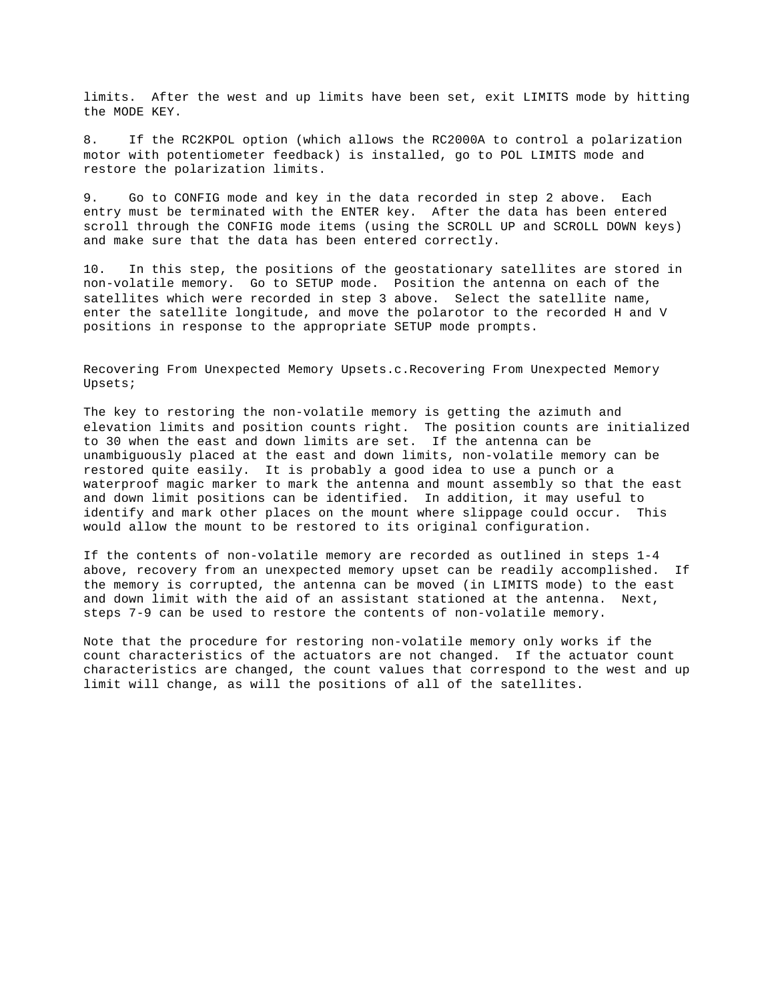limits. After the west and up limits have been set, exit LIMITS mode by hitting the MODE KEY.

8. If the RC2KPOL option (which allows the RC2000A to control a polarization motor with potentiometer feedback) is installed, go to POL LIMITS mode and restore the polarization limits.

9. Go to CONFIG mode and key in the data recorded in step 2 above. Each entry must be terminated with the ENTER key. After the data has been entered scroll through the CONFIG mode items (using the SCROLL UP and SCROLL DOWN keys) and make sure that the data has been entered correctly.

10. In this step, the positions of the geostationary satellites are stored in non-volatile memory. Go to SETUP mode. Position the antenna on each of the satellites which were recorded in step 3 above. Select the satellite name, enter the satellite longitude, and move the polarotor to the recorded H and V positions in response to the appropriate SETUP mode prompts.

Recovering From Unexpected Memory Upsets.c.Recovering From Unexpected Memory Upsets;

The key to restoring the non-volatile memory is getting the azimuth and elevation limits and position counts right. The position counts are initialized to 30 when the east and down limits are set. If the antenna can be unambiguously placed at the east and down limits, non-volatile memory can be restored quite easily. It is probably a good idea to use a punch or a waterproof magic marker to mark the antenna and mount assembly so that the east and down limit positions can be identified. In addition, it may useful to identify and mark other places on the mount where slippage could occur. This would allow the mount to be restored to its original configuration.

If the contents of non-volatile memory are recorded as outlined in steps 1-4 above, recovery from an unexpected memory upset can be readily accomplished. If the memory is corrupted, the antenna can be moved (in LIMITS mode) to the east and down limit with the aid of an assistant stationed at the antenna. Next, steps 7-9 can be used to restore the contents of non-volatile memory.

Note that the procedure for restoring non-volatile memory only works if the count characteristics of the actuators are not changed. If the actuator count characteristics are changed, the count values that correspond to the west and up limit will change, as will the positions of all of the satellites.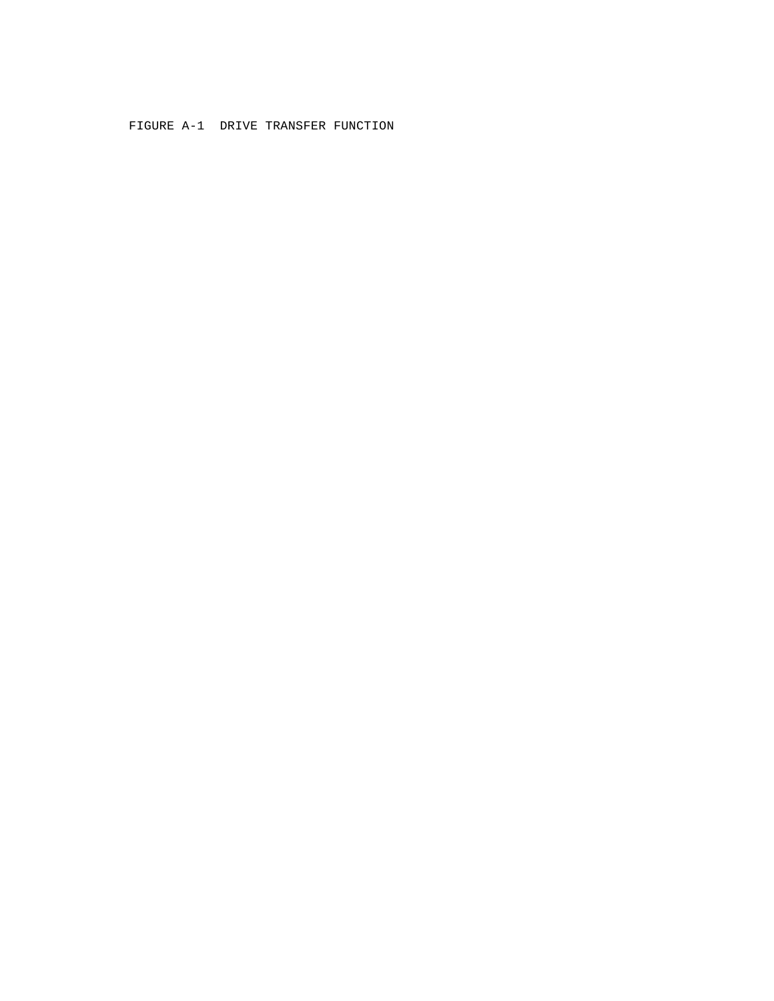FIGURE A-1 DRIVE TRANSFER FUNCTION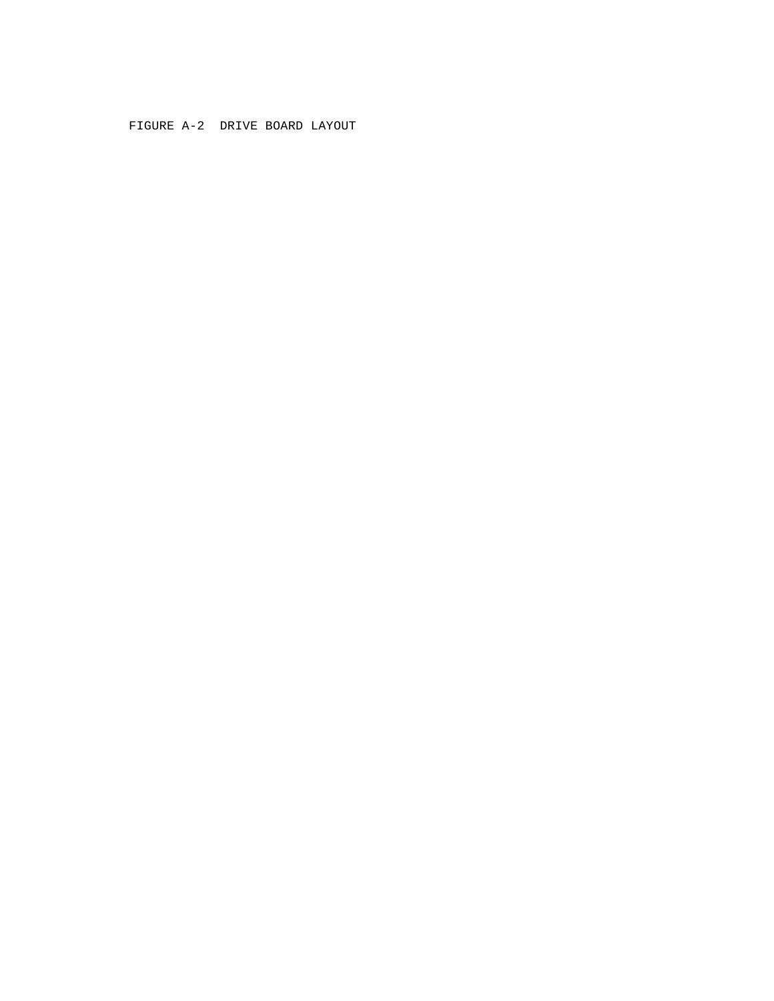# FIGURE A-2 DRIVE BOARD LAYOUT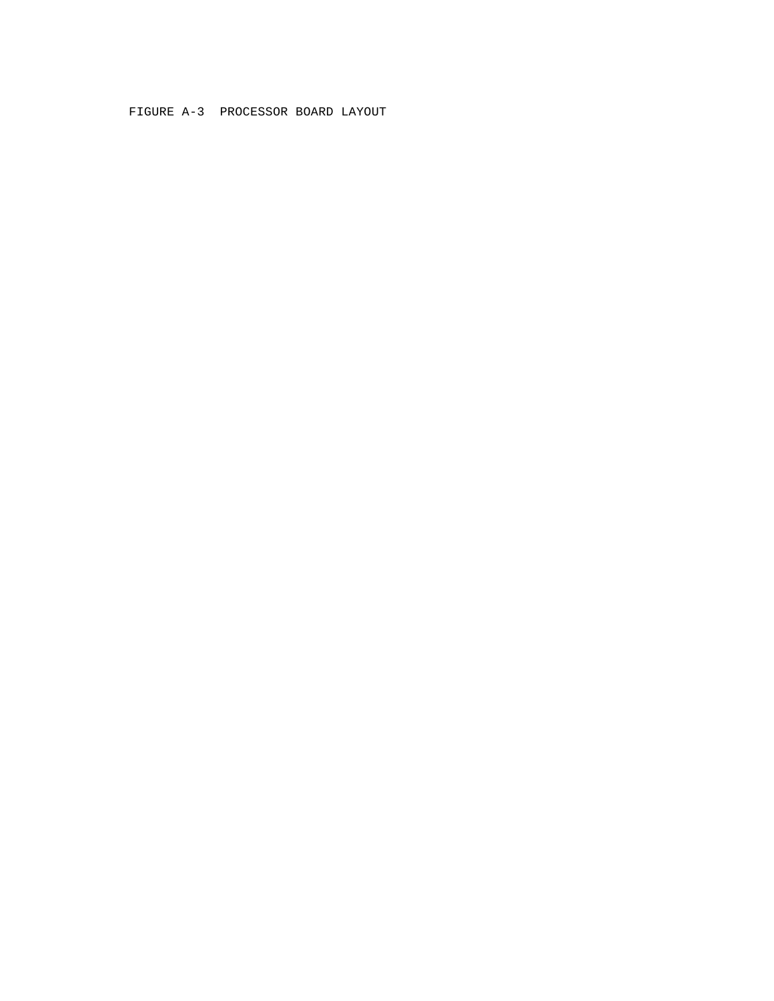## FIGURE A-3 PROCESSOR BOARD LAYOUT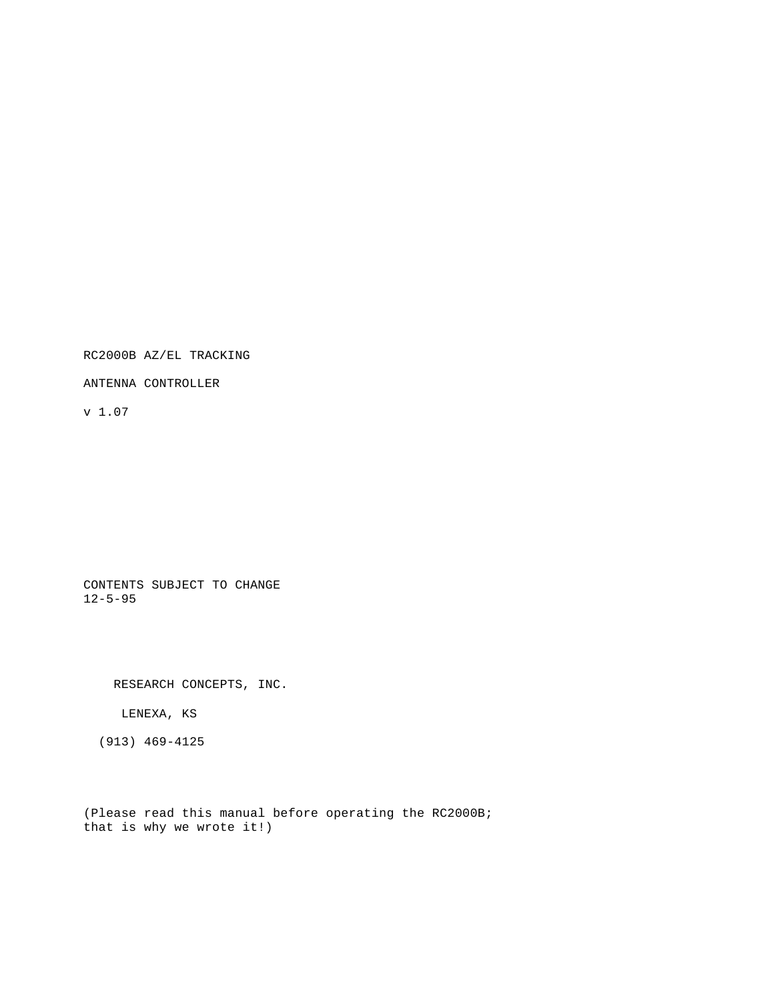RC2000B AZ/EL TRACKING

ANTENNA CONTROLLER

v 1.07

CONTENTS SUBJECT TO CHANGE 12-5-95

RESEARCH CONCEPTS, INC.

LENEXA, KS

(913) 469-4125

(Please read this manual before operating the RC2000B; that is why we wrote it!)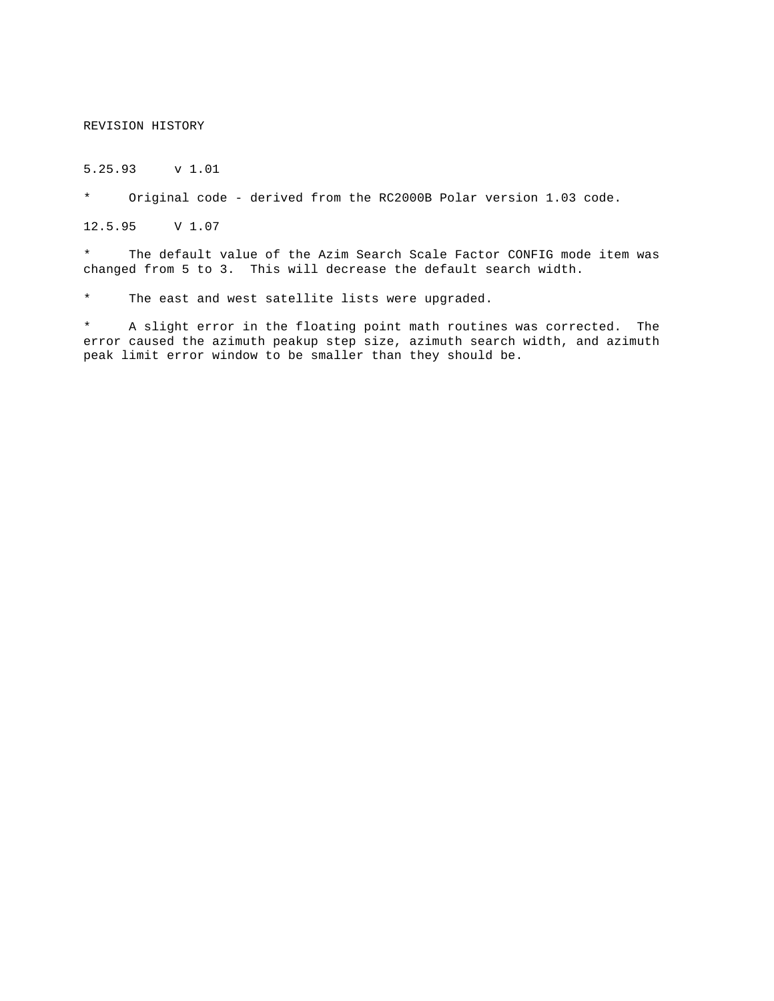REVISION HISTORY

5.25.93 v 1.01

\* Original code - derived from the RC2000B Polar version 1.03 code.

12.5.95 V 1.07

\* The default value of the Azim Search Scale Factor CONFIG mode item was changed from 5 to 3. This will decrease the default search width.

\* The east and west satellite lists were upgraded.

\* A slight error in the floating point math routines was corrected. The error caused the azimuth peakup step size, azimuth search width, and azimuth peak limit error window to be smaller than they should be.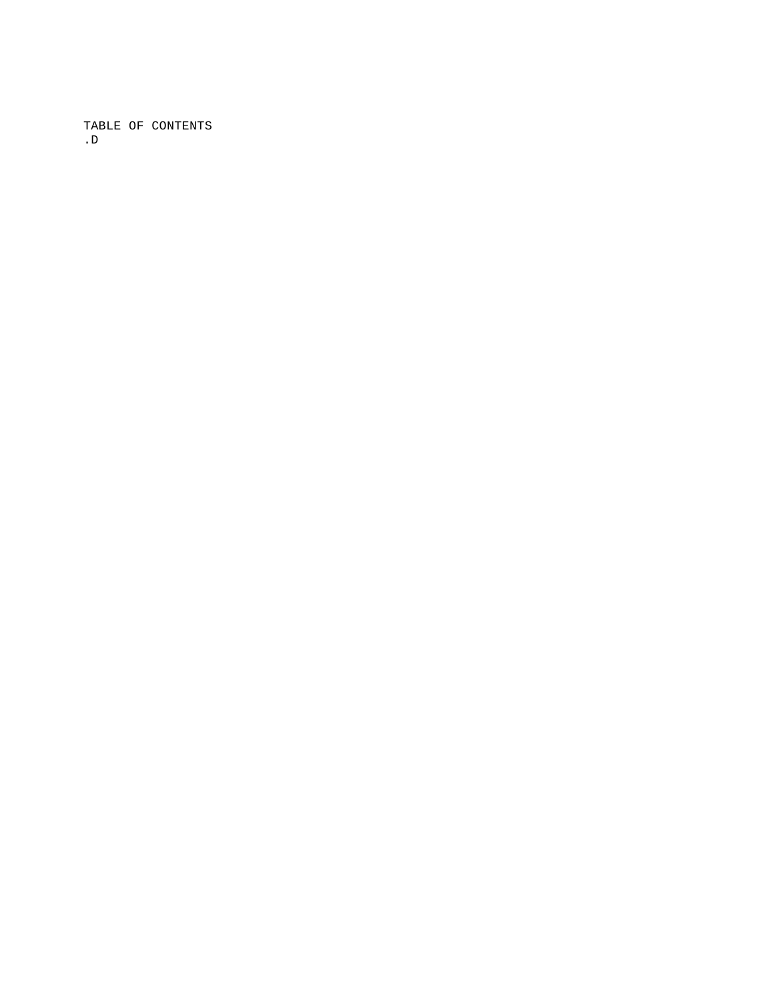TABLE OF CONTENTS .D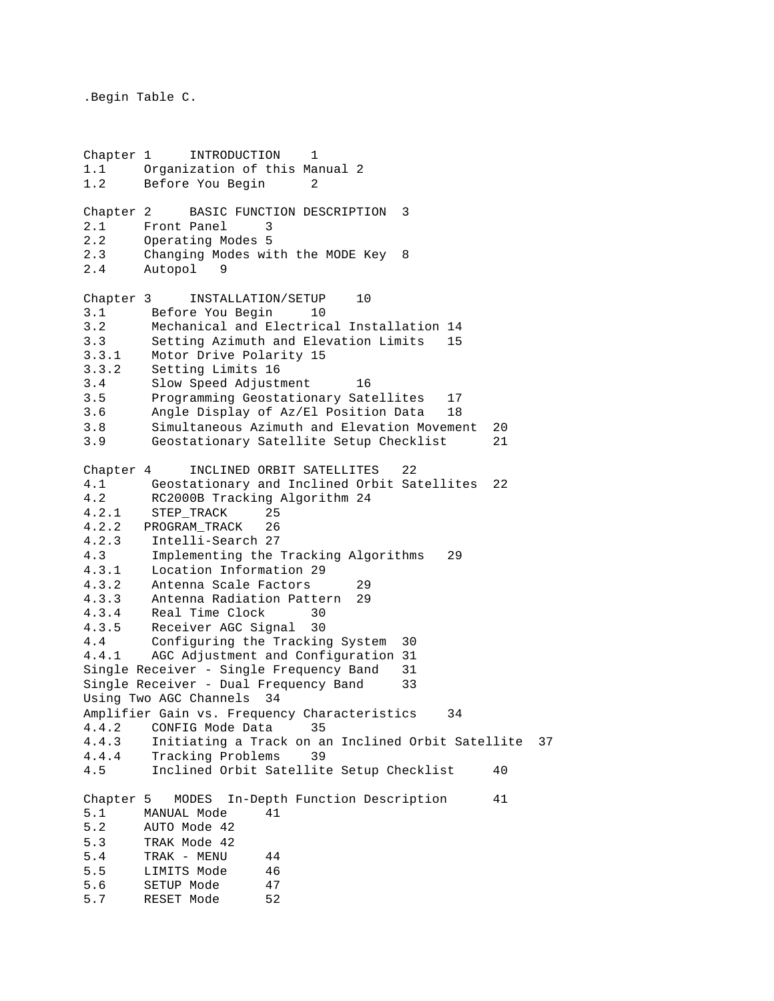.Begin Table C.

Chapter 1 INTRODUCTION 1 1.1 Organization of this Manual 2 1.2 Before You Begin 2 Chapter 2 BASIC FUNCTION DESCRIPTION 3 2.1 Front Panel 3 2.2 Operating Modes 5 2.3 Changing Modes with the MODE Key 8 2.4 Autopol 9 Chapter 3 INSTALLATION/SETUP 10 3.1 Before You Begin 10 3.2 Mechanical and Electrical Installation 14 3.3 Setting Azimuth and Elevation Limits 15 3.3.1 Motor Drive Polarity 15 3.3.2 Setting Limits 16 3.4 Slow Speed Adjustment 16 3.5 Programming Geostationary Satellites 17 3.6 Angle Display of Az/El Position Data 18 3.8 Simultaneous Azimuth and Elevation Movement 20 3.9 Geostationary Satellite Setup Checklist 21 Chapter 4 INCLINED ORBIT SATELLITES 22 4.1 Geostationary and Inclined Orbit Satellites 22 4.2 RC2000B Tracking Algorithm 24 4.2.1 STEP\_TRACK 25 4.2.2 PROGRAM\_TRACK 26 4.2.3 Intelli-Search 27 4.3 Implementing the Tracking Algorithms 29 4.3.1 Location Information 29 4.3.2 Antenna Scale Factors 29 4.3.3 Antenna Radiation Pattern 29 4.3.4 Real Time Clock 30 4.3.5 Receiver AGC Signal 30 4.4 Configuring the Tracking System 30 4.4.1 AGC Adjustment and Configuration 31 Single Receiver - Single Frequency Band 31 Single Receiver - Dual Frequency Band 33 Using Two AGC Channels 34 Amplifier Gain vs. Frequency Characteristics 34 4.4.2 CONFIG Mode Data 35 4.4.3 Initiating a Track on an Inclined Orbit Satellite 37 4.4.4 Tracking Problems 39 4.5 Inclined Orbit Satellite Setup Checklist 40 Chapter 5 MODES In-Depth Function Description 41 5.1 MANUAL Mode 41 5.2 AUTO Mode 42 5.3 TRAK Mode 42 5.4 TRAK - MENU 44 5.5 LIMITS Mode 46 5.6 SETUP Mode 47 5.7 RESET Mode 52